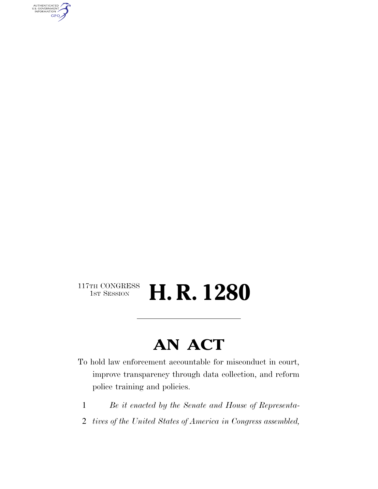AUTHENTICATED<br>U.S. GOVERNMENT<br>INFORMATION GPO

# $\begin{array}{c} \text{117TH CONGRESS} \\ \text{1ST SESION} \end{array}$ H. R. 1280

# **AN ACT**

To hold law enforcement accountable for misconduct in court, improve transparency through data collection, and reform police training and policies.

- 1 *Be it enacted by the Senate and House of Representa-*
- 2 *tives of the United States of America in Congress assembled,*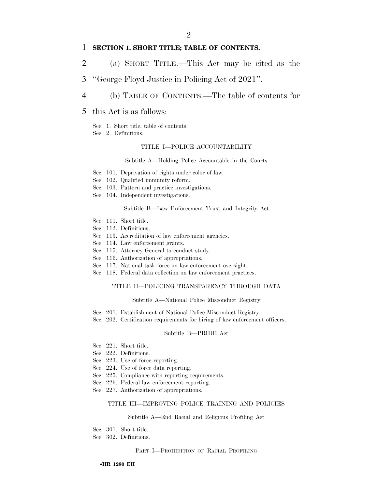# 1 **SECTION 1. SHORT TITLE; TABLE OF CONTENTS.**

- 2 (a) SHORT TITLE.—This Act may be cited as the
- 3 ''George Floyd Justice in Policing Act of 2021''.
- 4 (b) TABLE OF CONTENTS.—The table of contents for

# 5 this Act is as follows:

- Sec. 1. Short title; table of contents.
- Sec. 2. Definitions.

#### TITLE I—POLICE ACCOUNTABILITY

Subtitle A—Holding Police Accountable in the Courts

- Sec. 101. Deprivation of rights under color of law.
- Sec. 102. Qualified immunity reform.
- Sec. 103. Pattern and practice investigations.
- Sec. 104. Independent investigations.

#### Subtitle B—Law Enforcement Trust and Integrity Act

- Sec. 111. Short title.
- Sec. 112. Definitions.
- Sec. 113. Accreditation of law enforcement agencies.
- Sec. 114. Law enforcement grants.
- Sec. 115. Attorney General to conduct study.
- Sec. 116. Authorization of appropriations.
- Sec. 117. National task force on law enforcement oversight.
- Sec. 118. Federal data collection on law enforcement practices.

#### TITLE II—POLICING TRANSPARENCY THROUGH DATA

#### Subtitle A—National Police Misconduct Registry

- Sec. 201. Establishment of National Police Misconduct Registry.
- Sec. 202. Certification requirements for hiring of law enforcement officers.

#### Subtitle B—PRIDE Act

- Sec. 221. Short title.
- Sec. 222. Definitions.
- Sec. 223. Use of force reporting.
- Sec. 224. Use of force data reporting.
- Sec. 225. Compliance with reporting requirements.
- Sec. 226. Federal law enforcement reporting.
- Sec. 227. Authorization of appropriations.

#### TITLE III—IMPROVING POLICE TRAINING AND POLICIES

#### Subtitle A—End Racial and Religious Profiling Act

Sec. 301. Short title.

Sec. 302. Definitions.

PART I—PROHIBITION OF RACIAL PROFILING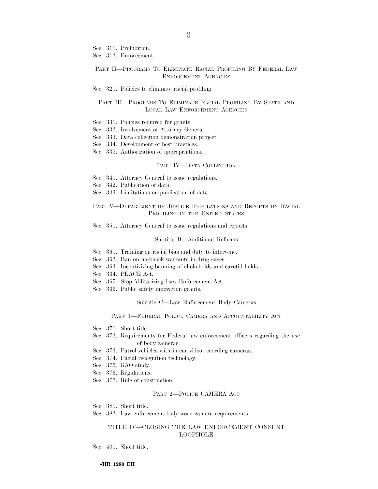Sec. 311. Prohibition.

Sec. 312. Enforcement.

#### PART II—PROGRAMS TO ELIMINATE RACIAL PROFILING BY FEDERAL LAW ENFORCEMENT AGENCIES

Sec. 321. Policies to eliminate racial profiling.

#### PART III—PROGRAMS TO ELIMINATE RACIAL PROFILING BY STATE AND LOCAL LAW ENFORCEMENT AGENCIES

Sec. 331. Policies required for grants.

- Sec. 332. Involvement of Attorney General.
- Sec. 333. Data collection demonstration project.
- Sec. 334. Development of best practices.
- Sec. 335. Authorization of appropriations.

#### PART IV—DATA COLLECTION

- Sec. 341. Attorney General to issue regulations.
- Sec. 342. Publication of data.
- Sec. 343. Limitations on publication of data.

PART V—DEPARTMENT OF JUSTICE REGULATIONS AND REPORTS ON RACIAL PROFILING IN THE UNITED STATES

Sec. 351. Attorney General to issue regulations and reports.

#### Subtitle B—Additional Reforms

- Sec. 361. Training on racial bias and duty to intervene.
- Sec. 362. Ban on no-knock warrants in drug cases.
- Sec. 363. Incentivizing banning of chokeholds and carotid holds.
- Sec. 364. PEACE Act.
- Sec. 365. Stop Militarizing Law Enforcement Act.
- Sec. 366. Public safety innovation grants.

#### Subtitle C—Law Enforcement Body Cameras

#### PART 1—FEDERAL POLICE CAMERA AND ACCOUNTABILITY ACT

- Sec. 371. Short title.
- Sec. 372. Requirements for Federal law enforcement officers regarding the use of body cameras.
- Sec. 373. Patrol vehicles with in-car video recording cameras.
- Sec. 374. Facial recognition technology.
- Sec. 375. GAO study.
- Sec. 376. Regulations.
- Sec. 377. Rule of construction.

#### PART 2—POLICE CAMERA ACT

- Sec. 381. Short title.
- Sec. 382. Law enforcement body-worn camera requirements.

## TITLE IV—CLOSING THE LAW ENFORCEMENT CONSENT LOOPHOLE

Sec. 401. Short title.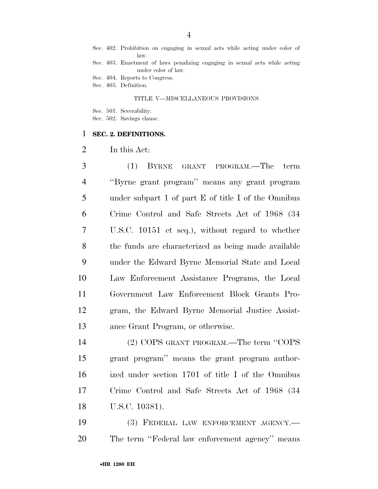Sec. 402. Prohibition on engaging in sexual acts while acting under color of law.

Sec. 403. Enactment of laws penalizing engaging in sexual acts while acting under color of law.

Sec. 404. Reports to Congress.

Sec. 405. Definition.

#### TITLE V—MISCELLANEOUS PROVISIONS

Sec. 501. Severability.

Sec. 502. Savings clause.

## **SEC. 2. DEFINITIONS.**

In this Act:

 (1) BYRNE GRANT PROGRAM.—The term ''Byrne grant program'' means any grant program under subpart 1 of part E of title I of the Omnibus Crime Control and Safe Streets Act of 1968 (34 U.S.C. 10151 et seq.), without regard to whether the funds are characterized as being made available under the Edward Byrne Memorial State and Local Law Enforcement Assistance Programs, the Local Government Law Enforcement Block Grants Pro- gram, the Edward Byrne Memorial Justice Assist-ance Grant Program, or otherwise.

 (2) COPS GRANT PROGRAM.—The term ''COPS grant program'' means the grant program author- ized under section 1701 of title I of the Omnibus Crime Control and Safe Streets Act of 1968 (34 U.S.C. 10381).

 (3) FEDERAL LAW ENFORCEMENT AGENCY.— The term ''Federal law enforcement agency'' means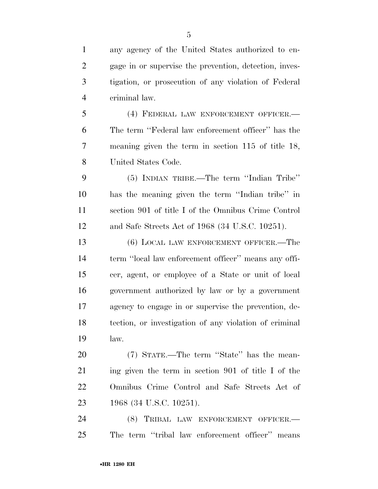any agency of the United States authorized to en- gage in or supervise the prevention, detection, inves- tigation, or prosecution of any violation of Federal criminal law.

 (4) FEDERAL LAW ENFORCEMENT OFFICER.— The term ''Federal law enforcement officer'' has the meaning given the term in section 115 of title 18, United States Code.

 (5) INDIAN TRIBE.—The term ''Indian Tribe'' has the meaning given the term ''Indian tribe'' in section 901 of title I of the Omnibus Crime Control and Safe Streets Act of 1968 (34 U.S.C. 10251).

 (6) LOCAL LAW ENFORCEMENT OFFICER.—The term ''local law enforcement officer'' means any offi- cer, agent, or employee of a State or unit of local government authorized by law or by a government agency to engage in or supervise the prevention, de- tection, or investigation of any violation of criminal law.

 (7) STATE.—The term ''State'' has the mean- ing given the term in section 901 of title I of the Omnibus Crime Control and Safe Streets Act of 1968 (34 U.S.C. 10251).

 (8) TRIBAL LAW ENFORCEMENT OFFICER.— The term ''tribal law enforcement officer'' means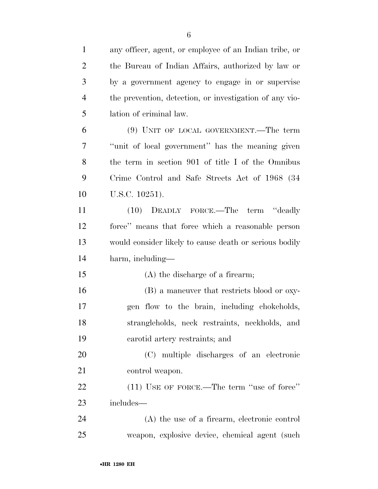| $\mathbf{1}$   | any officer, agent, or employee of an Indian tribe, or  |
|----------------|---------------------------------------------------------|
| $\overline{2}$ | the Bureau of Indian Affairs, authorized by law or      |
| 3              | by a government agency to engage in or supervise        |
| $\overline{4}$ | the prevention, detection, or investigation of any vio- |
| 5              | lation of criminal law.                                 |
| 6              | $(9)$ UNIT OF LOCAL GOVERNMENT.—The term                |
| 7              | "unit of local government" has the meaning given        |
| 8              | the term in section 901 of title I of the Omnibus       |
| 9              | Crime Control and Safe Streets Act of 1968 (34)         |
| 10             | U.S.C. 10251).                                          |
| 11             | (10) DEADLY FORCE.—The term "deadly                     |
| 12             | force" means that force which a reasonable person       |
| 13             | would consider likely to cause death or serious bodily  |
| 14             | harm, including-                                        |
| 15             | (A) the discharge of a firearm;                         |
| 16             | (B) a maneuver that restricts blood or oxy-             |
| 17             | gen flow to the brain, including chokeholds,            |
| 18             | strangleholds, neck restraints, neckholds, and          |
| 19             | carotid artery restraints; and                          |
| 20             | (C) multiple discharges of an electronic                |
| 21             | control weapon.                                         |
| 22             | $(11)$ USE OF FORCE.—The term "use of force"            |
| 23             | includes—                                               |
| 24             | (A) the use of a firearm, electronic control            |
| 25             | weapon, explosive device, chemical agent (such          |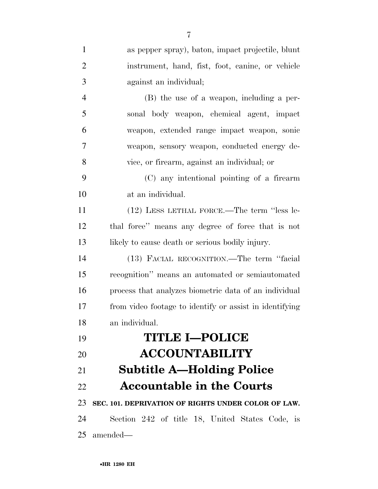| $\mathbf{1}$   | as pepper spray), baton, impact projectile, blunt       |
|----------------|---------------------------------------------------------|
| $\overline{2}$ | instrument, hand, fist, foot, canine, or vehicle        |
| 3              | against an individual;                                  |
| $\overline{4}$ | (B) the use of a weapon, including a per-               |
| 5              | sonal body weapon, chemical agent, impact               |
| 6              | weapon, extended range impact weapon, sonic             |
| 7              | weapon, sensory weapon, conducted energy de-            |
| 8              | vice, or firearm, against an individual; or             |
| 9              | (C) any intentional pointing of a firearm               |
| 10             | at an individual.                                       |
| 11             | (12) LESS LETHAL FORCE.—The term "less le-              |
| 12             | thal force" means any degree of force that is not       |
| 13             | likely to cause death or serious bodily injury.         |
| 14             | (13) FACIAL RECOGNITION.—The term "facial               |
| 15             | recognition" means an automated or semiautomated        |
| 16             | process that analyzes biometric data of an individual   |
| 17             | from video footage to identify or assist in identifying |
| 18             | an individual.                                          |
| 19             | <b>TITLE I-POLICE</b>                                   |
| 20             | <b>ACCOUNTABILITY</b>                                   |
| 21             | <b>Subtitle A—Holding Police</b>                        |
| 22             | <b>Accountable in the Courts</b>                        |
| 23             | SEC. 101. DEPRIVATION OF RIGHTS UNDER COLOR OF LAW.     |
| 24             | Section 242 of title 18, United States Code, is         |
| 25             | amended—                                                |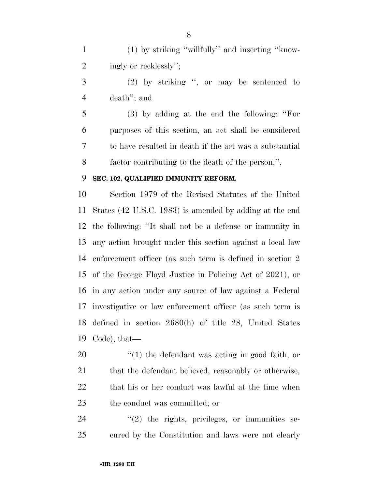(1) by striking ''willfully'' and inserting ''know-2 ingly or recklessly";

 (2) by striking '', or may be sentenced to death''; and

 (3) by adding at the end the following: ''For purposes of this section, an act shall be considered to have resulted in death if the act was a substantial factor contributing to the death of the person.''.

# **SEC. 102. QUALIFIED IMMUNITY REFORM.**

 Section 1979 of the Revised Statutes of the United States (42 U.S.C. 1983) is amended by adding at the end the following: ''It shall not be a defense or immunity in any action brought under this section against a local law enforcement officer (as such term is defined in section 2 of the George Floyd Justice in Policing Act of 2021), or in any action under any source of law against a Federal investigative or law enforcement officer (as such term is defined in section 2680(h) of title 28, United States Code), that—

20  $\frac{1}{2}$  (1) the defendant was acting in good faith, or 21 that the defendant believed, reasonably or otherwise, 22 that his or her conduct was lawful at the time when the conduct was committed; or

24  $(2)$  the rights, privileges, or immunities se-cured by the Constitution and laws were not clearly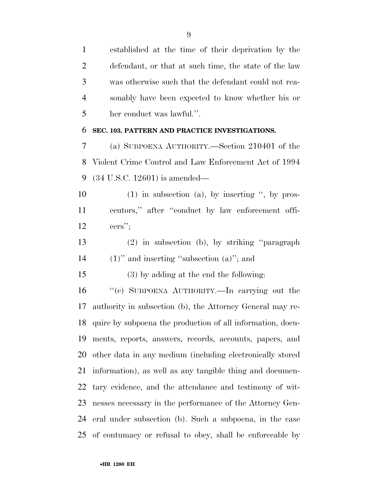established at the time of their deprivation by the defendant, or that at such time, the state of the law was otherwise such that the defendant could not rea- sonably have been expected to know whether his or her conduct was lawful.''.

# **SEC. 103. PATTERN AND PRACTICE INVESTIGATIONS.**

 (a) SUBPOENA AUTHORITY.—Section 210401 of the Violent Crime Control and Law Enforcement Act of 1994 (34 U.S.C. 12601) is amended—

 (1) in subsection (a), by inserting '', by pros- ecutors,'' after ''conduct by law enforcement offi-cers'';

 (2) in subsection (b), by striking ''paragraph (1)'' and inserting ''subsection (a)''; and

(3) by adding at the end the following:

 ''(c) SUBPOENA AUTHORITY.—In carrying out the authority in subsection (b), the Attorney General may re- quire by subpoena the production of all information, docu- ments, reports, answers, records, accounts, papers, and other data in any medium (including electronically stored information), as well as any tangible thing and documen- tary evidence, and the attendance and testimony of wit- nesses necessary in the performance of the Attorney Gen- eral under subsection (b). Such a subpoena, in the case of contumacy or refusal to obey, shall be enforceable by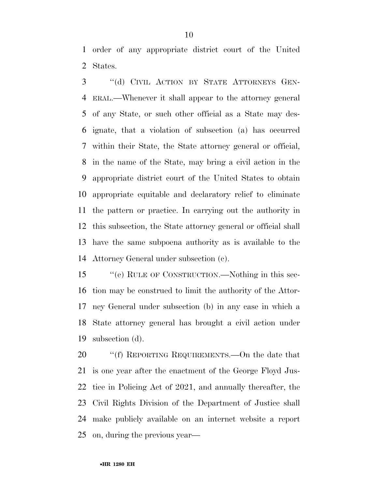order of any appropriate district court of the United States.

 ''(d) CIVIL ACTION BY STATE ATTORNEYS GEN- ERAL.—Whenever it shall appear to the attorney general of any State, or such other official as a State may des- ignate, that a violation of subsection (a) has occurred within their State, the State attorney general or official, in the name of the State, may bring a civil action in the appropriate district court of the United States to obtain appropriate equitable and declaratory relief to eliminate the pattern or practice. In carrying out the authority in this subsection, the State attorney general or official shall have the same subpoena authority as is available to the Attorney General under subsection (c).

 ''(e) RULE OF CONSTRUCTION.—Nothing in this sec- tion may be construed to limit the authority of the Attor- ney General under subsection (b) in any case in which a State attorney general has brought a civil action under subsection (d).

20 "'(f) REPORTING REQUIREMENTS.—On the date that is one year after the enactment of the George Floyd Jus- tice in Policing Act of 2021, and annually thereafter, the Civil Rights Division of the Department of Justice shall make publicly available on an internet website a report on, during the previous year—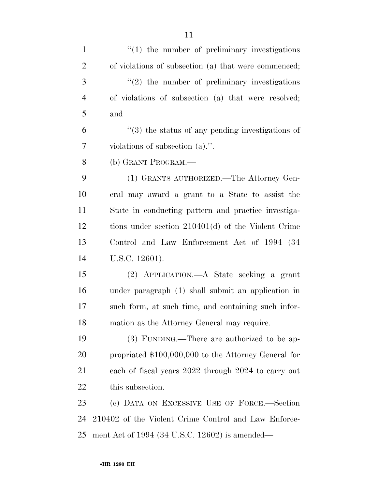| $\mathbf{1}$   | $f(1)$ the number of preliminary investigations              |
|----------------|--------------------------------------------------------------|
| $\overline{2}$ | of violations of subsection (a) that were commenced;         |
| 3              | $\lq(2)$ the number of preliminary investigations            |
| $\overline{4}$ | of violations of subsection (a) that were resolved;          |
| 5              | and                                                          |
| 6              | $\cdot\cdot$ (3) the status of any pending investigations of |
| 7              | violations of subsection $(a)$ .".                           |
| 8              | (b) GRANT PROGRAM.—                                          |
| 9              | (1) GRANTS AUTHORIZED.—The Attorney Gen-                     |
| 10             | eral may award a grant to a State to assist the              |
| 11             | State in conducting pattern and practice investiga-          |
| 12             | tions under section $210401(d)$ of the Violent Crime         |
| 13             | Control and Law Enforcement Act of 1994 (34)                 |
| 14             | U.S.C. 12601).                                               |
| 15             | (2) APPLICATION.—A State seeking a grant                     |
| 16             | under paragraph (1) shall submit an application in           |
| 17             | such form, at such time, and containing such infor-          |
| 18             | mation as the Attorney General may require.                  |
| 19             | (3) FUNDING.—There are authorized to be ap-                  |
| 20             | propriated \$100,000,000 to the Attorney General for         |
| 21             | each of fiscal years 2022 through 2024 to carry out          |
| 22             | this subsection.                                             |
| 23             | (c) DATA ON EXCESSIVE USE OF FORCE.—Section                  |
| 24             | 210402 of the Violent Crime Control and Law Enforce-         |
| 25             | ment Act of 1994 (34 U.S.C. 12602) is amended—               |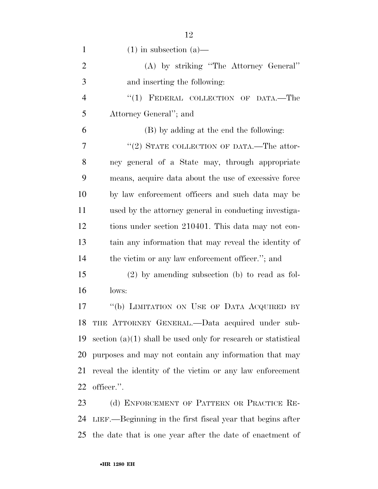| $\mathbf{1}$   | $(1)$ in subsection $(a)$ —                                     |
|----------------|-----------------------------------------------------------------|
| $\overline{2}$ | (A) by striking "The Attorney General"                          |
| 3              | and inserting the following:                                    |
| $\overline{4}$ | "(1) FEDERAL COLLECTION OF DATA.-The                            |
| 5              | Attorney General"; and                                          |
| 6              | (B) by adding at the end the following:                         |
| 7              | "(2) STATE COLLECTION OF DATA.—The attor-                       |
| 8              | ney general of a State may, through appropriate                 |
| 9              | means, acquire data about the use of excessive force            |
| 10             | by law enforcement officers and such data may be                |
| 11             | used by the attorney general in conducting investiga-           |
| 12             | tions under section 210401. This data may not con-              |
| 13             | tain any information that may reveal the identity of            |
| 14             | the victim or any law enforcement officer."; and                |
| 15             | $(2)$ by amending subsection (b) to read as fol-                |
| 16             | lows:                                                           |
| 17             | "(b) LIMITATION ON USE OF DATA ACQUIRED BY                      |
|                | 18 THE ATTORNEY GENERAL.—Data acquired under sub-               |
| 19             | section $(a)(1)$ shall be used only for research or statistical |
| 20             | purposes and may not contain any information that may           |
| 21             | reveal the identity of the victim or any law enforcement        |
| 22             | officer.".                                                      |
| 23             | (d) ENFORCEMENT OF PATTERN OR PRACTICE RE-                      |

 LIEF.—Beginning in the first fiscal year that begins after the date that is one year after the date of enactment of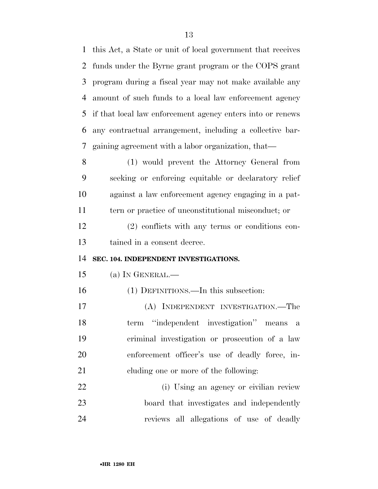this Act, a State or unit of local government that receives funds under the Byrne grant program or the COPS grant program during a fiscal year may not make available any amount of such funds to a local law enforcement agency if that local law enforcement agency enters into or renews any contractual arrangement, including a collective bar-gaining agreement with a labor organization, that—

 (1) would prevent the Attorney General from seeking or enforcing equitable or declaratory relief against a law enforcement agency engaging in a pat- tern or practice of unconstitutional misconduct; or (2) conflicts with any terms or conditions con-tained in a consent decree.

# **SEC. 104. INDEPENDENT INVESTIGATIONS.**

- (a) IN GENERAL.—
- (1) DEFINITIONS.—In this subsection:

 (A) INDEPENDENT INVESTIGATION.—The term ''independent investigation'' means a criminal investigation or prosecution of a law enforcement officer's use of deadly force, in-cluding one or more of the following:

 (i) Using an agency or civilian review board that investigates and independently reviews all allegations of use of deadly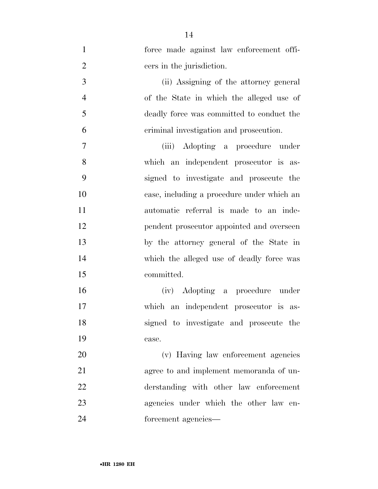| $\mathbf{1}$   | force made against law enforcement offi-   |
|----------------|--------------------------------------------|
| $\overline{2}$ | cers in the jurisdiction.                  |
| 3              | (ii) Assigning of the attorney general     |
| $\overline{4}$ | of the State in which the alleged use of   |
| 5              | deadly force was committed to conduct the  |
| 6              | criminal investigation and prosecution.    |
| 7              | (iii) Adopting a procedure<br>under        |
| 8              | which an independent prosecutor is as-     |
| 9              | signed to investigate and prosecute the    |
| 10             | case, including a procedure under which an |
| 11             | automatic referral is made to an inde-     |
| 12             | pendent prosecutor appointed and overseen  |
| 13             | by the attorney general of the State in    |
| 14             | which the alleged use of deadly force was  |
| 15             | committed.                                 |
| 16             | Adopting a procedure under<br>(iv)         |
| 17             | which an independent prosecutor is as-     |
| 18             | signed to investigate and prosecute the    |
| 19             | case.                                      |
| 20             | (v) Having law enforcement agencies        |
| 21             | agree to and implement memoranda of un-    |
| 22             | derstanding with other law enforcement     |
| 23             | agencies under which the other law en-     |
| 24             | forcement agencies-                        |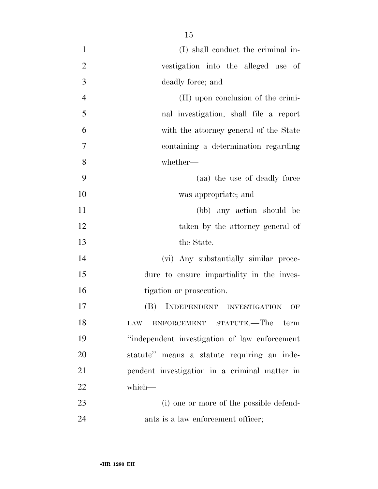| $\mathbf{1}$   | (I) shall conduct the criminal in-             |
|----------------|------------------------------------------------|
| $\overline{2}$ | vestigation into the alleged use of            |
| $\overline{3}$ | deadly force; and                              |
| $\overline{4}$ | (II) upon conclusion of the crimi-             |
| 5              | nal investigation, shall file a report         |
| 6              | with the attorney general of the State         |
| $\overline{7}$ | containing a determination regarding           |
| 8              | whether-                                       |
| 9              | (aa) the use of deadly force                   |
| 10             | was appropriate; and                           |
| 11             | (bb) any action should be                      |
| 12             | taken by the attorney general of               |
| 13             | the State.                                     |
| 14             | (vi) Any substantially similar proce-          |
| 15             | dure to ensure impartiality in the inves-      |
| 16             | tigation or prosecution.                       |
| 17             | INDEPENDENT INVESTIGATION<br>(B)<br>OF         |
| 18             | ENFORCEMENT STATUTE.—The<br>term<br><b>LAW</b> |
| 19             | "independent investigation of law enforcement" |
| 20             | statute" means a statute requiring an inde-    |
| 21             | pendent investigation in a criminal matter in  |
| 22             | which-                                         |
| 23             | (i) one or more of the possible defend-        |
| 24             | ants is a law enforcement officer;             |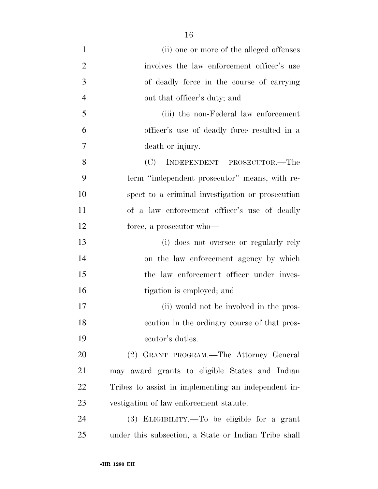(ii) one or more of the alleged offenses 2 involves the law enforcement officer's use of deadly force in the course of carrying 4 out that officer's duty; and (iii) the non-Federal law enforcement officer's use of deadly force resulted in a death or injury. (C) INDEPENDENT PROSECUTOR.—The term ''independent prosecutor'' means, with re- spect to a criminal investigation or prosecution of a law enforcement officer's use of deadly force, a prosecutor who— (i) does not oversee or regularly rely on the law enforcement agency by which the law enforcement officer under inves- tigation is employed; and (ii) would not be involved in the pros- ecution in the ordinary course of that pros- ecutor's duties. (2) GRANT PROGRAM.—The Attorney General may award grants to eligible States and Indian Tribes to assist in implementing an independent in- vestigation of law enforcement statute. (3) ELIGIBILITY.—To be eligible for a grant under this subsection, a State or Indian Tribe shall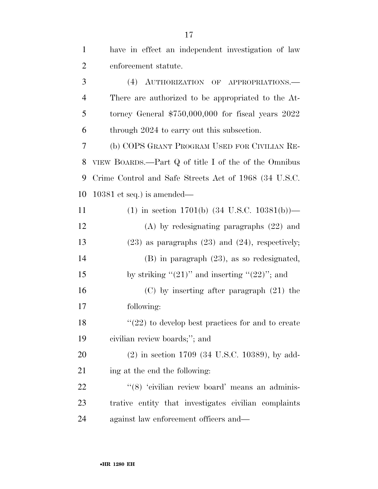| $\mathbf{1}$   | have in effect an independent investigation of law       |
|----------------|----------------------------------------------------------|
| $\overline{2}$ | enforcement statute.                                     |
| 3              | (4) AUTHORIZATION OF APPROPRIATIONS.                     |
| $\overline{4}$ | There are authorized to be appropriated to the At-       |
| 5              | torney General $$750,000,000$ for fiscal years 2022      |
| 6              | through 2024 to carry out this subsection.               |
| 7              | (b) COPS GRANT PROGRAM USED FOR CIVILIAN RE-             |
| 8              | VIEW BOARDS.—Part Q of title I of the of the Omnibus     |
| 9              | Crime Control and Safe Streets Act of 1968 (34 U.S.C.    |
| 10             | $10381$ et seq.) is amended—                             |
| 11             | (1) in section 1701(b) $(34 \text{ U.S.C. } 10381(b))$ — |
| 12             | $(A)$ by redesignating paragraphs $(22)$ and             |
| 13             | $(23)$ as paragraphs $(23)$ and $(24)$ , respectively;   |
| 14             | $(B)$ in paragraph $(23)$ , as so redesignated,          |
| 15             | by striking " $(21)$ " and inserting " $(22)$ "; and     |
| 16             | $(C)$ by inserting after paragraph $(21)$ the            |
| 17             | following:                                               |
| 18             | $"$ (22) to develop best practices for and to create     |
| 19             | civilian review boards;"; and                            |
| 20             | $(2)$ in section 1709 (34 U.S.C. 10389), by add-         |
| 21             | ing at the end the following:                            |
| 22             | "(8) 'civilian review board' means an adminis-           |
| 23             | trative entity that investigates civilian complaints     |
| 24             | against law enforcement officers and—                    |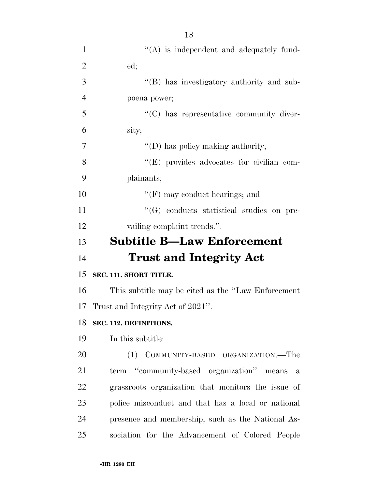| $\mathbf{1}$   | $\lq\lq$ is independent and adequately fund-              |
|----------------|-----------------------------------------------------------|
| $\overline{2}$ | ed;                                                       |
| 3              | "(B) has investigatory authority and sub-                 |
| $\overline{4}$ | poena power;                                              |
| 5              | "(C) has representative community diver-                  |
| 6              | sity;                                                     |
| 7              | $\lq\lq$ (D) has policy making authority;                 |
| 8              | "(E) provides advocates for civilian com-                 |
| 9              | plainants;                                                |
| 10             | $\lq\lq(F)$ may conduct hearings; and                     |
| 11             | $\lq\lq(G)$ conducts statistical studies on pre-          |
| 12             | vailing complaint trends.".                               |
| 13             | <b>Subtitle B-Law Enforcement</b>                         |
| 14             | <b>Trust and Integrity Act</b>                            |
| 15             | SEC. 111. SHORT TITLE.                                    |
| 16             | This subtitle may be cited as the "Law Enforcement"       |
| 17             | Trust and Integrity Act of 2021".                         |
| 18             | SEC. 112. DEFINITIONS.                                    |
| 19             | In this subtitle:                                         |
| 20             | (1) COMMUNITY-BASED ORGANIZATION.—The                     |
| 21             | term "community-based organization" means<br>$\mathbf{a}$ |
| 22             | grassroots organization that monitors the issue of        |
| 23             | police misconduct and that has a local or national        |
| 24             | presence and membership, such as the National As-         |
| 25             | sociation for the Advancement of Colored People           |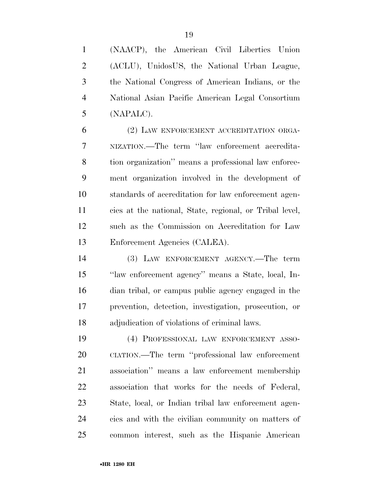(NAACP), the American Civil Liberties Union (ACLU), UnidosUS, the National Urban League, the National Congress of American Indians, or the National Asian Pacific American Legal Consortium (NAPALC).

 (2) LAW ENFORCEMENT ACCREDITATION ORGA- NIZATION.—The term ''law enforcement accredita- tion organization'' means a professional law enforce- ment organization involved in the development of standards of accreditation for law enforcement agen- cies at the national, State, regional, or Tribal level, such as the Commission on Accreditation for Law Enforcement Agencies (CALEA).

 (3) LAW ENFORCEMENT AGENCY.—The term ''law enforcement agency'' means a State, local, In- dian tribal, or campus public agency engaged in the prevention, detection, investigation, prosecution, or adjudication of violations of criminal laws.

 (4) PROFESSIONAL LAW ENFORCEMENT ASSO- CIATION.—The term ''professional law enforcement association'' means a law enforcement membership association that works for the needs of Federal, State, local, or Indian tribal law enforcement agen- cies and with the civilian community on matters of common interest, such as the Hispanic American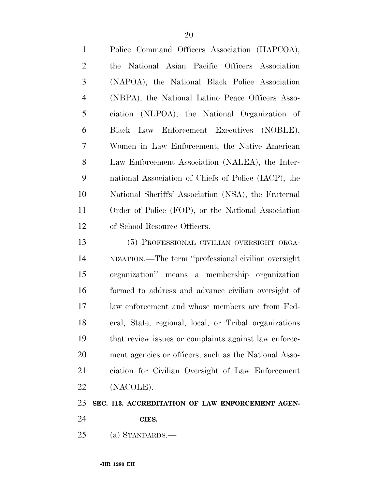| $\mathbf{1}$   | Police Command Officers Association (HAPCOA),         |
|----------------|-------------------------------------------------------|
| $\overline{2}$ | National Asian Pacific Officers Association<br>the    |
| 3              | (NAPOA), the National Black Police Association        |
| $\overline{4}$ | (NBPA), the National Latino Peace Officers Asso-      |
| 5              | ciation (NLPOA), the National Organization of         |
| 6              | Law Enforcement Executives (NOBLE),<br>Black          |
| 7              | Women in Law Enforcement, the Native American         |
| 8              | Law Enforcement Association (NALEA), the Inter-       |
| 9              | national Association of Chiefs of Police (IACP), the  |
| 10             | National Sheriffs' Association (NSA), the Fraternal   |
| 11             | Order of Police (FOP), or the National Association    |
| 12             | of School Resource Officers.                          |
| 13             | (5) PROFESSIONAL CIVILIAN OVERSIGHT ORGA-             |
| 14             | NIZATION.—The term "professional civilian oversight   |
| 15             | organization" means a membership organization         |
| 16             | formed to address and advance civilian oversight of   |
| 17             | law enforcement and whose members are from Fed-       |
| 18             | eral, State, regional, local, or Tribal organizations |
| 19             | that review issues or complaints against law enforce- |
| 20             | ment agencies or officers, such as the National Asso- |
| 21             | ciation for Civilian Oversight of Law Enforcement     |

(NACOLE).

# **SEC. 113. ACCREDITATION OF LAW ENFORCEMENT AGEN-**

- **CIES.**
- (a) STANDARDS.—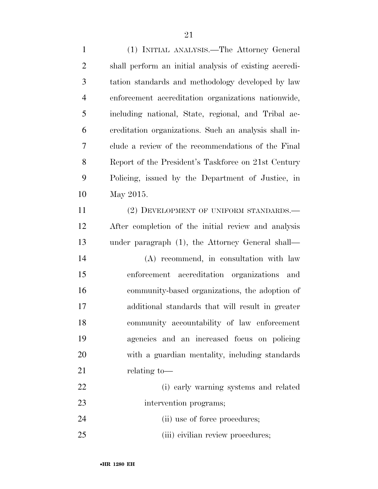(1) INITIAL ANALYSIS.—The Attorney General shall perform an initial analysis of existing accredi- tation standards and methodology developed by law enforcement accreditation organizations nationwide, including national, State, regional, and Tribal ac- creditation organizations. Such an analysis shall in- clude a review of the recommendations of the Final 8 Report of the President's Taskforce on 21st Century Policing, issued by the Department of Justice, in May 2015. 11 (2) DEVELOPMENT OF UNIFORM STANDARDS.— After completion of the initial review and analysis under paragraph (1), the Attorney General shall— (A) recommend, in consultation with law enforcement accreditation organizations and community-based organizations, the adoption of additional standards that will result in greater community accountability of law enforcement

- agencies and an increased focus on policing with a guardian mentality, including standards 21 relating to
- (i) early warning systems and related intervention programs;
- 24 (ii) use of force procedures;
- 25 (iii) civilian review procedures;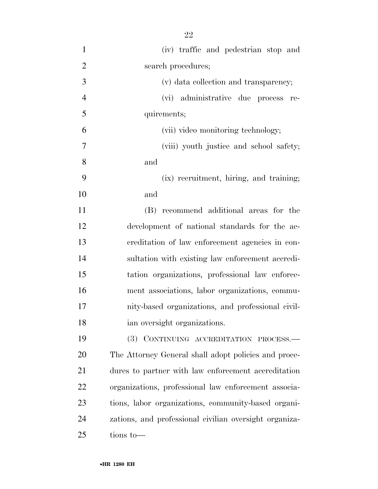(iv) traffic and pedestrian stop and 2 search procedures; (v) data collection and transparency; (vi) administrative due process re- quirements; (vii) video monitoring technology; (viii) youth justice and school safety; and (ix) recruitment, hiring, and training; and (B) recommend additional areas for the development of national standards for the ac- creditation of law enforcement agencies in con- sultation with existing law enforcement accredi- tation organizations, professional law enforce- ment associations, labor organizations, commu- nity-based organizations, and professional civil- ian oversight organizations. (3) CONTINUING ACCREDITATION PROCESS.— The Attorney General shall adopt policies and proce-dures to partner with law enforcement accreditation

organizations, professional law enforcement associa-

tions, labor organizations, community-based organi-

zations, and professional civilian oversight organiza-

tions to—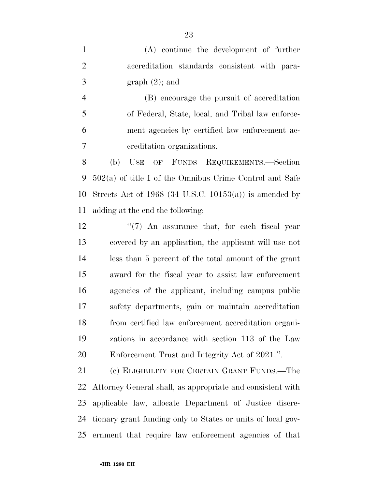(A) continue the development of further accreditation standards consistent with para- $3 \quad \text{graph } (2)$ ; and

 (B) encourage the pursuit of accreditation of Federal, State, local, and Tribal law enforce- ment agencies by certified law enforcement ac-creditation organizations.

 (b) USE OF FUNDS REQUIREMENTS.—Section 502(a) of title I of the Omnibus Crime Control and Safe 10 Streets Act of 1968 (34 U.S.C. 10153(a)) is amended by adding at the end the following:

12 ''(7) An assurance that, for each fiscal year covered by an application, the applicant will use not less than 5 percent of the total amount of the grant award for the fiscal year to assist law enforcement agencies of the applicant, including campus public safety departments, gain or maintain accreditation from certified law enforcement accreditation organi- zations in accordance with section 113 of the Law Enforcement Trust and Integrity Act of 2021.''.

 (c) ELIGIBILITY FOR CERTAIN GRANT FUNDS.—The Attorney General shall, as appropriate and consistent with applicable law, allocate Department of Justice discre- tionary grant funding only to States or units of local gov-ernment that require law enforcement agencies of that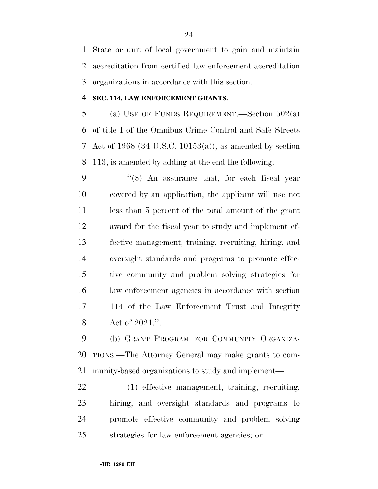State or unit of local government to gain and maintain accreditation from certified law enforcement accreditation organizations in accordance with this section.

# **SEC. 114. LAW ENFORCEMENT GRANTS.**

5 (a) USE OF FUNDS REQUIREMENT.—Section  $502(a)$  of title I of the Omnibus Crime Control and Safe Streets Act of 1968 (34 U.S.C. 10153(a)), as amended by section 113, is amended by adding at the end the following:

 ''(8) An assurance that, for each fiscal year covered by an application, the applicant will use not less than 5 percent of the total amount of the grant award for the fiscal year to study and implement ef- fective management, training, recruiting, hiring, and oversight standards and programs to promote effec- tive community and problem solving strategies for law enforcement agencies in accordance with section 114 of the Law Enforcement Trust and Integrity Act of 2021.''.

 (b) GRANT PROGRAM FOR COMMUNITY ORGANIZA- TIONS.—The Attorney General may make grants to com-munity-based organizations to study and implement—

 (1) effective management, training, recruiting, hiring, and oversight standards and programs to promote effective community and problem solving strategies for law enforcement agencies; or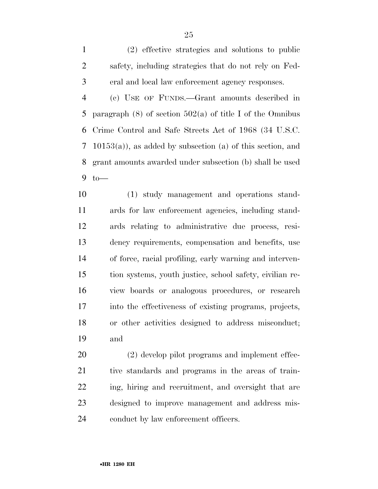(2) effective strategies and solutions to public safety, including strategies that do not rely on Fed-eral and local law enforcement agency responses.

 (c) USE OF FUNDS.—Grant amounts described in 5 paragraph  $(8)$  of section  $502(a)$  of title I of the Omnibus Crime Control and Safe Streets Act of 1968 (34 U.S.C. 10153(a)), as added by subsection (a) of this section, and grant amounts awarded under subsection (b) shall be used to—

 (1) study management and operations stand- ards for law enforcement agencies, including stand- ards relating to administrative due process, resi- dency requirements, compensation and benefits, use of force, racial profiling, early warning and interven- tion systems, youth justice, school safety, civilian re- view boards or analogous procedures, or research into the effectiveness of existing programs, projects, or other activities designed to address misconduct; and

 (2) develop pilot programs and implement effec- tive standards and programs in the areas of train- ing, hiring and recruitment, and oversight that are designed to improve management and address mis-conduct by law enforcement officers.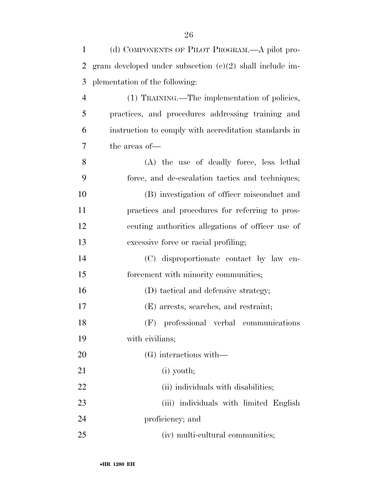| $\mathbf{1}$   | (d) COMPONENTS OF PILOT PROGRAM.—A pilot pro-              |
|----------------|------------------------------------------------------------|
| $\overline{2}$ | gram developed under subsection $(c)(2)$ shall include im- |
| 3              | plementation of the following:                             |
| $\overline{4}$ | (1) TRAINING.—The implementation of policies,              |
| 5              | practices, and procedures addressing training and          |
| 6              | instruction to comply with accreditation standards in      |
| 7              | the areas of-                                              |
| 8              | (A) the use of deadly force, less lethal                   |
| 9              | force, and de-escalation tactics and techniques;           |
| 10             | (B) investigation of officer misconduct and                |
| 11             | practices and procedures for referring to pros-            |
| 12             | ecuting authorities allegations of officer use of          |
| 13             | excessive force or racial profiling;                       |
| 14             | (C) disproportionate contact by law en-                    |
| 15             | forcement with minority communities;                       |
| 16             | (D) tactical and defensive strategy;                       |
| 17             | (E) arrests, searches, and restraint;                      |
| 18             | (F) professional verbal communications                     |
| 19             | with civilians;                                            |
| 20             | (G) interactions with—                                     |
| 21             | $(i)$ youth;                                               |
| 22             | (ii) individuals with disabilities;                        |
| 23             | (iii) individuals with limited English                     |
| 24             | proficiency; and                                           |
| 25             | (iv) multi-cultural communities;                           |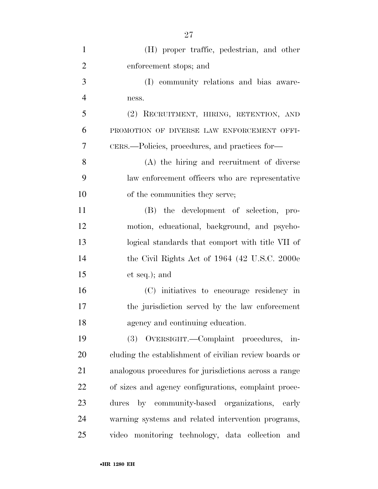| $\mathbf{1}$   | (H) proper traffic, pedestrian, and other              |
|----------------|--------------------------------------------------------|
| $\overline{2}$ | enforcement stops; and                                 |
| 3              | (I) community relations and bias aware-                |
| $\overline{4}$ | ness.                                                  |
| 5              | (2) RECRUITMENT, HIRING, RETENTION, AND                |
| 6              | PROMOTION OF DIVERSE LAW ENFORCEMENT OFFI-             |
| 7              | CERS.—Policies, procedures, and practices for—         |
| 8              | (A) the hiring and recruitment of diverse              |
| 9              | law enforcement officers who are representative        |
| 10             | of the communities they serve;                         |
| 11             | (B) the development of selection, pro-                 |
| 12             | motion, educational, background, and psycho-           |
| 13             | logical standards that comport with title VII of       |
| 14             | the Civil Rights Act of 1964 (42 U.S.C. 2000e)         |
| 15             | et seq.); and                                          |
| 16             | (C) initiatives to encourage residency in              |
| 17             | the jurisdiction served by the law enforcement         |
| 18             | agency and continuing education.                       |
| 19             | OVERSIGHT.—Complaint procedures, in-<br>(3)            |
| 20             | cluding the establishment of civilian review boards or |
| 21             | analogous procedures for jurisdictions across a range  |
| 22             | of sizes and agency configurations, complaint proce-   |
| 23             | by community-based organizations, early<br>dures       |
| 24             | warning systems and related intervention programs,     |
| 25             | video monitoring technology, data collection and       |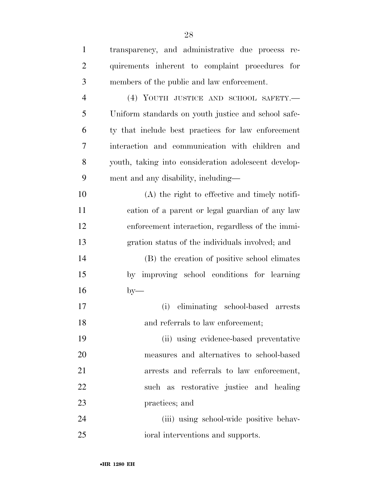| $\mathbf{1}$   | transparency, and administrative due process re-     |
|----------------|------------------------------------------------------|
| $\overline{2}$ | quirements inherent to complaint procedures for      |
| 3              | members of the public and law enforcement.           |
| $\overline{4}$ | (4) YOUTH JUSTICE AND SCHOOL SAFETY.-                |
| 5              | Uniform standards on youth justice and school safe-  |
| 6              | ty that include best practices for law enforcement   |
| 7              | interaction and communication with children and      |
| 8              | youth, taking into consideration adolescent develop- |
| 9              | ment and any disability, including—                  |
| 10             | (A) the right to effective and timely notifi-        |
| 11             | cation of a parent or legal guardian of any law      |
| 12             | enforcement interaction, regardless of the immi-     |
| 13             | gration status of the individuals involved; and      |
| 14             | (B) the creation of positive school climates         |
| 15             | by improving school conditions for learning          |
| 16             | $by-$                                                |
| 17             | eliminating school-based arrests<br>(i)              |
| 18             | and referrals to law enforcement;                    |
| 19             | (ii) using evidence-based preventative               |
| 20             | measures and alternatives to school-based            |
| 21             | arrests and referrals to law enforcement,            |
| 22             | such as restorative justice and healing              |
| 23             | practices; and                                       |
| 24             | (iii) using school-wide positive behav-              |
| 25             | ioral interventions and supports.                    |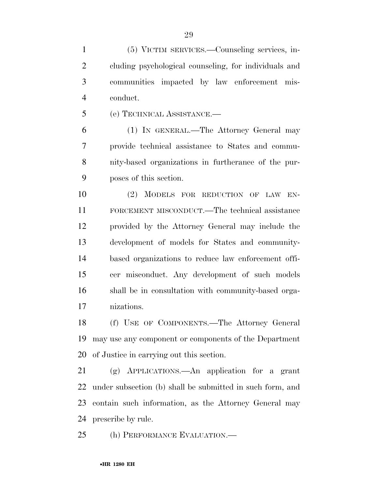(5) VICTIM SERVICES.—Counseling services, in- cluding psychological counseling, for individuals and communities impacted by law enforcement mis-conduct.

(e) TECHNICAL ASSISTANCE.—

 (1) IN GENERAL.—The Attorney General may provide technical assistance to States and commu- nity-based organizations in furtherance of the pur-poses of this section.

 (2) MODELS FOR REDUCTION OF LAW EN- FORCEMENT MISCONDUCT.—The technical assistance provided by the Attorney General may include the development of models for States and community- based organizations to reduce law enforcement offi- cer misconduct. Any development of such models shall be in consultation with community-based orga-nizations.

 (f) USE OF COMPONENTS.—The Attorney General may use any component or components of the Department of Justice in carrying out this section.

 (g) APPLICATIONS.—An application for a grant under subsection (b) shall be submitted in such form, and contain such information, as the Attorney General may prescribe by rule.

(h) PERFORMANCE EVALUATION.—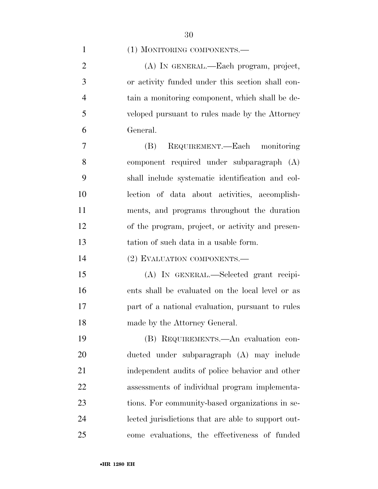| (1) MONITORING COMPONENTS.— |  |
|-----------------------------|--|
|-----------------------------|--|

 (A) IN GENERAL.—Each program, project, or activity funded under this section shall con- tain a monitoring component, which shall be de- veloped pursuant to rules made by the Attorney General.

 (B) REQUIREMENT.—Each monitoring component required under subparagraph (A) shall include systematic identification and col- lection of data about activities, accomplish- ments, and programs throughout the duration of the program, project, or activity and presen-tation of such data in a usable form.

(2) EVALUATION COMPONENTS.—

 (A) IN GENERAL.—Selected grant recipi- ents shall be evaluated on the local level or as part of a national evaluation, pursuant to rules made by the Attorney General.

 (B) REQUIREMENTS.—An evaluation con- ducted under subparagraph (A) may include independent audits of police behavior and other assessments of individual program implementa- tions. For community-based organizations in se- lected jurisdictions that are able to support out-come evaluations, the effectiveness of funded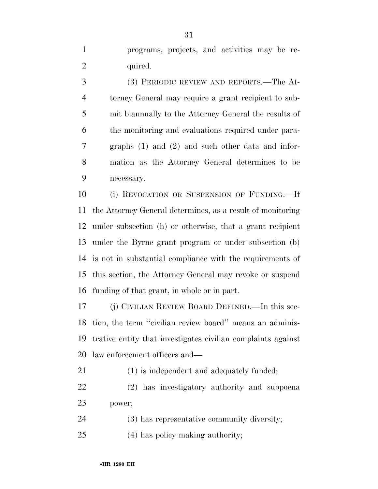programs, projects, and activities may be re-2 quired.

 (3) PERIODIC REVIEW AND REPORTS.—The At- torney General may require a grant recipient to sub- mit biannually to the Attorney General the results of the monitoring and evaluations required under para- graphs (1) and (2) and such other data and infor- mation as the Attorney General determines to be necessary.

 (i) REVOCATION OR SUSPENSION OF FUNDING.—If the Attorney General determines, as a result of monitoring under subsection (h) or otherwise, that a grant recipient under the Byrne grant program or under subsection (b) is not in substantial compliance with the requirements of this section, the Attorney General may revoke or suspend funding of that grant, in whole or in part.

 (j) CIVILIAN REVIEW BOARD DEFINED.—In this sec- tion, the term ''civilian review board'' means an adminis- trative entity that investigates civilian complaints against law enforcement officers and—

(1) is independent and adequately funded;

 (2) has investigatory authority and subpoena power;

(3) has representative community diversity;

(4) has policy making authority;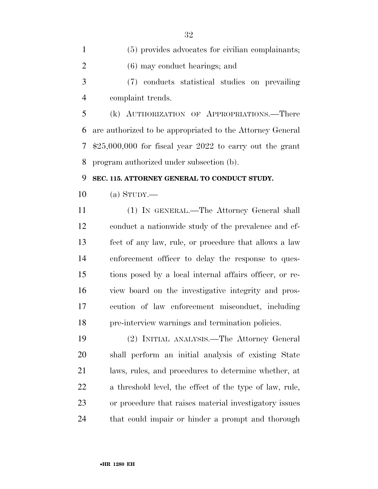(5) provides advocates for civilian complainants; (6) may conduct hearings; and (7) conducts statistical studies on prevailing complaint trends.

 (k) AUTHORIZATION OF APPROPRIATIONS.—There are authorized to be appropriated to the Attorney General \$25,000,000 for fiscal year 2022 to carry out the grant program authorized under subsection (b).

# **SEC. 115. ATTORNEY GENERAL TO CONDUCT STUDY.**

(a) STUDY.—

 (1) IN GENERAL.—The Attorney General shall conduct a nationwide study of the prevalence and ef- fect of any law, rule, or procedure that allows a law enforcement officer to delay the response to ques- tions posed by a local internal affairs officer, or re- view board on the investigative integrity and pros- ecution of law enforcement misconduct, including pre-interview warnings and termination policies.

 (2) INITIAL ANALYSIS.—The Attorney General shall perform an initial analysis of existing State laws, rules, and procedures to determine whether, at a threshold level, the effect of the type of law, rule, or procedure that raises material investigatory issues that could impair or hinder a prompt and thorough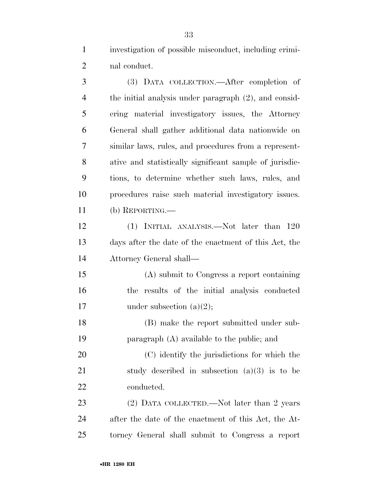investigation of possible misconduct, including crimi-nal conduct.

| 3              | (3) DATA COLLECTION.—After completion of                 |
|----------------|----------------------------------------------------------|
| $\overline{4}$ | the initial analysis under paragraph $(2)$ , and consid- |
| 5              | ering material investigatory issues, the Attorney        |
| 6              | General shall gather additional data nationwide on       |
| 7              | similar laws, rules, and procedures from a represent-    |
| 8              | ative and statistically significant sample of jurisdic-  |
| 9              | tions, to determine whether such laws, rules, and        |
| 10             | procedures raise such material investigatory issues.     |
| 11             | (b) REPORTING.—                                          |
| 12             | (1) INITIAL ANALYSIS.—Not later than 120                 |
| 13             | days after the date of the enactment of this Act, the    |
| 14             | Attorney General shall-                                  |
| 15             | (A) submit to Congress a report containing               |
| 16             | the results of the initial analysis conducted            |
| 17             | under subsection $(a)(2)$ ;                              |
| 18             | (B) make the report submitted under sub-                 |
| 19             | paragraph $(A)$ available to the public; and             |
| 20             | (C) identify the jurisdictions for which the             |
| 21             | study described in subsection $(a)(3)$ is to be          |
| 22             | conducted.                                               |
| 23             | (2) DATA COLLECTED.—Not later than 2 years               |
| 24             | after the date of the enactment of this Act, the At-     |
| 25             | torney General shall submit to Congress a report         |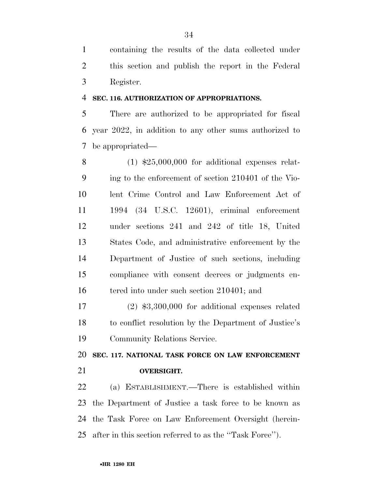containing the results of the data collected under this section and publish the report in the Federal Register.

# **SEC. 116. AUTHORIZATION OF APPROPRIATIONS.**

 There are authorized to be appropriated for fiscal year 2022, in addition to any other sums authorized to be appropriated—

 (1) \$25,000,000 for additional expenses relat- ing to the enforcement of section 210401 of the Vio- lent Crime Control and Law Enforcement Act of 1994 (34 U.S.C. 12601), criminal enforcement under sections 241 and 242 of title 18, United States Code, and administrative enforcement by the Department of Justice of such sections, including compliance with consent decrees or judgments en-16 tered into under such section 210401; and

 (2) \$3,300,000 for additional expenses related to conflict resolution by the Department of Justice's Community Relations Service.

 **SEC. 117. NATIONAL TASK FORCE ON LAW ENFORCEMENT OVERSIGHT.** 

 (a) ESTABLISHMENT.—There is established within the Department of Justice a task force to be known as the Task Force on Law Enforcement Oversight (herein-after in this section referred to as the ''Task Force'').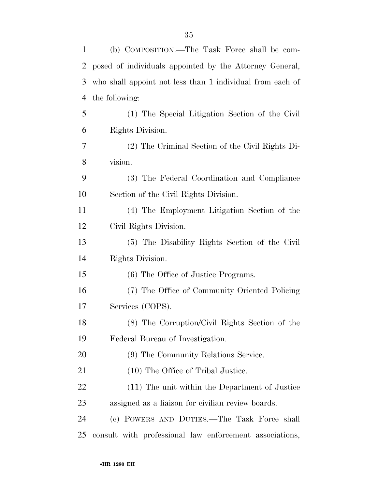| 1  | (b) COMPOSITION.—The Task Force shall be com-             |
|----|-----------------------------------------------------------|
| 2  | posed of individuals appointed by the Attorney General,   |
| 3  | who shall appoint not less than 1 individual from each of |
| 4  | the following:                                            |
| 5  | (1) The Special Litigation Section of the Civil           |
| 6  | Rights Division.                                          |
| 7  | (2) The Criminal Section of the Civil Rights Di-          |
| 8  | vision.                                                   |
| 9  | (3) The Federal Coordination and Compliance               |
| 10 | Section of the Civil Rights Division.                     |
| 11 | (4) The Employment Litigation Section of the              |
| 12 | Civil Rights Division.                                    |
| 13 | (5) The Disability Rights Section of the Civil            |
| 14 | Rights Division.                                          |
| 15 | (6) The Office of Justice Programs.                       |
| 16 | (7) The Office of Community Oriented Policing             |
| 17 | Services (COPS).                                          |
| 18 | (8) The Corruption/Civil Rights Section of the            |
| 19 | Federal Bureau of Investigation.                          |
| 20 | (9) The Community Relations Service.                      |
| 21 | (10) The Office of Tribal Justice.                        |
| 22 | (11) The unit within the Department of Justice            |
| 23 | assigned as a liaison for civilian review boards.         |
| 24 | (c) POWERS AND DUTIES.—The Task Force shall               |
| 25 | consult with professional law enforcement associations,   |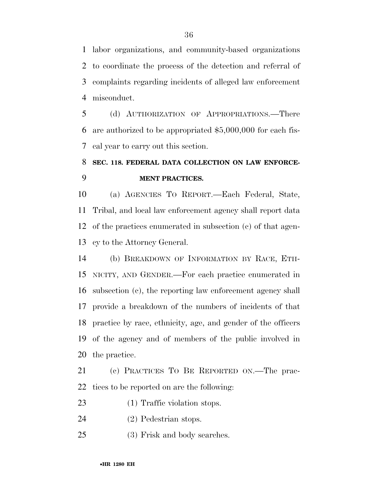labor organizations, and community-based organizations to coordinate the process of the detection and referral of complaints regarding incidents of alleged law enforcement misconduct.

 (d) AUTHORIZATION OF APPROPRIATIONS.—There are authorized to be appropriated \$5,000,000 for each fis-cal year to carry out this section.

# **SEC. 118. FEDERAL DATA COLLECTION ON LAW ENFORCE-MENT PRACTICES.**

 (a) AGENCIES TO REPORT.—Each Federal, State, Tribal, and local law enforcement agency shall report data of the practices enumerated in subsection (c) of that agen-cy to the Attorney General.

 (b) BREAKDOWN OF INFORMATION BY RACE, ETH- NICITY, AND GENDER.—For each practice enumerated in subsection (c), the reporting law enforcement agency shall provide a breakdown of the numbers of incidents of that practice by race, ethnicity, age, and gender of the officers of the agency and of members of the public involved in the practice.

 (c) PRACTICES TO BE REPORTED ON.—The prac-tices to be reported on are the following:

- 23 (1) Traffic violation stops.
- (2) Pedestrian stops.
- (3) Frisk and body searches.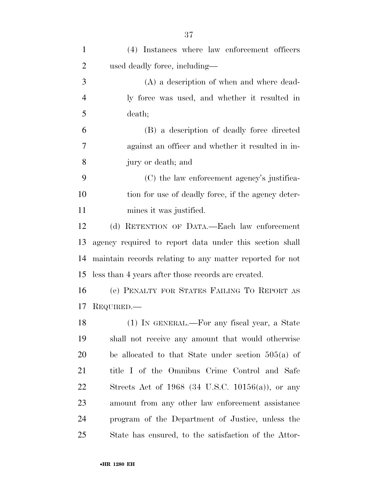| $\mathbf{1}$   | (4) Instances where law enforcement officers             |
|----------------|----------------------------------------------------------|
| $\overline{2}$ | used deadly force, including—                            |
| 3              | (A) a description of when and where dead-                |
| $\overline{4}$ | ly force was used, and whether it resulted in            |
| 5              | death;                                                   |
| 6              | (B) a description of deadly force directed               |
| 7              | against an officer and whether it resulted in in-        |
| 8              | jury or death; and                                       |
| 9              | (C) the law enforcement agency's justifica-              |
| 10             | tion for use of deadly force, if the agency deter-       |
| 11             | mines it was justified.                                  |
| 12             | (d) RETENTION OF DATA.—Each law enforcement              |
| 13             | agency required to report data under this section shall  |
| 14             | maintain records relating to any matter reported for not |
| 15             | less than 4 years after those records are created.       |
| 16             | (e) PENALTY FOR STATES FAILING TO REPORT AS              |
| 17             | REQUIRED.—                                               |
| 18             | (1) IN GENERAL.—For any fiscal year, a State             |
| 19             | shall not receive any amount that would otherwise        |
| 20             | be allocated to that State under section $505(a)$ of     |
| 21             | title I of the Omnibus Crime Control and Safe            |
| 22             | Streets Act of $1968$ (34 U.S.C. 10156(a)), or any       |
| 23             | amount from any other law enforcement assistance         |
| 24             | program of the Department of Justice, unless the         |
| 25             | State has ensured, to the satisfaction of the Attor-     |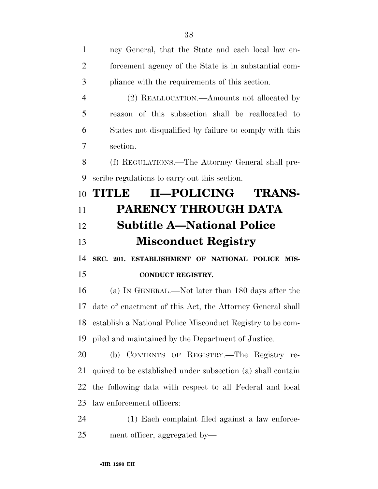| 1              | ney General, that the State and each local law en-            |
|----------------|---------------------------------------------------------------|
| $\overline{2}$ | forcement agency of the State is in substantial com-          |
| 3              | pliance with the requirements of this section.                |
| $\overline{4}$ | (2) REALLOCATION.—Amounts not allocated by                    |
| 5              | reason of this subsection shall be reallocated to             |
| 6              | States not disqualified by failure to comply with this        |
| 7              | section.                                                      |
| 8              | (f) REGULATIONS.—The Attorney General shall pre-              |
| 9              | scribe regulations to carry out this section.                 |
| 10             | <b>II—POLICING</b><br><b>TRANS-</b><br>TITILE                 |
| 11             | <b>PARENCY THROUGH DATA</b>                                   |
| 12             | <b>Subtitle A-National Police</b>                             |
|                | <b>Misconduct Registry</b>                                    |
| 13             |                                                               |
| 14             | SEC. 201. ESTABLISHMENT OF NATIONAL POLICE MIS-               |
| 15             | <b>CONDUCT REGISTRY.</b>                                      |
| 16             | (a) IN GENERAL.—Not later than 180 days after the             |
| 17             | date of enactment of this Act, the Attorney General shall     |
|                | 18 establish a National Police Misconduct Registry to be com- |
| 19             | piled and maintained by the Department of Justice.            |
| 20             | (b) CONTENTS OF REGISTRY.—The Registry re-                    |
| 21             | quired to be established under subsection (a) shall contain   |
| 22             | the following data with respect to all Federal and local      |
| 23             | law enforcement officers:                                     |
| 24             | (1) Each complaint filed against a law enforce-               |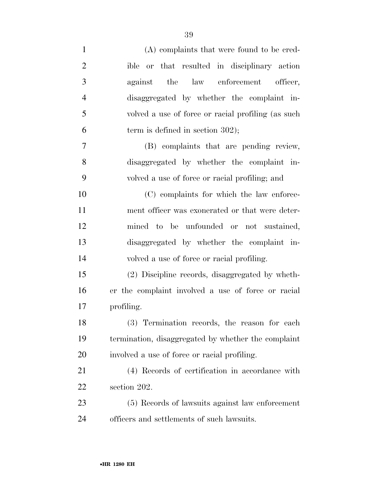| $\mathbf{1}$   | (A) complaints that were found to be cred-          |
|----------------|-----------------------------------------------------|
| $\overline{2}$ | ible or that resulted in disciplinary action        |
| 3              | against the law enforcement officer,                |
| $\overline{4}$ | disaggregated by whether the complaint in-          |
| 5              | volved a use of force or racial profiling (as such  |
| 6              | term is defined in section $302$ );                 |
| 7              | (B) complaints that are pending review,             |
| 8              | disaggregated by whether the complaint in-          |
| 9              | volved a use of force or racial profiling; and      |
| 10             | (C) complaints for which the law enforce-           |
| 11             | ment officer was exonerated or that were deter-     |
| 12             | mined to be unfounded or not sustained,             |
| 13             | disaggregated by whether the complaint in-          |
| 14             | volved a use of force or racial profiling.          |
| 15             | (2) Discipline records, disaggregated by wheth-     |
| 16             | er the complaint involved a use of force or racial  |
| 17             | profiling.                                          |
| 18             | (3) Termination records, the reason for each        |
| 19             | termination, disaggregated by whether the complaint |
| 20             | involved a use of force or racial profiling.        |
| 21             | (4) Records of certification in accordance with     |
| 22             | section 202.                                        |
| 23             | (5) Records of lawsuits against law enforcement     |
| 24             | officers and settlements of such lawsuits.          |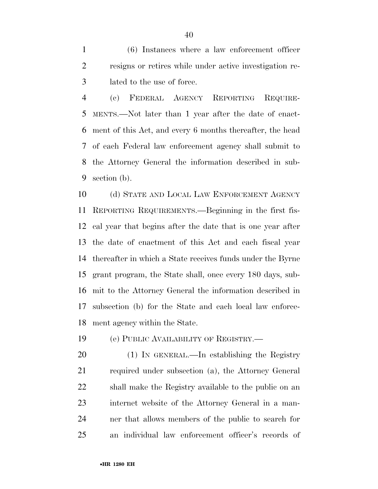(6) Instances where a law enforcement officer resigns or retires while under active investigation re-lated to the use of force.

 (c) FEDERAL AGENCY REPORTING REQUIRE- MENTS.—Not later than 1 year after the date of enact- ment of this Act, and every 6 months thereafter, the head of each Federal law enforcement agency shall submit to the Attorney General the information described in sub-section (b).

 (d) STATE AND LOCAL LAW ENFORCEMENT AGENCY REPORTING REQUIREMENTS.—Beginning in the first fis- cal year that begins after the date that is one year after the date of enactment of this Act and each fiscal year thereafter in which a State receives funds under the Byrne grant program, the State shall, once every 180 days, sub- mit to the Attorney General the information described in subsection (b) for the State and each local law enforce-ment agency within the State.

(e) PUBLIC AVAILABILITY OF REGISTRY.—

 (1) IN GENERAL.—In establishing the Registry required under subsection (a), the Attorney General shall make the Registry available to the public on an internet website of the Attorney General in a man- ner that allows members of the public to search for an individual law enforcement officer's records of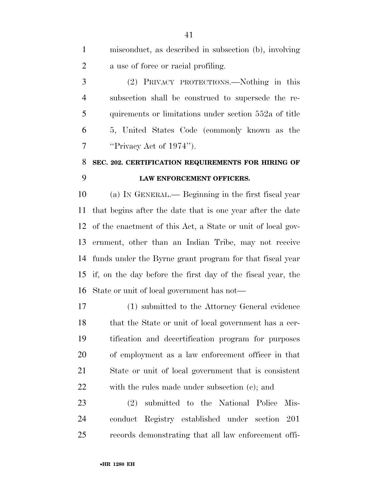misconduct, as described in subsection (b), involving a use of force or racial profiling. (2) PRIVACY PROTECTIONS.—Nothing in this subsection shall be construed to supersede the re- quirements or limitations under section 552a of title 5, United States Code (commonly known as the ''Privacy Act of 1974''). **SEC. 202. CERTIFICATION REQUIREMENTS FOR HIRING OF LAW ENFORCEMENT OFFICERS.** 

 (a) IN GENERAL.— Beginning in the first fiscal year that begins after the date that is one year after the date of the enactment of this Act, a State or unit of local gov- ernment, other than an Indian Tribe, may not receive funds under the Byrne grant program for that fiscal year if, on the day before the first day of the fiscal year, the State or unit of local government has not—

 (1) submitted to the Attorney General evidence that the State or unit of local government has a cer- tification and decertification program for purposes of employment as a law enforcement officer in that State or unit of local government that is consistent with the rules made under subsection (c); and

 (2) submitted to the National Police Mis- conduct Registry established under section 201 records demonstrating that all law enforcement offi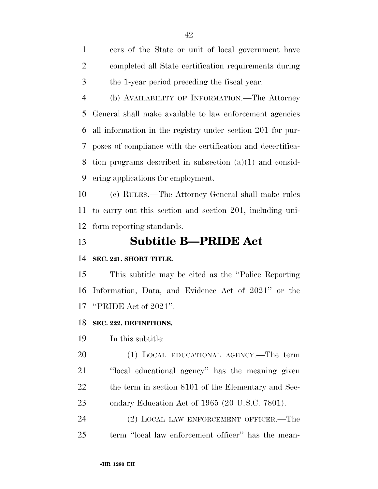cers of the State or unit of local government have completed all State certification requirements during the 1-year period preceding the fiscal year.

 (b) AVAILABILITY OF INFORMATION.—The Attorney General shall make available to law enforcement agencies all information in the registry under section 201 for pur- poses of compliance with the certification and decertifica- tion programs described in subsection (a)(1) and consid-ering applications for employment.

 (c) RULES.—The Attorney General shall make rules to carry out this section and section 201, including uni-form reporting standards.

# **Subtitle B—PRIDE Act**

# **SEC. 221. SHORT TITLE.**

 This subtitle may be cited as the ''Police Reporting Information, Data, and Evidence Act of 2021'' or the ''PRIDE Act of 2021''.

# **SEC. 222. DEFINITIONS.**

In this subtitle:

 (1) LOCAL EDUCATIONAL AGENCY.—The term ''local educational agency'' has the meaning given 22 the term in section 8101 of the Elementary and Sec-ondary Education Act of 1965 (20 U.S.C. 7801).

 (2) LOCAL LAW ENFORCEMENT OFFICER.—The term ''local law enforcement officer'' has the mean-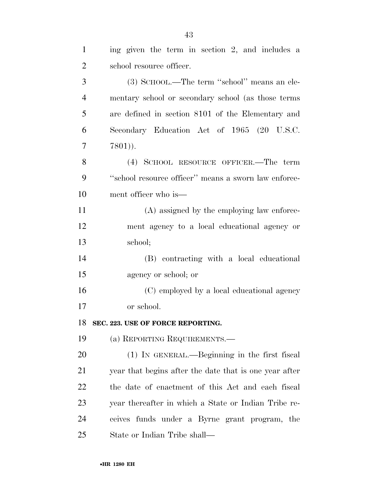| $\mathbf{1}$   | ing given the term in section 2, and includes a        |
|----------------|--------------------------------------------------------|
| $\overline{2}$ | school resource officer.                               |
| 3              | (3) SCHOOL.—The term "school" means an ele-            |
| $\overline{4}$ | mentary school or secondary school (as those terms     |
| 5              | are defined in section 8101 of the Elementary and      |
| 6              | Secondary Education Act of 1965 (20 U.S.C.             |
| 7              | $7801)$ ).                                             |
| 8              | (4) SCHOOL RESOURCE OFFICER.—The term                  |
| 9              | "school resource officer" means a sworn law enforce-   |
| 10             | ment officer who is—                                   |
| 11             | (A) assigned by the employing law enforce-             |
| 12             | ment agency to a local educational agency or           |
| 13             | school;                                                |
| 14             | (B) contracting with a local educational               |
| 15             | agency or school; or                                   |
| 16             | (C) employed by a local educational agency             |
| 17             | or school.                                             |
| 18             | SEC. 223. USE OF FORCE REPORTING                       |
| 19             | (a) REPORTING REQUIREMENTS.—                           |
| 20             | (1) IN GENERAL.—Beginning in the first fiscal          |
| 21             | year that begins after the date that is one year after |
| 22             | the date of enactment of this Act and each fiscal      |
| 23             | year thereafter in which a State or Indian Tribe re-   |
| 24             | ceives funds under a Byrne grant program, the          |
| 25             | State or Indian Tribe shall—                           |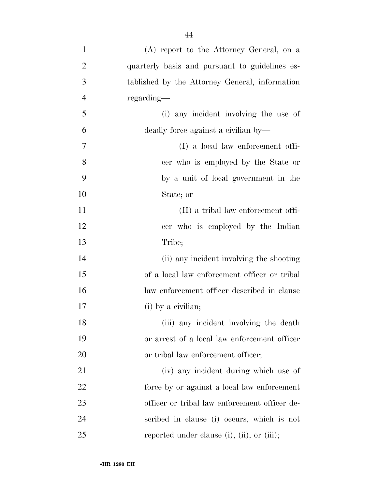| $\mathbf{1}$   | (A) report to the Attorney General, on a            |
|----------------|-----------------------------------------------------|
| $\overline{2}$ | quarterly basis and pursuant to guidelines es-      |
| 3              | tablished by the Attorney General, information      |
| $\overline{4}$ | regarding—                                          |
| 5              | (i) any incident involving the use of               |
| 6              | deadly force against a civilian by—                 |
| 7              | (I) a local law enforcement offi-                   |
| 8              | cer who is employed by the State or                 |
| 9              | by a unit of local government in the                |
| 10             | State; or                                           |
| 11             | (II) a tribal law enforcement offi-                 |
| 12             | cer who is employed by the Indian                   |
| 13             | Tribe;                                              |
| 14             | (ii) any incident involving the shooting            |
| 15             | of a local law enforcement officer or tribal        |
| 16             | law enforcement officer described in clause         |
| 17             | (i) by a civilian;                                  |
| 18             | (iii) any incident involving the death              |
| 19             | or arrest of a local law enforcement officer        |
| 20             | or tribal law enforcement officer;                  |
| 21             | (iv) any incident during which use of               |
| 22             | force by or against a local law enforcement         |
| 23             | officer or tribal law enforcement officer de-       |
| 24             | scribed in clause (i) occurs, which is not          |
| 25             | reported under clause $(i)$ , $(ii)$ , or $(iii)$ ; |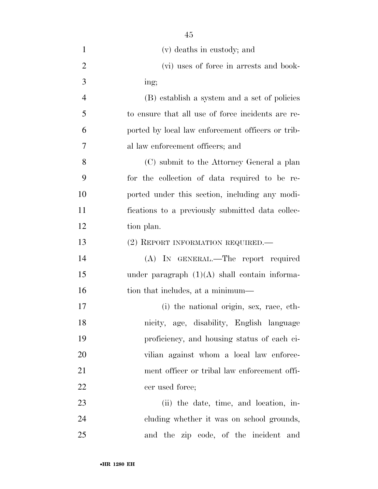| $\mathbf{1}$   | (v) deaths in custody; and                        |
|----------------|---------------------------------------------------|
| $\overline{2}$ | (vi) uses of force in arrests and book-           |
| 3              | ing;                                              |
| $\overline{4}$ | (B) establish a system and a set of policies      |
| 5              | to ensure that all use of force incidents are re- |
| 6              | ported by local law enforcement officers or trib- |
| 7              | al law enforcement officers; and                  |
| 8              | (C) submit to the Attorney General a plan         |
| 9              | for the collection of data required to be re-     |
| 10             | ported under this section, including any modi-    |
| 11             | fications to a previously submitted data collec-  |
| 12             | tion plan.                                        |
| 13             | (2) REPORT INFORMATION REQUIRED.                  |
| 14             | (A) IN GENERAL.—The report required               |
| 15             | under paragraph $(1)(A)$ shall contain informa-   |
| 16             | tion that includes, at a minimum—                 |
| 17             | (i) the national origin, sex, race, eth-          |
| 18             | nicity, age, disability, English language         |
| 19             | proficiency, and housing status of each ci-       |
| 20             | vilian against whom a local law enforce-          |
| 21             | ment officer or tribal law enforcement offi-      |
| 22             | cer used force;                                   |
| 23             | (ii) the date, time, and location, in-            |
| 24             | cluding whether it was on school grounds,         |
| 25             | and the zip code, of the incident and             |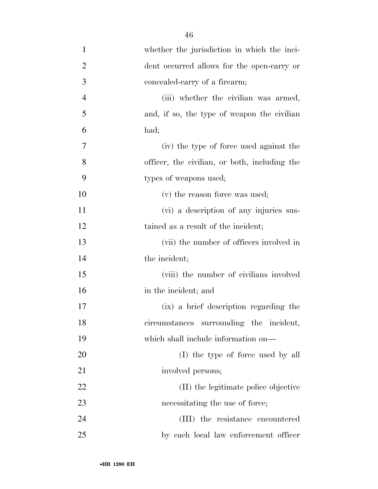| $\mathbf{1}$   | whether the jurisdiction in which the inci-   |
|----------------|-----------------------------------------------|
| $\overline{2}$ | dent occurred allows for the open-carry or    |
| 3              | concealed-carry of a firearm;                 |
| $\overline{4}$ | (iii) whether the civilian was armed,         |
| 5              | and, if so, the type of weapon the civilian   |
| 6              | had;                                          |
| 7              | (iv) the type of force used against the       |
| 8              | officer, the civilian, or both, including the |
| 9              | types of weapons used;                        |
| 10             | (v) the reason force was used;                |
| 11             | (vi) a description of any injuries sus-       |
| 12             | tained as a result of the incident;           |
| 13             | (vii) the number of officers involved in      |
| 14             | the incident;                                 |
| 15             | (viii) the number of civilians involved       |
| 16             | in the incident; and                          |
| 17             | (ix) a brief description regarding the        |
| 18             | circumstances surrounding the incident,       |
| 19             | which shall include information on—           |
| 20             | (I) the type of force used by all             |
| 21             | involved persons;                             |
| 22             | (II) the legitimate police objective          |
| 23             | necessitating the use of force;               |
| 24             | (III) the resistance encountered              |
| 25             | by each local law enforcement officer         |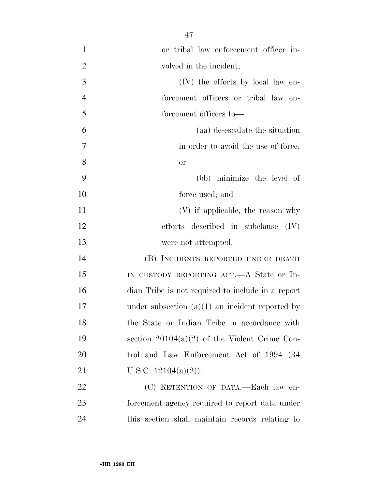| $\mathbf{1}$   | or tribal law enforcement officer in-             |
|----------------|---------------------------------------------------|
| $\overline{2}$ | volved in the incident;                           |
| 3              | (IV) the efforts by local law en-                 |
| $\overline{4}$ | forcement officers or tribal law en-              |
| 5              | forcement officers to-                            |
| 6              | (aa) de-escalate the situation                    |
| $\overline{7}$ | in order to avoid the use of force;               |
| 8              | <b>or</b>                                         |
| 9              | (bb) minimize the level of                        |
| 10             | force used; and                                   |
| 11             | (V) if applicable, the reason why                 |
| 12             | efforts described in subclause $(IV)$             |
| 13             | were not attempted.                               |
| 14             | (B) INCIDENTS REPORTED UNDER DEATH                |
| 15             | IN CUSTODY REPORTING ACT.—A State or In-          |
| 16             | dian Tribe is not required to include in a report |
| 17             | under subsection $(a)(1)$ an incident reported by |
| 18             | the State or Indian Tribe in accordance with      |
| 19             | section $20104(a)(2)$ of the Violent Crime Con-   |
| 20             | trol and Law Enforcement Act of 1994 (34)         |
| 21             | U.S.C. $12104(a)(2)$ ).                           |
| 22             | (C) RETENTION OF DATA.—Each law en-               |
| 23             | forcement agency required to report data under    |
| 24             | this section shall maintain records relating to   |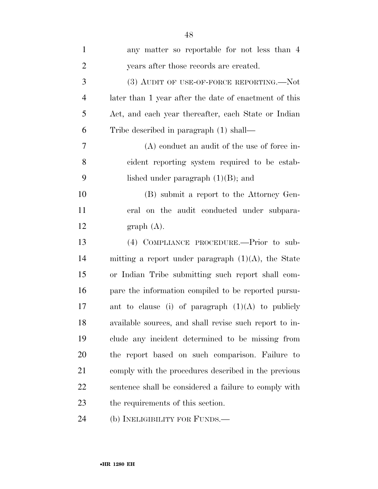| $\mathbf{1}$     | any matter so reportable for not less than 4           |
|------------------|--------------------------------------------------------|
| $\overline{2}$   | years after those records are created.                 |
| 3                | (3) AUDIT OF USE-OF-FORCE REPORTING.—Not               |
| $\overline{4}$   | later than 1 year after the date of enactment of this  |
| 5                | Act, and each year thereafter, each State or Indian    |
| 6                | Tribe described in paragraph (1) shall—                |
| 7                | $(A)$ conduct an audit of the use of force in-         |
| 8                | cident reporting system required to be estab-          |
| 9                | lished under paragraph $(1)(B)$ ; and                  |
| 10               | (B) submit a report to the Attorney Gen-               |
| 11               | eral on the audit conducted under subpara-             |
| 12               | graph(A).                                              |
| 13               | (4) COMPLIANCE PROCEDURE.—Prior to sub-                |
| 14               | mitting a report under paragraph $(1)(A)$ , the State  |
| 15               | or Indian Tribe submitting such report shall com-      |
| 16               | pare the information compiled to be reported pursu-    |
| 17               | ant to clause (i) of paragraph $(1)(A)$ to publicly    |
| 18               | available sources, and shall revise such report to in- |
| 19               | clude any incident determined to be missing from       |
| 20               | the report based on such comparison. Failure to        |
| 21               | comply with the procedures described in the previous   |
| 22               | sentence shall be considered a failure to comply with  |
| 23               | the requirements of this section.                      |
| $\sim$ $\lambda$ |                                                        |

(b) INELIGIBILITY FOR FUNDS.—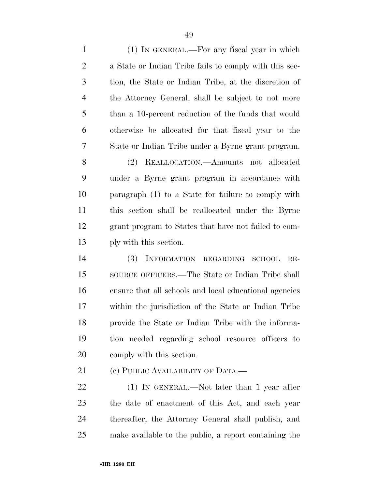(1) IN GENERAL.—For any fiscal year in which a State or Indian Tribe fails to comply with this sec- tion, the State or Indian Tribe, at the discretion of the Attorney General, shall be subject to not more than a 10-percent reduction of the funds that would otherwise be allocated for that fiscal year to the State or Indian Tribe under a Byrne grant program. (2) REALLOCATION.—Amounts not allocated

 under a Byrne grant program in accordance with paragraph (1) to a State for failure to comply with this section shall be reallocated under the Byrne grant program to States that have not failed to com-ply with this section.

 (3) INFORMATION REGARDING SCHOOL RE- SOURCE OFFICERS.—The State or Indian Tribe shall ensure that all schools and local educational agencies within the jurisdiction of the State or Indian Tribe provide the State or Indian Tribe with the informa- tion needed regarding school resource officers to comply with this section.

21 (c) PUBLIC AVAILABILITY OF DATA.—

22 (1) IN GENERAL.—Not later than 1 year after the date of enactment of this Act, and each year thereafter, the Attorney General shall publish, and make available to the public, a report containing the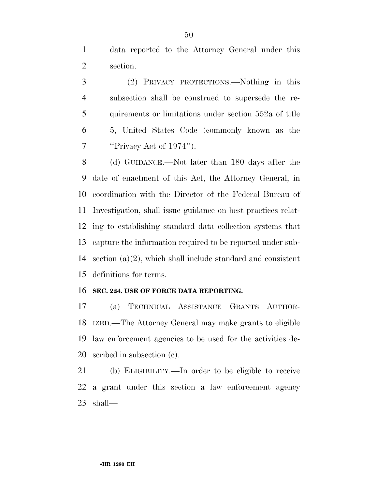data reported to the Attorney General under this section.

 (2) PRIVACY PROTECTIONS.—Nothing in this subsection shall be construed to supersede the re- quirements or limitations under section 552a of title 5, United States Code (commonly known as the ''Privacy Act of 1974'').

 (d) GUIDANCE.—Not later than 180 days after the date of enactment of this Act, the Attorney General, in coordination with the Director of the Federal Bureau of Investigation, shall issue guidance on best practices relat- ing to establishing standard data collection systems that capture the information required to be reported under sub-14 section  $(a)(2)$ , which shall include standard and consistent definitions for terms.

#### **SEC. 224. USE OF FORCE DATA REPORTING.**

 (a) TECHNICAL ASSISTANCE GRANTS AUTHOR- IZED.—The Attorney General may make grants to eligible law enforcement agencies to be used for the activities de-scribed in subsection (c).

 (b) ELIGIBILITY.—In order to be eligible to receive a grant under this section a law enforcement agency shall—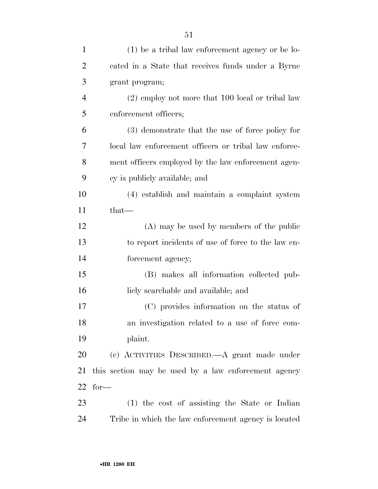| $\mathbf{1}$   | $(1)$ be a tribal law enforcement agency or be lo-    |
|----------------|-------------------------------------------------------|
| $\overline{2}$ | cated in a State that receives funds under a Byrne    |
| 3              | grant program;                                        |
| $\overline{4}$ | $(2)$ employ not more that 100 local or tribal law    |
| 5              | enforcement officers;                                 |
| 6              | (3) demonstrate that the use of force policy for      |
| 7              | local law enforcement officers or tribal law enforce- |
| 8              | ment officers employed by the law enforcement agen-   |
| 9              | cy is publicly available; and                         |
| 10             | (4) establish and maintain a complaint system         |
| 11             | $that-$                                               |
| 12             | (A) may be used by members of the public              |
| 13             | to report incidents of use of force to the law en-    |
| 14             | forcement agency;                                     |
| 15             | (B) makes all information collected pub-              |
| 16             | licly searchable and available; and                   |
| 17             | (C) provides information on the status of             |
| 18             | an investigation related to a use of force com-       |
| 19             | plaint.                                               |
| 20             | (c) ACTIVITIES DESCRIBED.—A grant made under          |
| 21             | this section may be used by a law enforcement agency  |
| 22             | $for-$                                                |
| 23             | $(1)$ the cost of assisting the State or Indian       |
| 24             | Tribe in which the law enforcement agency is located  |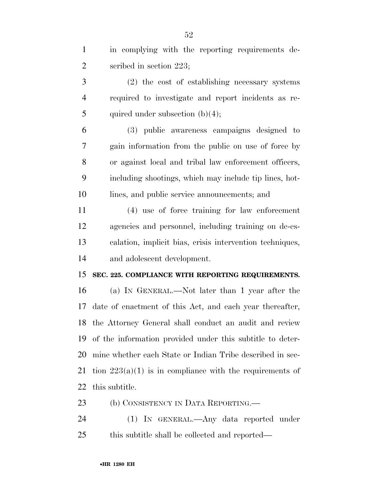| $\mathbf{1}$   | in complying with the reporting requirements de-           |
|----------------|------------------------------------------------------------|
| $\overline{2}$ | scribed in section 223;                                    |
| 3              | (2) the cost of establishing necessary systems             |
| $\overline{4}$ | required to investigate and report incidents as re-        |
| 5              | quired under subsection $(b)(4)$ ;                         |
| 6              | (3) public awareness campaigns designed to                 |
| 7              | gain information from the public on use of force by        |
| 8              | or against local and tribal law enforcement officers,      |
| 9              | including shootings, which may include tip lines, hot-     |
| 10             | lines, and public service announcements; and               |
| 11             | (4) use of force training for law enforcement              |
| 12             | agencies and personnel, including training on de-es-       |
| 13             | calation, implicit bias, crisis intervention techniques,   |
| 14             | and adolescent development.                                |
| 15             | SEC. 225. COMPLIANCE WITH REPORTING REQUIREMENTS.          |
| 16             | (a) IN GENERAL.—Not later than 1 year after the            |
| 17             | date of enactment of this Act, and each year thereafter,   |
|                | 18 the Attorney General shall conduct an audit and review  |
| 19             | of the information provided under this subtitle to deter-  |
| 20             | mine whether each State or Indian Tribe described in sec-  |
| 21             | tion $223(a)(1)$ is in compliance with the requirements of |
| 22             | this subtitle.                                             |
| 23             | (b) CONSISTENCY IN DATA REPORTING.—                        |
| 24             | (1) IN GENERAL.—Any data reported under                    |

this subtitle shall be collected and reported—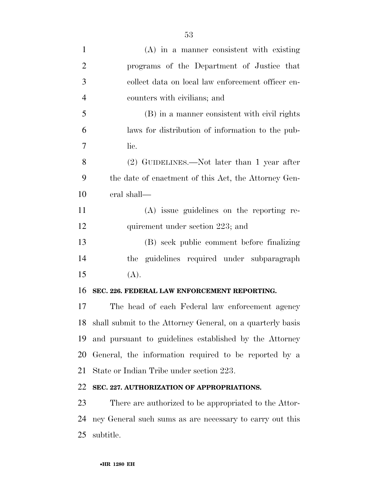| $\mathbf{1}$   | (A) in a manner consistent with existing                   |
|----------------|------------------------------------------------------------|
| $\overline{2}$ | programs of the Department of Justice that                 |
| 3              | collect data on local law enforcement officer en-          |
| $\overline{4}$ | counters with civilians; and                               |
| 5              | (B) in a manner consistent with civil rights               |
| 6              | laws for distribution of information to the pub-           |
| 7              | lic.                                                       |
| 8              | (2) GUIDELINES.—Not later than 1 year after                |
| 9              | the date of enactment of this Act, the Attorney Gen-       |
| 10             | eral shall—                                                |
| 11             | $(A)$ issue guidelines on the reporting re-                |
| 12             | quirement under section 223; and                           |
| 13             | (B) seek public comment before finalizing                  |
| 14             | guidelines required under subparagraph<br>the              |
| 15             | (A).                                                       |
| 16             | SEC. 226. FEDERAL LAW ENFORCEMENT REPORTING.               |
| 17             | The head of each Federal law enforcement agency            |
| 18             | shall submit to the Attorney General, on a quarterly basis |
| 19             | and pursuant to guidelines established by the Attorney     |
| 20             | General, the information required to be reported by a      |
| 21             | State or Indian Tribe under section 223.                   |
| 22             | SEC. 227. AUTHORIZATION OF APPROPRIATIONS.                 |
| 23             | There are authorized to be appropriated to the Attor-      |
| 24             | ney General such sums as are necessary to carry out this   |
| 25             | subtitle.                                                  |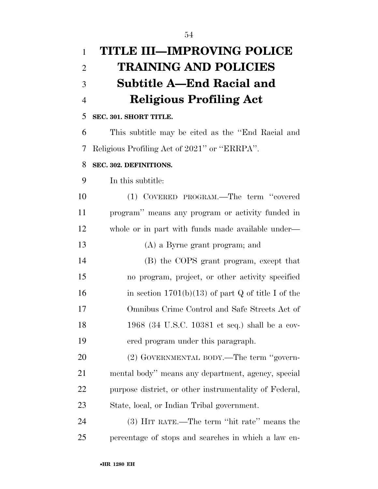| $\mathbf{1}$   | <b>TITLE III-IMPROVING POLICE</b>                      |
|----------------|--------------------------------------------------------|
| $\overline{2}$ | <b>TRAINING AND POLICIES</b>                           |
| 3              | Subtitle A-End Racial and                              |
| $\overline{4}$ | <b>Religious Profiling Act</b>                         |
| 5              | SEC. 301. SHORT TITLE.                                 |
| 6              | This subtitle may be cited as the "End Racial and      |
| 7              | Religious Profiling Act of 2021" or "ERRPA".           |
| 8              | SEC. 302. DEFINITIONS.                                 |
| 9              | In this subtitle:                                      |
| 10             | (1) COVERED PROGRAM.—The term "covered                 |
| 11             | program" means any program or activity funded in       |
| 12             | whole or in part with funds made available under-      |
| 13             | (A) a Byrne grant program; and                         |
| 14             | (B) the COPS grant program, except that                |
| 15             | no program, project, or other activity specified       |
| 16             | in section $1701(b)(13)$ of part Q of title I of the   |
| 17             | Omnibus Crime Control and Safe Streets Act of          |
| 18             | 1968 (34 U.S.C. 10381 et seq.) shall be a cov-         |
| 19             | ered program under this paragraph.                     |
| 20             | (2) GOVERNMENTAL BODY.—The term "govern-               |
| 21             | mental body" means any department, agency, special     |
| 22             | purpose district, or other instrumentality of Federal, |
| 23             | State, local, or Indian Tribal government.             |
| 24             | (3) HIT RATE.—The term "hit rate" means the            |
| 25             | percentage of stops and searches in which a law en-    |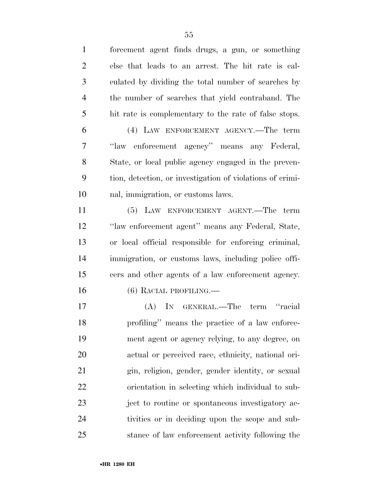| $\mathbf{1}$   | forcement agent finds drugs, a gun, or something          |
|----------------|-----------------------------------------------------------|
| $\overline{2}$ | else that leads to an arrest. The hit rate is cal-        |
| 3              | culated by dividing the total number of searches by       |
| $\overline{4}$ | the number of searches that yield contraband. The         |
| 5              | hit rate is complementary to the rate of false stops.     |
| 6              | (4) LAW ENFORCEMENT AGENCY.—The term                      |
| 7              | "law enforcement agency" means any Federal,               |
| 8              | State, or local public agency engaged in the preven-      |
| 9              | tion, detection, or investigation of violations of crimi- |
| 10             | nal, immigration, or customs laws.                        |
| 11             | (5) LAW ENFORCEMENT AGENT.—The term                       |
| 12             | "law enforcement agent" means any Federal, State,         |
| 13             | or local official responsible for enforcing criminal,     |
| 14             | immigration, or customs laws, including police offi-      |
| 15             | cers and other agents of a law enforcement agency.        |
| 16             | $(6)$ RACIAL PROFILING.—                                  |
| 17             | (A) IN GENERAL.—The term<br>"racial"                      |
| 18             | profiling" means the practice of a law enforce-           |
| 19             | ment agent or agency relying, to any degree, on           |
| 20             | actual or perceived race, ethnicity, national ori-        |
| 21             | gin, religion, gender, gender identity, or sexual         |
| 22             | orientation in selecting which individual to sub-         |
| 23             | ject to routine or spontaneous investigatory ac-          |
| 24             | tivities or in deciding upon the scope and sub-           |
| 25             | stance of law enforcement activity following the          |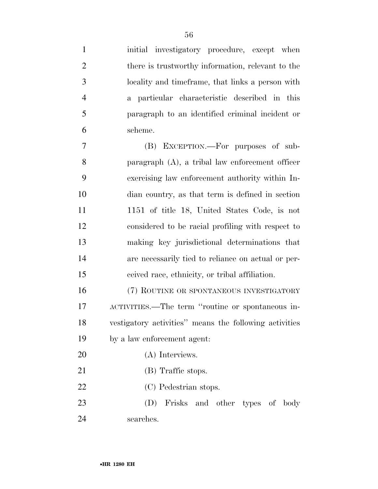| $\mathbf{1}$   | initial investigatory procedure, except when           |
|----------------|--------------------------------------------------------|
| $\overline{2}$ | there is trustworthy information, relevant to the      |
| 3              | locality and timeframe, that links a person with       |
| $\overline{4}$ | a particular characteristic described in this          |
| 5              | paragraph to an identified criminal incident or        |
| 6              | scheme.                                                |
| 7              | (B) EXCEPTION.—For purposes of sub-                    |
| 8              | paragraph $(A)$ , a tribal law enforcement officer     |
| 9              | exercising law enforcement authority within In-        |
| 10             | dian country, as that term is defined in section       |
| 11             | 1151 of title 18, United States Code, is not           |
| 12             | considered to be racial profiling with respect to      |
| 13             | making key jurisdictional determinations that          |
| 14             | are necessarily tied to reliance on actual or per-     |
| 15             | ceived race, ethnicity, or tribal affiliation.         |
| 16             | (7) ROUTINE OR SPONTANEOUS INVESTIGATORY               |
| 17             | ACTIVITIES.—The term "routine or spontaneous in-       |
| 18             | vestigatory activities" means the following activities |
| 19             | by a law enforcement agent:                            |
| 20             | (A) Interviews.                                        |
| 21             | (B) Traffic stops.                                     |
| 22             | (C) Pedestrian stops.                                  |
| 23             | (D)<br>Frisks and other types of<br>body               |
| 24             | searches.                                              |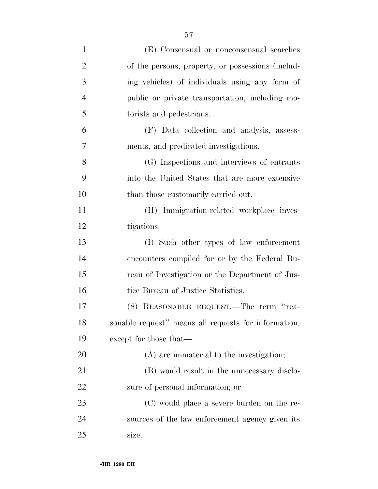| $\mathbf{1}$   | (E) Consensual or nonconsensual searches             |
|----------------|------------------------------------------------------|
| $\overline{2}$ | of the persons, property, or possessions (includ-    |
| 3              | ing vehicles) of individuals using any form of       |
| $\overline{4}$ | public or private transportation, including mo-      |
| 5              | torists and pedestrians.                             |
| 6              | (F) Data collection and analysis, assess-            |
| 7              | ments, and predicated investigations.                |
| 8              | (G) Inspections and interviews of entrants           |
| 9              | into the United States that are more extensive       |
| 10             | than those customarily carried out.                  |
| 11             | (H) Immigration-related workplace inves-             |
| 12             | tigations.                                           |
| 13             | (I) Such other types of law enforcement              |
| 14             | encounters compiled for or by the Federal Bu-        |
| 15             | reau of Investigation or the Department of Jus-      |
| 16             | tice Bureau of Justice Statistics.                   |
| 17             | (8) REASONABLE REQUEST.—The term "rea-               |
| 18             | sonable request" means all requests for information, |
| 19             | except for those that—                               |
| 20             | $(A)$ are immaterial to the investigation;           |
| 21             | (B) would result in the unnecessary disclo-          |
| 22             | sure of personal information; or                     |
| 23             | (C) would place a severe burden on the re-           |
| 24             | sources of the law enforcement agency given its      |
| 25             | size.                                                |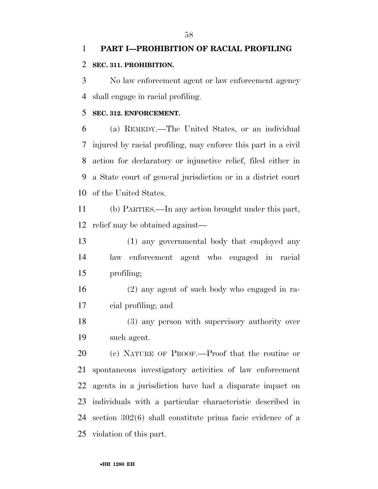# **PART I—PROHIBITION OF RACIAL PROFILING SEC. 311. PROHIBITION.**

 No law enforcement agent or law enforcement agency shall engage in racial profiling.

#### **SEC. 312. ENFORCEMENT.**

 (a) REMEDY.—The United States, or an individual injured by racial profiling, may enforce this part in a civil action for declaratory or injunctive relief, filed either in a State court of general jurisdiction or in a district court of the United States.

 (b) PARTIES.—In any action brought under this part, relief may be obtained against—

 (1) any governmental body that employed any law enforcement agent who engaged in racial profiling;

 (2) any agent of such body who engaged in ra-cial profiling; and

 (3) any person with supervisory authority over such agent.

 (c) NATURE OF PROOF.—Proof that the routine or spontaneous investigatory activities of law enforcement agents in a jurisdiction have had a disparate impact on individuals with a particular characteristic described in section 302(6) shall constitute prima facie evidence of a violation of this part.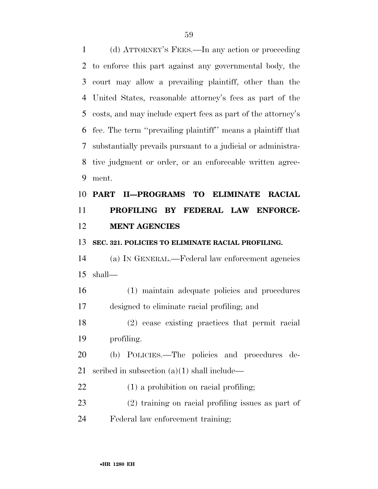(d) ATTORNEY'S FEES.—In any action or proceeding to enforce this part against any governmental body, the court may allow a prevailing plaintiff, other than the United States, reasonable attorney's fees as part of the costs, and may include expert fees as part of the attorney's fee. The term ''prevailing plaintiff'' means a plaintiff that substantially prevails pursuant to a judicial or administra- tive judgment or order, or an enforceable written agree-ment.

# **PART II—PROGRAMS TO ELIMINATE RACIAL PROFILING BY FEDERAL LAW ENFORCE-MENT AGENCIES**

# **SEC. 321. POLICIES TO ELIMINATE RACIAL PROFILING.**

 (a) IN GENERAL.—Federal law enforcement agencies shall—

 (1) maintain adequate policies and procedures designed to eliminate racial profiling; and

 (2) cease existing practices that permit racial profiling.

 (b) POLICIES.—The policies and procedures de-scribed in subsection (a)(1) shall include—

# (1) a prohibition on racial profiling;

 (2) training on racial profiling issues as part of Federal law enforcement training;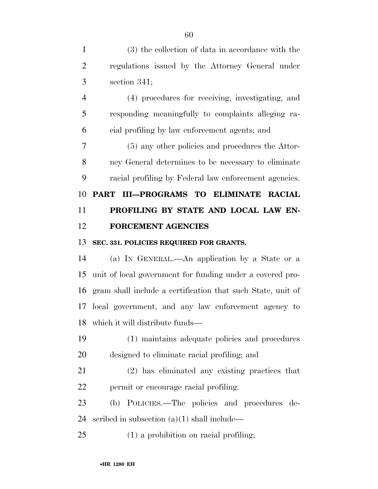(3) the collection of data in accordance with the regulations issued by the Attorney General under section 341; (4) procedures for receiving, investigating, and responding meaningfully to complaints alleging ra- cial profiling by law enforcement agents; and (5) any other policies and procedures the Attor- ney General determines to be necessary to eliminate racial profiling by Federal law enforcement agencies. **PART III—PROGRAMS TO ELIMINATE RACIAL PROFILING BY STATE AND LOCAL LAW EN- FORCEMENT AGENCIES SEC. 331. POLICIES REQUIRED FOR GRANTS.**  (a) IN GENERAL.—An application by a State or a unit of local government for funding under a covered pro-gram shall include a certification that such State, unit of

 local government, and any law enforcement agency to which it will distribute funds—

 (1) maintains adequate policies and procedures designed to eliminate racial profiling; and

 (2) has eliminated any existing practices that permit or encourage racial profiling.

 (b) POLICIES.—The policies and procedures de-scribed in subsection (a)(1) shall include—

(1) a prohibition on racial profiling;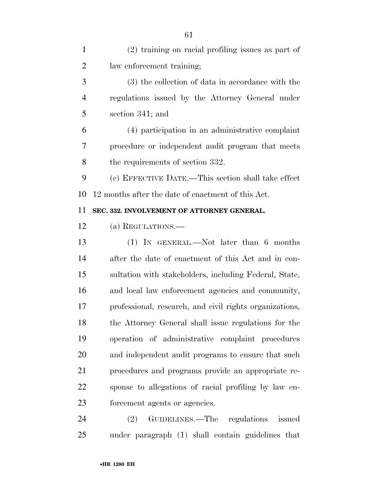| $\mathbf{1}$ | (2) training on racial profiling issues as part of      |
|--------------|---------------------------------------------------------|
| 2            | law enforcement training;                               |
| 3            | (3) the collection of data in accordance with the       |
| 4            | regulations issued by the Attorney General under        |
| 5            | section 341; and                                        |
| 6            | (4) participation in an administrative complaint        |
| 7            | procedure or independent audit program that meets       |
| 8            | the requirements of section 332.                        |
| 9            | (c) EFFECTIVE DATE.—This section shall take effect      |
| 10           | 12 months after the date of enactment of this Act.      |
| 11           | SEC. 332. INVOLVEMENT OF ATTORNEY GENERAL.              |
| 12           | (a) REGULATIONS.—                                       |
| 13           | $(1)$ IN GENERAL.—Not later than 6 months               |
| 14           | after the date of enactment of this Act and in con-     |
| 15           | sultation with stakeholders, including Federal, State,  |
| 16           | and local law enforcement agencies and community,       |
| 17           | professional, research, and civil rights organizations, |
| 18           | the Attorney General shall issue regulations for the    |
| 19           | operation of administrative complaint procedures        |
| 20           | and independent audit programs to ensure that such      |
| 21           | procedures and programs provide an appropriate re-      |
| 22           | sponse to allegations of racial profiling by law en-    |
| 23           | forcement agents or agencies.                           |
| 24           | GUIDELINES.—The regulations issued<br>(2)               |
| 25           | under paragraph (1) shall contain guidelines that       |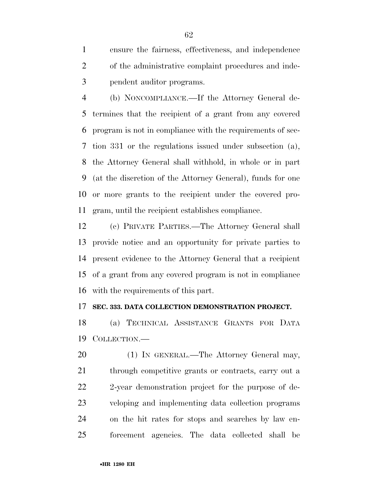ensure the fairness, effectiveness, and independence of the administrative complaint procedures and inde-pendent auditor programs.

 (b) NONCOMPLIANCE.—If the Attorney General de- termines that the recipient of a grant from any covered program is not in compliance with the requirements of sec- tion 331 or the regulations issued under subsection (a), the Attorney General shall withhold, in whole or in part (at the discretion of the Attorney General), funds for one or more grants to the recipient under the covered pro-gram, until the recipient establishes compliance.

 (c) PRIVATE PARTIES.—The Attorney General shall provide notice and an opportunity for private parties to present evidence to the Attorney General that a recipient of a grant from any covered program is not in compliance with the requirements of this part.

#### **SEC. 333. DATA COLLECTION DEMONSTRATION PROJECT.**

 (a) TECHNICAL ASSISTANCE GRANTS FOR DATA COLLECTION.—

20 (1) IN GENERAL.—The Attorney General may, 21 through competitive grants or contracts, carry out a 2-year demonstration project for the purpose of de- veloping and implementing data collection programs on the hit rates for stops and searches by law en-forcement agencies. The data collected shall be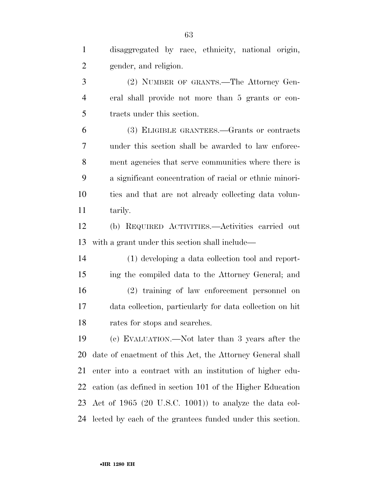disaggregated by race, ethnicity, national origin, gender, and religion. (2) NUMBER OF GRANTS.—The Attorney Gen- eral shall provide not more than 5 grants or con- tracts under this section. (3) ELIGIBLE GRANTEES.—Grants or contracts under this section shall be awarded to law enforce- ment agencies that serve communities where there is a significant concentration of racial or ethnic minori- ties and that are not already collecting data volun- tarily. (b) REQUIRED ACTIVITIES.—Activities carried out with a grant under this section shall include— (1) developing a data collection tool and report- ing the compiled data to the Attorney General; and (2) training of law enforcement personnel on data collection, particularly for data collection on hit rates for stops and searches. (c) EVALUATION.—Not later than 3 years after the date of enactment of this Act, the Attorney General shall enter into a contract with an institution of higher edu- cation (as defined in section 101 of the Higher Education Act of 1965 (20 U.S.C. 1001)) to analyze the data col-lected by each of the grantees funded under this section.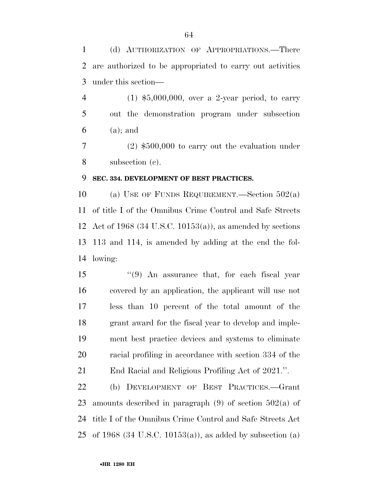(d) AUTHORIZATION OF APPROPRIATIONS.—There are authorized to be appropriated to carry out activities under this section—

 (1) \$5,000,000, over a 2-year period, to carry out the demonstration program under subsection (a); and

 (2) \$500,000 to carry out the evaluation under subsection (c).

## **SEC. 334. DEVELOPMENT OF BEST PRACTICES.**

 (a) USE OF FUNDS REQUIREMENT.—Section 502(a) of title I of the Omnibus Crime Control and Safe Streets Act of 1968 (34 U.S.C. 10153(a)), as amended by sections 113 and 114, is amended by adding at the end the fol-lowing:

 ''(9) An assurance that, for each fiscal year covered by an application, the applicant will use not less than 10 percent of the total amount of the grant award for the fiscal year to develop and imple- ment best practice devices and systems to eliminate racial profiling in accordance with section 334 of the End Racial and Religious Profiling Act of 2021.''.

 (b) DEVELOPMENT OF BEST PRACTICES.—Grant amounts described in paragraph (9) of section 502(a) of title I of the Omnibus Crime Control and Safe Streets Act of 1968 (34 U.S.C. 10153(a)), as added by subsection (a)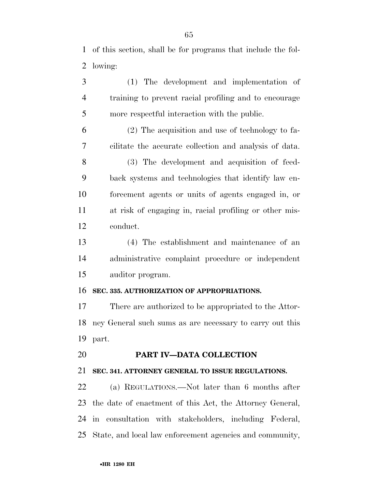of this section, shall be for programs that include the fol-lowing:

 (1) The development and implementation of training to prevent racial profiling and to encourage more respectful interaction with the public.

 (2) The acquisition and use of technology to fa-cilitate the accurate collection and analysis of data.

- (3) The development and acquisition of feed- back systems and technologies that identify law en- forcement agents or units of agents engaged in, or at risk of engaging in, racial profiling or other mis-conduct.
- (4) The establishment and maintenance of an administrative complaint procedure or independent auditor program.

#### **SEC. 335. AUTHORIZATION OF APPROPRIATIONS.**

 There are authorized to be appropriated to the Attor- ney General such sums as are necessary to carry out this part.

# **PART IV—DATA COLLECTION**

# **SEC. 341. ATTORNEY GENERAL TO ISSUE REGULATIONS.**

 (a) REGULATIONS.—Not later than 6 months after the date of enactment of this Act, the Attorney General, in consultation with stakeholders, including Federal, State, and local law enforcement agencies and community,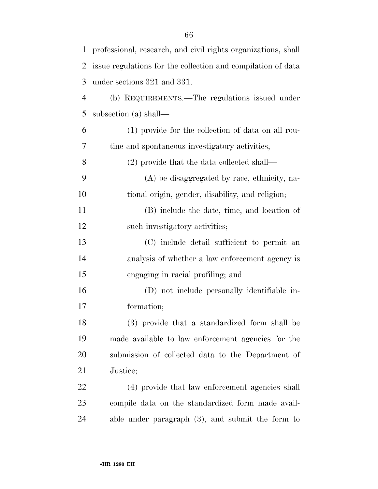| $\mathbf{1}$   | professional, research, and civil rights organizations, shall |
|----------------|---------------------------------------------------------------|
| $\overline{2}$ | issue regulations for the collection and compilation of data  |
| 3              | under sections 321 and 331.                                   |
| $\overline{4}$ | (b) REQUIREMENTS.—The regulations issued under                |
| 5              | subsection (a) shall—                                         |
| 6              | (1) provide for the collection of data on all rou-            |
| 7              | tine and spontaneous investigatory activities;                |
| 8              | $(2)$ provide that the data collected shall—                  |
| 9              | (A) be disaggregated by race, ethnicity, na-                  |
| 10             | tional origin, gender, disability, and religion;              |
| 11             | (B) include the date, time, and location of                   |
| 12             | such investigatory activities;                                |
| 13             | (C) include detail sufficient to permit an                    |
| 14             | analysis of whether a law enforcement agency is               |
| 15             | engaging in racial profiling; and                             |
| 16             | (D) not include personally identifiable in-                   |
| 17             | formation;                                                    |
| 18             | (3) provide that a standardized form shall be                 |
| 19             | made available to law enforcement agencies for the            |
| 20             | submission of collected data to the Department of             |
| 21             | Justice;                                                      |
| 22             | (4) provide that law enforcement agencies shall               |
| 23             | compile data on the standardized form made avail-             |
| 24             | able under paragraph $(3)$ , and submit the form to           |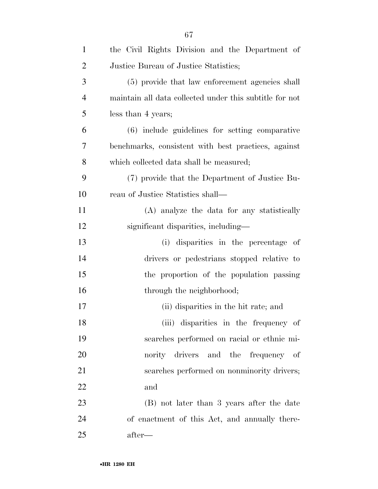| $\mathbf{1}$   | the Civil Rights Division and the Department of         |
|----------------|---------------------------------------------------------|
| $\overline{2}$ | Justice Bureau of Justice Statistics;                   |
| 3              | (5) provide that law enforcement agencies shall         |
| $\overline{4}$ | maintain all data collected under this subtitle for not |
| 5              | less than 4 years;                                      |
| 6              | (6) include guidelines for setting comparative          |
| 7              | benchmarks, consistent with best practices, against     |
| 8              | which collected data shall be measured;                 |
| 9              | (7) provide that the Department of Justice Bu-          |
| 10             | reau of Justice Statistics shall—                       |
| 11             | (A) analyze the data for any statistically              |
| 12             | significant disparities, including—                     |
| 13             | (i) disparities in the percentage of                    |
| 14             | drivers or pedestrians stopped relative to              |
| 15             | the proportion of the population passing                |
| 16             | through the neighborhood;                               |
| 17             | (ii) disparities in the hit rate; and                   |
| 18             | (iii) disparities in the frequency of                   |
| 19             | searches performed on racial or ethnic mi-              |
| 20             | nority drivers and the frequency of                     |
| 21             | searches performed on nonminority drivers;              |
| 22             | and                                                     |
| 23             | (B) not later than 3 years after the date               |
| 24             | of enactment of this Act, and annually there-           |
| 25             | after—                                                  |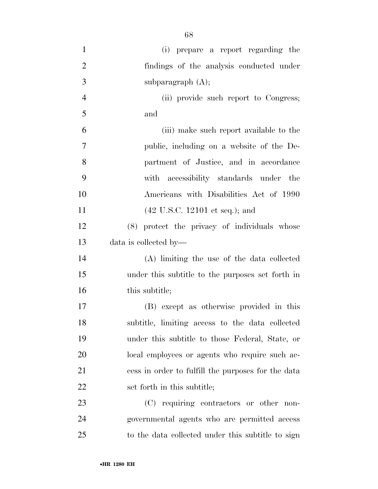| $\mathbf{1}$   | (i) prepare a report regarding the                 |
|----------------|----------------------------------------------------|
| $\overline{2}$ | findings of the analysis conducted under           |
| 3              | subparagraph $(A)$ ;                               |
| $\overline{4}$ | (ii) provide such report to Congress;              |
| 5              | and                                                |
| 6              | (iii) make such report available to the            |
| 7              | public, including on a website of the De-          |
| 8              | partment of Justice, and in accordance             |
| 9              | with accessibility standards under the             |
| 10             | Americans with Disabilities Act of 1990            |
| 11             | $(42 \text{ U.S.C. } 12101 \text{ et seq.});$ and  |
| 12             | (8) protect the privacy of individuals whose       |
| 13             | data is collected by—                              |
| 14             | (A) limiting the use of the data collected         |
| 15             | under this subtitle to the purposes set forth in   |
| 16             | this subtitle;                                     |
| 17             | (B) except as otherwise provided in this           |
| 18             | subtitle, limiting access to the data collected    |
| 19             | under this subtitle to those Federal, State, or    |
| 20             | local employees or agents who require such ac-     |
| 21             | cess in order to fulfill the purposes for the data |
| 22             | set forth in this subtitle;                        |
| 23             | (C) requiring contractors or other non-            |
| 24             | governmental agents who are permitted access       |
| 25             | to the data collected under this subtitle to sign  |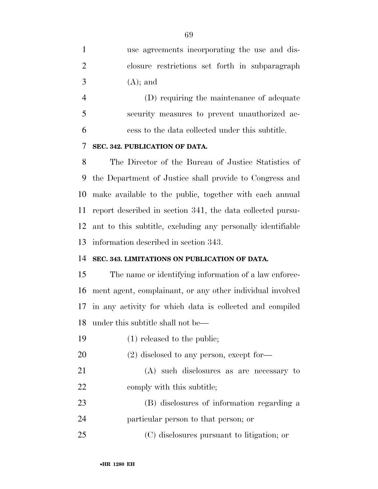use agreements incorporating the use and dis- closure restrictions set forth in subparagraph  $3 \qquad (A);$  and

 (D) requiring the maintenance of adequate security measures to prevent unauthorized ac-cess to the data collected under this subtitle.

# **SEC. 342. PUBLICATION OF DATA.**

 The Director of the Bureau of Justice Statistics of the Department of Justice shall provide to Congress and make available to the public, together with each annual report described in section 341, the data collected pursu- ant to this subtitle, excluding any personally identifiable information described in section 343.

# **SEC. 343. LIMITATIONS ON PUBLICATION OF DATA.**

 The name or identifying information of a law enforce- ment agent, complainant, or any other individual involved in any activity for which data is collected and compiled under this subtitle shall not be—

- (1) released to the public;
- 20 (2) disclosed to any person, except for-
- (A) such disclosures as are necessary to 22 comply with this subtitle;
- (B) disclosures of information regarding a particular person to that person; or
- (C) disclosures pursuant to litigation; or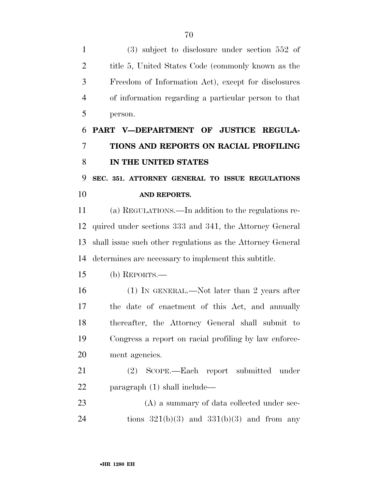(3) subject to disclosure under section 552 of title 5, United States Code (commonly known as the Freedom of Information Act), except for disclosures of information regarding a particular person to that person.

# **PART V—DEPARTMENT OF JUSTICE REGULA- TIONS AND REPORTS ON RACIAL PROFILING IN THE UNITED STATES**

 **SEC. 351. ATTORNEY GENERAL TO ISSUE REGULATIONS AND REPORTS.** 

 (a) REGULATIONS.—In addition to the regulations re- quired under sections 333 and 341, the Attorney General shall issue such other regulations as the Attorney General determines are necessary to implement this subtitle.

(b) REPORTS.—

 (1) IN GENERAL.—Not later than 2 years after the date of enactment of this Act, and annually thereafter, the Attorney General shall submit to Congress a report on racial profiling by law enforce-ment agencies.

 (2) SCOPE.—Each report submitted under paragraph (1) shall include—

23 (A) a summary of data collected under sec-24 tions  $321(b)(3)$  and  $331(b)(3)$  and from any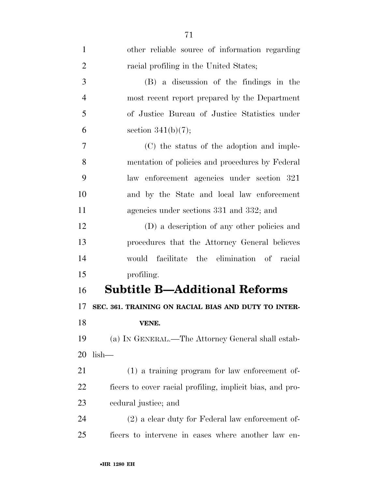| $\mathbf{1}$   | other reliable source of information regarding            |
|----------------|-----------------------------------------------------------|
| $\overline{2}$ | racial profiling in the United States;                    |
| 3              | (B) a discussion of the findings in the                   |
| $\overline{4}$ | most recent report prepared by the Department             |
| 5              | of Justice Bureau of Justice Statistics under             |
| 6              | section $341(b)(7);$                                      |
| 7              | (C) the status of the adoption and imple-                 |
| 8              | mentation of policies and procedures by Federal           |
| 9              | law enforcement agencies under section 321                |
| 10             | and by the State and local law enforcement                |
| 11             | agencies under sections 331 and 332; and                  |
| 12             | (D) a description of any other policies and               |
| 13             | procedures that the Attorney General believes             |
| 14             | would facilitate the elimination of racial                |
| 15             | profiling.                                                |
| 16             | <b>Subtitle B—Additional Reforms</b>                      |
| 17             | SEC. 361. TRAINING ON RACIAL BIAS AND DUTY TO INTER-      |
| 18             | VENE.                                                     |
| 19             | (a) IN GENERAL.—The Attorney General shall estab-         |
| 20             | $lish-$                                                   |
| 21             | $(1)$ a training program for law enforcement of-          |
| 22             | ficers to cover racial profiling, implicit bias, and pro- |
| 23             | eedural justice; and                                      |
| 24             | $(2)$ a clear duty for Federal law enforcement of-        |
| 25             | ficers to intervene in cases where another law en-        |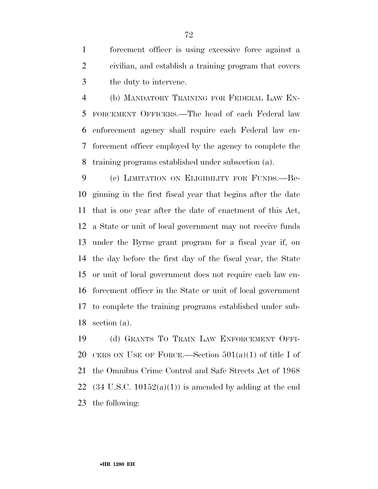forcement officer is using excessive force against a civilian, and establish a training program that covers the duty to intervene.

 (b) MANDATORY TRAINING FOR FEDERAL LAW EN- FORCEMENT OFFICERS.—The head of each Federal law enforcement agency shall require each Federal law en- forcement officer employed by the agency to complete the training programs established under subsection (a).

 (c) LIMITATION ON ELIGIBILITY FOR FUNDS.—Be- ginning in the first fiscal year that begins after the date that is one year after the date of enactment of this Act, a State or unit of local government may not receive funds under the Byrne grant program for a fiscal year if, on the day before the first day of the fiscal year, the State or unit of local government does not require each law en- forcement officer in the State or unit of local government to complete the training programs established under sub-section (a).

 (d) GRANTS TO TRAIN LAW ENFORCEMENT OFFI-20 CERS ON USE OF FORCE.—Section  $501(a)(1)$  of title I of the Omnibus Crime Control and Safe Streets Act of 1968 22 (34 U.S.C. 10152(a)(1)) is amended by adding at the end the following: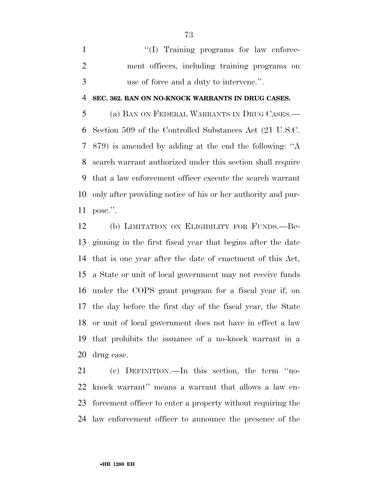1  $\langle (I)$  Training programs for law enforce- ment officers, including training programs on use of force and a duty to intervene.''.

### **SEC. 362. BAN ON NO-KNOCK WARRANTS IN DRUG CASES.**

 (a) BAN ON FEDERAL WARRANTS IN DRUG CASES.— Section 509 of the Controlled Substances Act (21 U.S.C. 879) is amended by adding at the end the following: ''A search warrant authorized under this section shall require that a law enforcement officer execute the search warrant only after providing notice of his or her authority and pur-pose.''.

 (b) LIMITATION ON ELIGIBILITY FOR FUNDS.—Be- ginning in the first fiscal year that begins after the date that is one year after the date of enactment of this Act, a State or unit of local government may not receive funds under the COPS grant program for a fiscal year if, on the day before the first day of the fiscal year, the State or unit of local government does not have in effect a law that prohibits the issuance of a no-knock warrant in a drug case.

 (c) DEFINITION.—In this section, the term ''no- knock warrant'' means a warrant that allows a law en- forcement officer to enter a property without requiring the law enforcement officer to announce the presence of the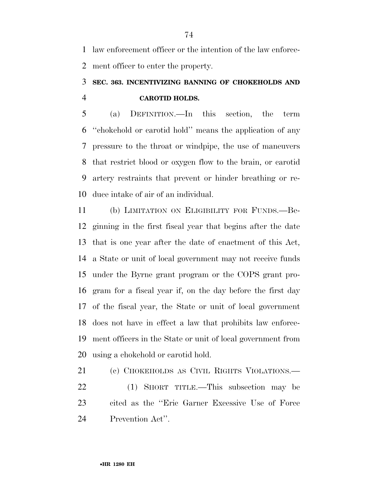law enforcement officer or the intention of the law enforce-ment officer to enter the property.

# **SEC. 363. INCENTIVIZING BANNING OF CHOKEHOLDS AND CAROTID HOLDS.**

 (a) DEFINITION.—In this section, the term ''chokehold or carotid hold'' means the application of any pressure to the throat or windpipe, the use of maneuvers that restrict blood or oxygen flow to the brain, or carotid artery restraints that prevent or hinder breathing or re-duce intake of air of an individual.

 (b) LIMITATION ON ELIGIBILITY FOR FUNDS.—Be- ginning in the first fiscal year that begins after the date that is one year after the date of enactment of this Act, a State or unit of local government may not receive funds under the Byrne grant program or the COPS grant pro- gram for a fiscal year if, on the day before the first day of the fiscal year, the State or unit of local government does not have in effect a law that prohibits law enforce- ment officers in the State or unit of local government from using a chokehold or carotid hold.

 (c) CHOKEHOLDS AS CIVIL RIGHTS VIOLATIONS.— (1) SHORT TITLE.—This subsection may be cited as the ''Eric Garner Excessive Use of Force Prevention Act''.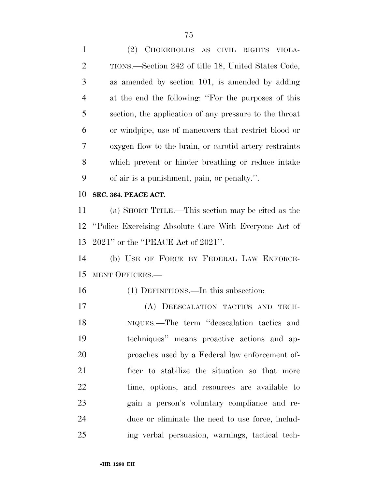(2) CHOKEHOLDS AS CIVIL RIGHTS VIOLA- TIONS.—Section 242 of title 18, United States Code, as amended by section 101, is amended by adding at the end the following: ''For the purposes of this section, the application of any pressure to the throat or windpipe, use of maneuvers that restrict blood or oxygen flow to the brain, or carotid artery restraints which prevent or hinder breathing or reduce intake of air is a punishment, pain, or penalty.''. **SEC. 364. PEACE ACT.**  (a) SHORT TITLE.—This section may be cited as the ''Police Exercising Absolute Care With Everyone Act of 2021'' or the ''PEACE Act of 2021''. (b) USE OF FORCE BY FEDERAL LAW ENFORCE-

MENT OFFICERS.—

## (1) DEFINITIONS.—In this subsection:

 (A) DEESCALATION TACTICS AND TECH- NIQUES.—The term ''deescalation tactics and techniques'' means proactive actions and ap- proaches used by a Federal law enforcement of- ficer to stabilize the situation so that more time, options, and resources are available to gain a person's voluntary compliance and re- duce or eliminate the need to use force, includ-ing verbal persuasion, warnings, tactical tech-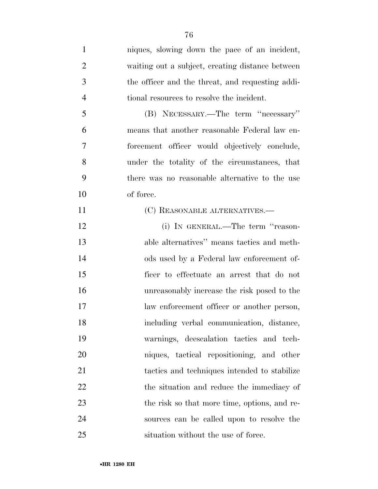niques, slowing down the pace of an incident, waiting out a subject, creating distance between the officer and the threat, and requesting addi- tional resources to resolve the incident. (B) NECESSARY.—The term ''necessary'' means that another reasonable Federal law en- forcement officer would objectively conclude, under the totality of the circumstances, that there was no reasonable alternative to the use of force. 11 (C) REASONABLE ALTERNATIVES.— (i) IN GENERAL.—The term ''reason- able alternatives'' means tactics and meth- ods used by a Federal law enforcement of- ficer to effectuate an arrest that do not unreasonably increase the risk posed to the law enforcement officer or another person, including verbal communication, distance, warnings, deescalation tactics and tech- niques, tactical repositioning, and other tactics and techniques intended to stabilize 22 the situation and reduce the immediacy of 23 the risk so that more time, options, and re- sources can be called upon to resolve the situation without the use of force.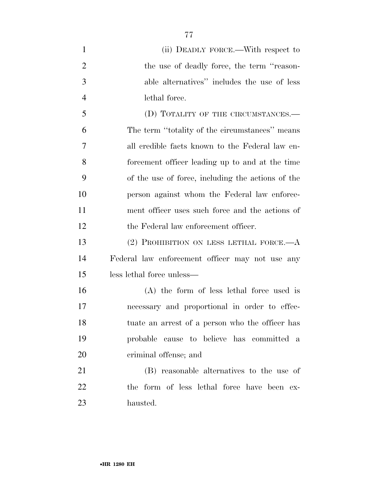| $\mathbf{1}$   | (ii) DEADLY FORCE.—With respect to                |
|----------------|---------------------------------------------------|
| $\overline{2}$ | the use of deadly force, the term "reason-        |
| 3              | able alternatives" includes the use of less       |
| $\overline{4}$ | lethal force.                                     |
| 5              | (D) TOTALITY OF THE CIRCUMSTANCES.-               |
| 6              | The term "totality of the circumstances" means    |
| 7              | all credible facts known to the Federal law en-   |
| 8              | forcement officer leading up to and at the time   |
| 9              | of the use of force, including the actions of the |
| 10             | person against whom the Federal law enforce-      |
| 11             | ment officer uses such force and the actions of   |
| 12             | the Federal law enforcement officer.              |
| 13             | (2) PROHIBITION ON LESS LETHAL FORCE.— $A$        |
| 14             | Federal law enforcement officer may not use any   |
| 15             | less lethal force unless—                         |
| 16             | (A) the form of less lethal force used is         |
| 17             | necessary and proportional in order to effec-     |
| 18             | tuate an arrest of a person who the officer has   |
| 19             | probable cause to believe has committed a         |
| 20             | criminal offense; and                             |
| 21             | (B) reasonable alternatives to the use of         |
| 22             | the form of less lethal force have been ex-       |
| 23             | hausted.                                          |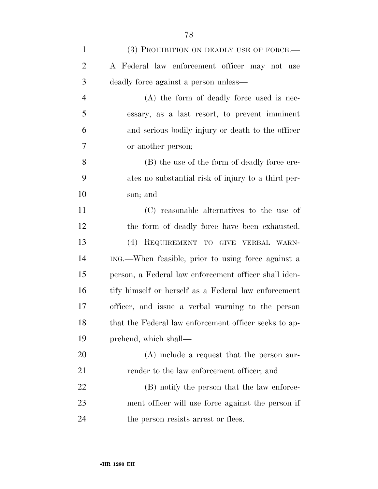| $\mathbf{1}$   | (3) PROHIBITION ON DEADLY USE OF FORCE.—              |
|----------------|-------------------------------------------------------|
| $\overline{2}$ | A Federal law enforcement officer may not use         |
| 3              | deadly force against a person unless—                 |
| $\overline{4}$ | (A) the form of deadly force used is nec-             |
| 5              | essary, as a last resort, to prevent imminent         |
| 6              | and serious bodily injury or death to the officer     |
| 7              | or another person;                                    |
| 8              | (B) the use of the form of deadly force cre-          |
| 9              | ates no substantial risk of injury to a third per-    |
| 10             | son; and                                              |
| 11             | (C) reasonable alternatives to the use of             |
| 12             | the form of deadly force have been exhausted.         |
| 13             | (4) REQUIREMENT TO GIVE VERBAL WARN-                  |
| 14             | ING.—When feasible, prior to using force against a    |
| 15             | person, a Federal law enforcement officer shall iden- |
| 16             | tify himself or herself as a Federal law enforcement  |
| 17             | officer, and issue a verbal warning to the person     |
| 18             | that the Federal law enforcement officer seeks to ap- |
| 19             | prehend, which shall—                                 |
| 20             | $(A)$ include a request that the person sur-          |
| 21             | render to the law enforcement officer; and            |
| 22             | (B) notify the person that the law enforce-           |
| 23             | ment officer will use force against the person if     |
| 24             | the person resists arrest or flees.                   |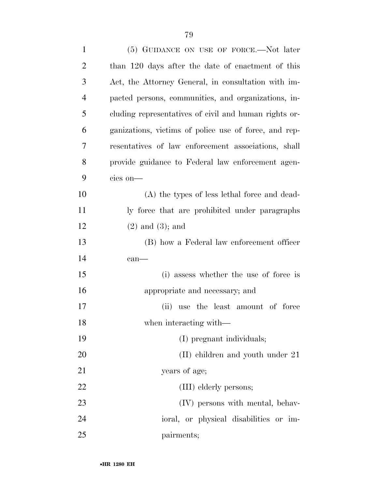| $\mathbf{1}$   | (5) GUIDANCE ON USE OF FORCE.—Not later               |
|----------------|-------------------------------------------------------|
| $\overline{2}$ | than 120 days after the date of enactment of this     |
| 3              | Act, the Attorney General, in consultation with im-   |
| $\overline{4}$ | pacted persons, communities, and organizations, in-   |
| 5              | cluding representatives of civil and human rights or- |
| 6              | ganizations, victims of police use of force, and rep- |
| 7              | resentatives of law enforcement associations, shall   |
| 8              | provide guidance to Federal law enforcement agen-     |
| 9              | cies on-                                              |
| 10             | (A) the types of less lethal force and dead-          |
| 11             | ly force that are prohibited under paragraphs         |
| 12             | $(2)$ and $(3)$ ; and                                 |
| 13             | (B) how a Federal law enforcement officer             |
| 14             | $can$ —                                               |
| 15             | (i) assess whether the use of force is                |
| 16             | appropriate and necessary; and                        |
| 17             | (ii) use the least amount of force                    |
| 18             | when interacting with—                                |
| 19             | (I) pregnant individuals;                             |
| 20             | $(II)$ children and youth under 21                    |
| 21             | years of age;                                         |
| 22             | (III) elderly persons;                                |
| 23             | (IV) persons with mental, behav-                      |
| 24             | ioral, or physical disabilities or im-                |
| 25             | pairments;                                            |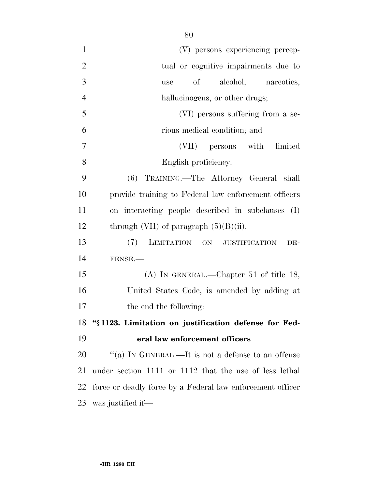| $\mathbf{1}$   | (V) persons experiencing percep-                           |
|----------------|------------------------------------------------------------|
| $\overline{2}$ | tual or cognitive impairments due to                       |
| 3              | alcohol, nareotics,<br>$\sigma f$<br>use                   |
| $\overline{4}$ | hallucinogens, or other drugs;                             |
| 5              | (VI) persons suffering from a se-                          |
| 6              | rious medical condition; and                               |
| $\overline{7}$ | (VII) persons with limited                                 |
| 8              | English proficiency.                                       |
| 9              | (6) TRAINING.—The Attorney General shall                   |
| 10             | provide training to Federal law enforcement officers       |
| 11             | on interacting people described in subclauses (I)          |
| 12             | through (VII) of paragraph $(5)(B)(ii)$ .                  |
| 13             | (7)<br>LIMITATION ON JUSTIFICATION<br>DE-                  |
| 14             | FENSE.                                                     |
| 15             | (A) IN GENERAL.—Chapter 51 of title 18,                    |
| 16             | United States Code, is amended by adding at                |
| 17             | the end the following:                                     |
| 18             | "§1123. Limitation on justification defense for Fed-       |
| 19             | eral law enforcement officers                              |
| 20             | "(a) IN GENERAL.—It is not a defense to an offense         |
| 21             | under section 1111 or 1112 that the use of less lethal     |
| 22             | force or deadly force by a Federal law enforcement officer |
| 23             | was justified if—                                          |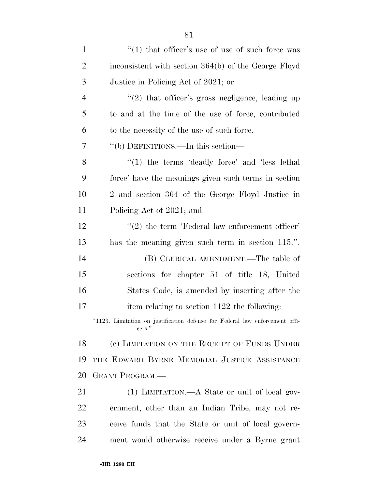| $\mathbf{1}$   | $\cdot$ (1) that officer's use of use of such force was                                 |
|----------------|-----------------------------------------------------------------------------------------|
| $\overline{2}$ | inconsistent with section 364(b) of the George Floyd                                    |
| 3              | Justice in Policing Act of 2021; or                                                     |
| $\overline{4}$ | $"(2)$ that officer's gross negligence, leading up                                      |
| 5              | to and at the time of the use of force, contributed                                     |
| 6              | to the necessity of the use of such force.                                              |
| 7              | "(b) DEFINITIONS.—In this section—                                                      |
| 8              | $\lq(1)$ the terms 'deadly force' and 'less lethal'                                     |
| 9              | force' have the meanings given such terms in section                                    |
| 10             | 2 and section 364 of the George Floyd Justice in                                        |
| 11             | Policing Act of 2021; and                                                               |
| 12             | $\lq(2)$ the term 'Federal law enforcement officer'                                     |
| 13             | has the meaning given such term in section 115.".                                       |
| 14             | (B) CLERICAL AMENDMENT.—The table of                                                    |
| 15             | sections for chapter 51 of title 18, United                                             |
| 16             | States Code, is amended by inserting after the                                          |
| $17\,$         | item relating to section 1122 the following:                                            |
|                | "1123. Limitation on justification defense for Federal law enforcement offi-<br>cers.". |
| 18             | (c) LIMITATION ON THE RECEIPT OF FUNDS UNDER                                            |
| 19             | THE EDWARD BYRNE MEMORIAL JUSTICE ASSISTANCE                                            |
| 20             | <b>GRANT PROGRAM.—</b>                                                                  |
| 21             | $(1)$ LIMITATION.—A State or unit of local gov-                                         |
| 22             | ernment, other than an Indian Tribe, may not re-                                        |
| 23             | ceive funds that the State or unit of local govern-                                     |
| 24             | ment would otherwise receive under a Byrne grant                                        |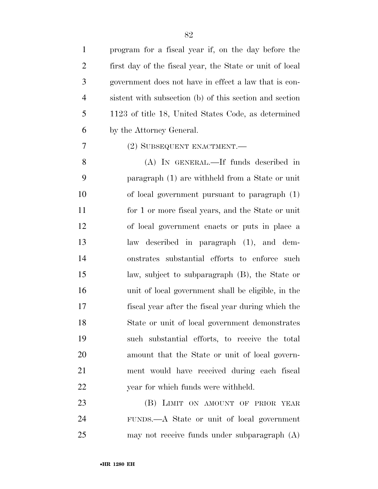program for a fiscal year if, on the day before the first day of the fiscal year, the State or unit of local government does not have in effect a law that is con- sistent with subsection (b) of this section and section 1123 of title 18, United States Code, as determined by the Attorney General.

## (2) SUBSEQUENT ENACTMENT.—

 (A) IN GENERAL.—If funds described in paragraph (1) are withheld from a State or unit of local government pursuant to paragraph (1) for 1 or more fiscal years, and the State or unit of local government enacts or puts in place a law described in paragraph (1), and dem- onstrates substantial efforts to enforce such law, subject to subparagraph (B), the State or unit of local government shall be eligible, in the fiscal year after the fiscal year during which the State or unit of local government demonstrates such substantial efforts, to receive the total amount that the State or unit of local govern- ment would have received during each fiscal 22 year for which funds were withheld.

23 (B) LIMIT ON AMOUNT OF PRIOR YEAR FUNDS.—A State or unit of local government may not receive funds under subparagraph (A)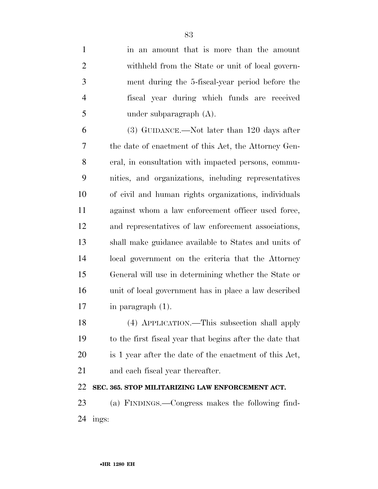| $\mathbf{1}$   | in an amount that is more than the amount                |
|----------------|----------------------------------------------------------|
| $\overline{2}$ | withheld from the State or unit of local govern-         |
| 3              | ment during the 5-fiscal-year period before the          |
| $\overline{4}$ | fiscal year during which funds are received              |
| 5              | under subparagraph (A).                                  |
| 6              | $(3)$ GUIDANCE.—Not later than 120 days after            |
| 7              | the date of enactment of this Act, the Attorney Gen-     |
| 8              | eral, in consultation with impacted persons, commu-      |
| 9              | nities, and organizations, including representatives     |
| 10             | of civil and human rights organizations, individuals     |
| 11             | against whom a law enforcement officer used force,       |
| 12             | and representatives of law enforcement associations,     |
| 13             | shall make guidance available to States and units of     |
| 14             | local government on the criteria that the Attorney       |
| 15             | General will use in determining whether the State or     |
| 16             | unit of local government has in place a law described    |
| 17             | in paragraph $(1)$ .                                     |
| 18             | (4) APPLICATION.—This subsection shall apply             |
| 19             | to the first fiscal year that begins after the date that |
| <b>20</b>      | is 1 year after the date of the enactment of this Act,   |
| 21             | and each fiscal year thereafter.                         |
| 22             | SEC. 365. STOP MILITARIZING LAW ENFORCEMENT ACT.         |
| 23             | (a) FINDINGS.—Congress makes the following find-         |
| 24             | ings:                                                    |
|                |                                                          |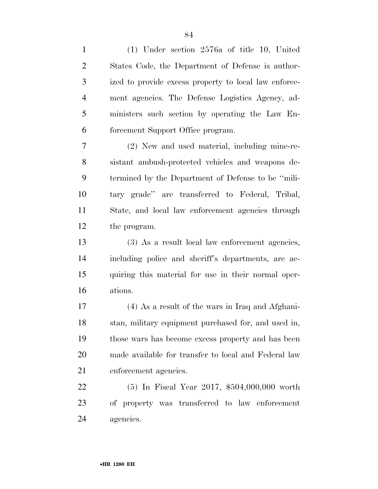(1) Under section 2576a of title 10, United States Code, the Department of Defense is author- ized to provide excess property to local law enforce- ment agencies. The Defense Logistics Agency, ad- ministers such section by operating the Law En-forcement Support Office program.

 (2) New and used material, including mine-re- sistant ambush-protected vehicles and weapons de- termined by the Department of Defense to be ''mili- tary grade'' are transferred to Federal, Tribal, State, and local law enforcement agencies through the program.

 (3) As a result local law enforcement agencies, including police and sheriff's departments, are ac- quiring this material for use in their normal oper-ations.

 (4) As a result of the wars in Iraq and Afghani- stan, military equipment purchased for, and used in, those wars has become excess property and has been made available for transfer to local and Federal law 21 enforcement agencies.

 (5) In Fiscal Year 2017, \$504,000,000 worth of property was transferred to law enforcement agencies.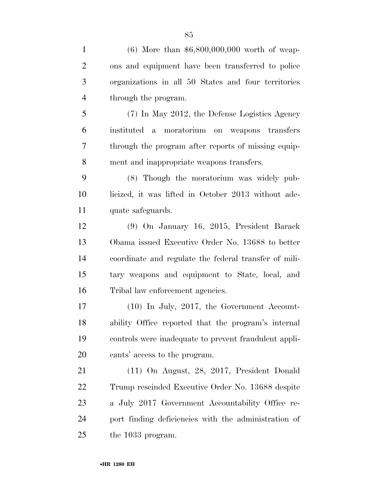| $\mathbf{1}$   | $(6)$ More than \$6,800,000,000 worth of weap-        |
|----------------|-------------------------------------------------------|
| $\overline{2}$ | ons and equipment have been transferred to police     |
| 3              | organizations in all 50 States and four territories   |
| $\overline{4}$ | through the program.                                  |
| 5              | (7) In May 2012, the Defense Logistics Agency         |
| 6              | moratorium on<br>instituted<br>weapons transfers<br>a |
| $\tau$         | through the program after reports of missing equip-   |
| 8              | ment and inappropriate weapons transfers.             |
| 9              | (8) Though the moratorium was widely pub-             |
| 10             | licized, it was lifted in October 2013 without ade-   |
| 11             | quate safeguards.                                     |
| 12             | (9) On January 16, 2015, President Barack             |
| 13             | Obama issued Executive Order No. 13688 to better      |
| 14             | coordinate and regulate the federal transfer of mili- |
| 15             | tary weapons and equipment to State, local, and       |
| 16             | Tribal law enforcement agencies.                      |
| 17             | $(10)$ In July, 2017, the Government Account-         |
| 18             | ability Office reported that the program's internal   |
| 19             | controls were inadequate to prevent fraudulent appli- |
| 20             | cants' access to the program.                         |
| 21             | $(11)$ On August, 28, 2017, President Donald          |
| 22             | Trump rescinded Executive Order No. 13688 despite     |
| 23             | a July 2017 Government Accountability Office re-      |
| 24             | port finding deficiencies with the administration of  |
| 25             | the 1033 program.                                     |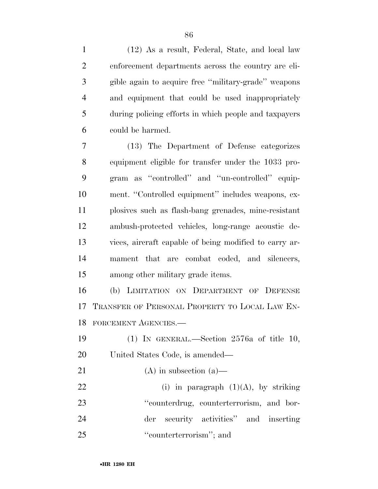(12) As a result, Federal, State, and local law enforcement departments across the country are eli- gible again to acquire free ''military-grade'' weapons and equipment that could be used inappropriately during policing efforts in which people and taxpayers could be harmed.

 (13) The Department of Defense categorizes equipment eligible for transfer under the 1033 pro- gram as ''controlled'' and ''un-controlled'' equip- ment. ''Controlled equipment'' includes weapons, ex- plosives such as flash-bang grenades, mine-resistant ambush-protected vehicles, long-range acoustic de- vices, aircraft capable of being modified to carry ar- mament that are combat coded, and silencers, among other military grade items.

 (b) LIMITATION ON DEPARTMENT OF DEFENSE TRANSFER OF PERSONAL PROPERTY TO LOCAL LAW EN-FORCEMENT AGENCIES.—

 (1) IN GENERAL.—Section 2576a of title 10, United States Code, is amended—

21 (A) in subsection  $(a)$ —

22 (i) in paragraph  $(1)(A)$ , by striking ''counterdrug, counterterrorism, and bor- der security activities'' and inserting ''counterterrorism''; and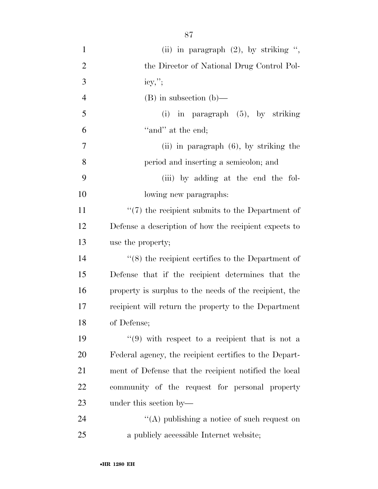| $\mathbf{1}$   | (ii) in paragraph $(2)$ , by striking ",               |
|----------------|--------------------------------------------------------|
| $\overline{2}$ | the Director of National Drug Control Pol-             |
| 3              | $icy,$ ";                                              |
| $\overline{4}$ | $(B)$ in subsection $(b)$ —                            |
| 5              | $(i)$ in paragraph $(5)$ , by striking                 |
| 6              | "and" at the end;                                      |
| 7              | (ii) in paragraph $(6)$ , by striking the              |
| 8              | period and inserting a semicolon; and                  |
| 9              | (iii) by adding at the end the fol-                    |
| 10             | lowing new paragraphs:                                 |
| 11             | $``(7)$ the recipient submits to the Department of     |
| 12             | Defense a description of how the recipient expects to  |
| 13             | use the property;                                      |
| 14             | $(8)$ the recipient certifies to the Department of     |
| 15             | Defense that if the recipient determines that the      |
| 16             | property is surplus to the needs of the recipient, the |
| 17             | recipient will return the property to the Department   |
| 18             | of Defense;                                            |
| 19             | $(9)$ with respect to a recipient that is not a        |
| 20             | Federal agency, the recipient certifies to the Depart- |
| 21             | ment of Defense that the recipient notified the local  |
| 22             | community of the request for personal property         |
| 23             | under this section by—                                 |
| 24             | "(A) publishing a notice of such request on            |
| 25             | a publicly accessible Internet website;                |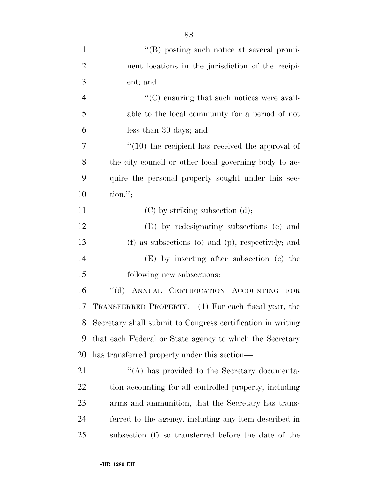| $\mathbf{1}$   | "(B) posting such notice at several promi-                  |
|----------------|-------------------------------------------------------------|
| $\overline{2}$ | nent locations in the jurisdiction of the recipi-           |
| 3              | ent; and                                                    |
| $\overline{4}$ | $\lq\lq$ (C) ensuring that such notices were avail-         |
| 5              | able to the local community for a period of not             |
| 6              | less than 30 days; and                                      |
| 7              | $\lq(10)$ the recipient has received the approval of        |
| 8              | the city council or other local governing body to ac-       |
| 9              | quire the personal property sought under this sec-          |
| 10             | $\text{tion."};$                                            |
| 11             | $(C)$ by striking subsection $(d)$ ;                        |
| 12             | (D) by redesignating subsections (e) and                    |
| 13             | (f) as subsections (o) and (p), respectively; and           |
| 14             | (E) by inserting after subsection (c) the                   |
| 15             | following new subsections:                                  |
| 16             | "(d) ANNUAL CERTIFICATION ACCOUNTING FOR                    |
| 17             | TRANSFERRED PROPERTY.—(1) For each fiscal year, the         |
| 18             | Secretary shall submit to Congress certification in writing |
| 19             | that each Federal or State agency to which the Secretary    |
| 20             | has transferred property under this section—                |
| 21             | "(A) has provided to the Secretary documenta-               |
| 22             | tion accounting for all controlled property, including      |
| 23             | arms and ammunition, that the Secretary has trans-          |
| 24             | ferred to the agency, including any item described in       |
| 25             | subsection (f) so transferred before the date of the        |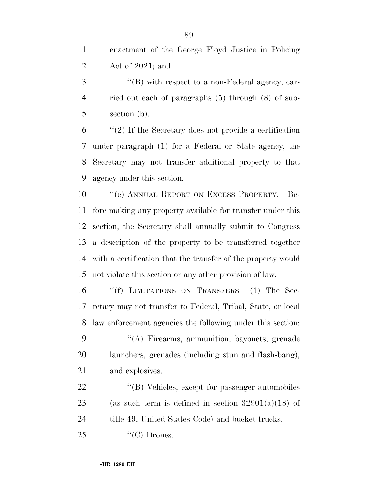| enactment of the George Floyd Justice in Policing |
|---------------------------------------------------|
| Act of $2021$ ; and                               |

3 "(B) with respect to a non-Federal agency, car- ried out each of paragraphs (5) through (8) of sub-section (b).

 ''(2) If the Secretary does not provide a certification under paragraph (1) for a Federal or State agency, the Secretary may not transfer additional property to that agency under this section.

 ''(e) ANNUAL REPORT ON EXCESS PROPERTY.—Be- fore making any property available for transfer under this section, the Secretary shall annually submit to Congress a description of the property to be transferred together with a certification that the transfer of the property would not violate this section or any other provision of law.

 ''(f) LIMITATIONS ON TRANSFERS.—(1) The Sec- retary may not transfer to Federal, Tribal, State, or local law enforcement agencies the following under this section: ''(A) Firearms, ammunition, bayonets, grenade

 launchers, grenades (including stun and flash-bang), and explosives.

22 ''(B) Vehicles, except for passenger automobiles 23 (as such term is defined in section  $32901(a)(18)$  of 24 title 49, United States Code) and bucket trucks.

''(C) Drones.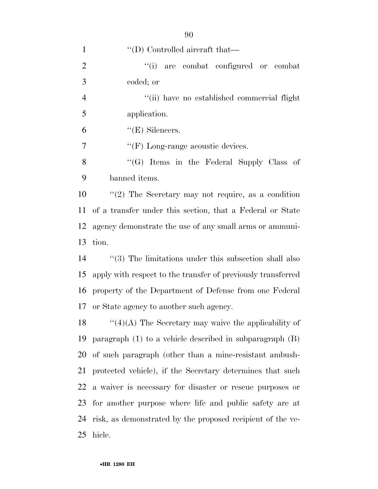| $\mathbf{1}$   | $\lq$ (D) Controlled aircraft that—                          |
|----------------|--------------------------------------------------------------|
| $\overline{2}$ | "(i) are combat configured or combat                         |
| 3              | coded; or                                                    |
| $\overline{4}$ | "(ii) have no established commercial flight                  |
| 5              | application.                                                 |
| 6              | $\lq\lq(E)$ Silencers.                                       |
| 7              | $\lq\lq(F)$ Long-range acoustic devices.                     |
| 8              | "(G) Items in the Federal Supply Class of                    |
| 9              | banned items.                                                |
| 10             | "(2) The Secretary may not require, as a condition           |
| 11             | of a transfer under this section, that a Federal or State    |
| 12             | agency demonstrate the use of any small arms or ammuni-      |
| 13             | tion.                                                        |
| 14             | $\lq(3)$ The limitations under this subsection shall also    |
| 15             | apply with respect to the transfer of previously transferred |
| 16             | property of the Department of Defense from one Federal       |
|                | 17 or State agency to another such agency.                   |
| 18             | " $(4)(A)$ The Secretary may waive the applicability of      |
| 19             | paragraph $(1)$ to a vehicle described in subparagraph $(B)$ |
| 20             | of such paragraph (other than a mine-resistant ambush-       |
| 21             | protected vehicle), if the Secretary determines that such    |
|                | 22 a waiver is necessary for disaster or rescue purposes or  |
| 23             | for another purpose where life and public safety are at      |
| 24             | risk, as demonstrated by the proposed recipient of the ve-   |
| 25             | hicle.                                                       |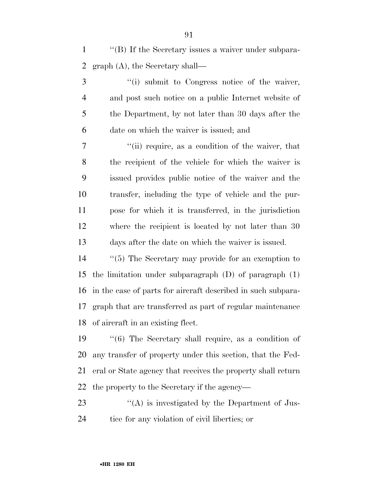''(B) If the Secretary issues a waiver under subpara-graph (A), the Secretary shall—

 ''(i) submit to Congress notice of the waiver, and post such notice on a public Internet website of the Department, by not later than 30 days after the date on which the waiver is issued; and

 ''(ii) require, as a condition of the waiver, that the recipient of the vehicle for which the waiver is issued provides public notice of the waiver and the transfer, including the type of vehicle and the pur- pose for which it is transferred, in the jurisdiction where the recipient is located by not later than 30 days after the date on which the waiver is issued.

 ''(5) The Secretary may provide for an exemption to the limitation under subparagraph (D) of paragraph (1) in the case of parts for aircraft described in such subpara- graph that are transferred as part of regular maintenance of aircraft in an existing fleet.

 ''(6) The Secretary shall require, as a condition of any transfer of property under this section, that the Fed- eral or State agency that receives the property shall return the property to the Secretary if the agency—

23 "(A) is investigated by the Department of Jus-tice for any violation of civil liberties; or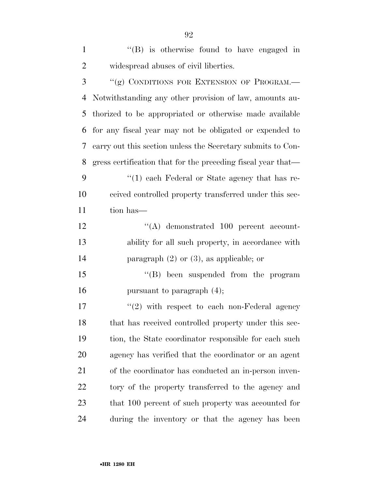| $\mathbf{1}$   | $\lq\lq$ is otherwise found to have engaged in               |
|----------------|--------------------------------------------------------------|
| $\overline{2}$ | widespread abuses of civil liberties.                        |
| 3              | "(g) CONDITIONS FOR EXTENSION OF PROGRAM.-                   |
| 4              | Notwithstanding any other provision of law, amounts au-      |
| 5              | thorized to be appropriated or otherwise made available      |
| 6              | for any fiscal year may not be obligated or expended to      |
| 7              | carry out this section unless the Secretary submits to Con-  |
| 8              | gress certification that for the preceding fiscal year that— |
| 9              | $\lq(1)$ each Federal or State agency that has re-           |
| 10             | ceived controlled property transferred under this sec-       |
| 11             | tion has—                                                    |
| 12             | $\lq\lq$ demonstrated 100 percent account-                   |
| 13             | ability for all such property, in accordance with            |
| 14             | paragraph $(2)$ or $(3)$ , as applicable; or                 |
| 15             | $\lq\lq$ been suspended from the program                     |
| 16             | pursuant to paragraph $(4)$ ;                                |
| 17             | $\lq(2)$ with respect to each non-Federal agency             |
| 18             | that has received controlled property under this sec-        |
| 19             | tion, the State coordinator responsible for each such        |
| 20             | agency has verified that the coordinator or an agent         |
| 21             | of the coordinator has conducted an in-person inven-         |
| 22             | tory of the property transferred to the agency and           |
| 23             | that 100 percent of such property was accounted for          |
| 24             | during the inventory or that the agency has been             |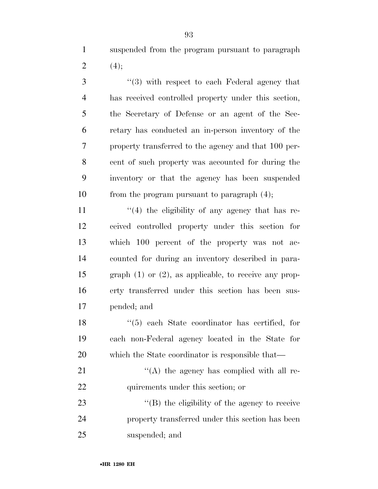suspended from the program pursuant to paragraph 2  $(4)$ ;

 ''(3) with respect to each Federal agency that has received controlled property under this section, the Secretary of Defense or an agent of the Sec- retary has conducted an in-person inventory of the property transferred to the agency and that 100 per- cent of such property was accounted for during the inventory or that the agency has been suspended from the program pursuant to paragraph (4);

 $\frac{1}{4}$  the eligibility of any agency that has re- ceived controlled property under this section for which 100 percent of the property was not ac- counted for during an inventory described in para- graph (1) or (2), as applicable, to receive any prop- erty transferred under this section has been sus-pended; and

 ''(5) each State coordinator has certified, for each non-Federal agency located in the State for which the State coordinator is responsible that—

21 ''(A) the agency has complied with all re-22 quirements under this section; or

23  $\langle (B)$  the eligibility of the agency to receive property transferred under this section has been suspended; and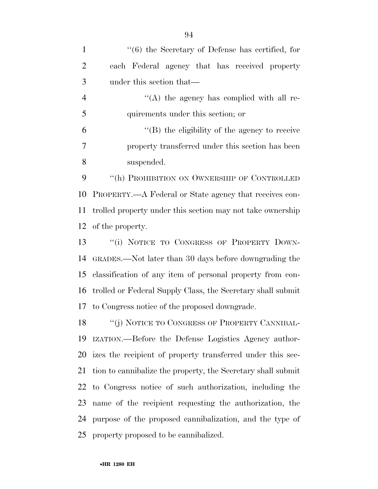| $\mathbf{1}$   | $\cdot\cdot$ (6) the Secretary of Defense has certified, for  |
|----------------|---------------------------------------------------------------|
| $\overline{2}$ | each Federal agency that has received property                |
| 3              | under this section that—                                      |
| $\overline{4}$ | $\lq\lq$ the agency has complied with all re-                 |
| 5              | quirements under this section; or                             |
| 6              | $\lq\lq$ the eligibility of the agency to receive             |
| 7              | property transferred under this section has been              |
| 8              | suspended.                                                    |
| 9              | "(h) PROHIBITION ON OWNERSHIP OF CONTROLLED                   |
| 10             | PROPERTY.—A Federal or State agency that receives con-        |
| 11             | trolled property under this section may not take ownership    |
| 12             | of the property.                                              |
| 13             | "(i) NOTICE TO CONGRESS OF PROPERTY DOWN-                     |
| 14             | GRADES.—Not later than 30 days before downgrading the         |
| 15             | classification of any item of personal property from con-     |
| 16             | trolled or Federal Supply Class, the Secretary shall submit   |
|                | 17 to Congress notice of the proposed downgrade.              |
| 18             | "(j) NOTICE TO CONGRESS OF PROPERTY CANNIBAL-                 |
| 19             | IZATION.—Before the Defense Logistics Agency author-          |
|                | 20 izes the recipient of property transferred under this sec- |
| 21             | tion to cannibalize the property, the Secretary shall submit  |
|                | 22 to Congress notice of such authorization, including the    |
| 23             | name of the recipient requesting the authorization, the       |
| 24             | purpose of the proposed cannibalization, and the type of      |
|                | 25 property proposed to be cannibalized.                      |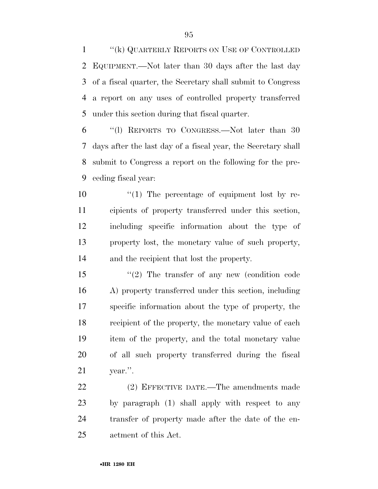''(k) QUARTERLY REPORTS ON USE OF CONTROLLED EQUIPMENT.—Not later than 30 days after the last day of a fiscal quarter, the Secretary shall submit to Congress a report on any uses of controlled property transferred under this section during that fiscal quarter.

 ''(l) REPORTS TO CONGRESS.—Not later than 30 days after the last day of a fiscal year, the Secretary shall submit to Congress a report on the following for the pre-ceding fiscal year:

 $\frac{10}{10}$  The percentage of equipment lost by re- cipients of property transferred under this section, including specific information about the type of property lost, the monetary value of such property, and the recipient that lost the property.

 ''(2) The transfer of any new (condition code A) property transferred under this section, including specific information about the type of property, the recipient of the property, the monetary value of each item of the property, and the total monetary value of all such property transferred during the fiscal year.''.

 (2) EFFECTIVE DATE.—The amendments made by paragraph (1) shall apply with respect to any transfer of property made after the date of the en-actment of this Act.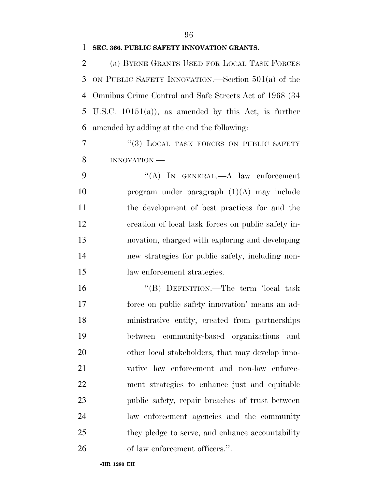### **SEC. 366. PUBLIC SAFETY INNOVATION GRANTS.**

 (a) BYRNE GRANTS USED FOR LOCAL TASK FORCES ON PUBLIC SAFETY INNOVATION.—Section 501(a) of the Omnibus Crime Control and Safe Streets Act of 1968 (34 U.S.C. 10151(a)), as amended by this Act, is further amended by adding at the end the following:

7 "(3) LOCAL TASK FORCES ON PUBLIC SAFETY INNOVATION.—

 ''(A) IN GENERAL.—A law enforcement program under paragraph (1)(A) may include the development of best practices for and the creation of local task forces on public safety in- novation, charged with exploring and developing new strategies for public safety, including non-law enforcement strategies.

 ''(B) DEFINITION.—The term 'local task force on public safety innovation' means an ad- ministrative entity, created from partnerships between community-based organizations and other local stakeholders, that may develop inno- vative law enforcement and non-law enforce- ment strategies to enhance just and equitable public safety, repair breaches of trust between law enforcement agencies and the community 25 they pledge to serve, and enhance accountability 26 of law enforcement officers.".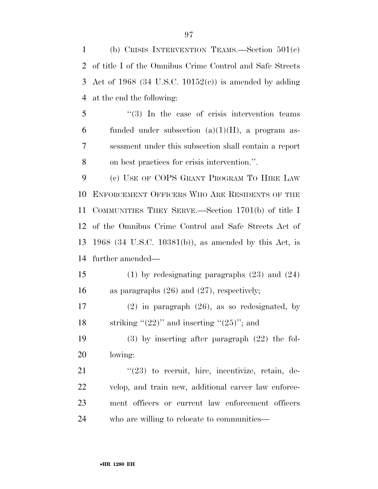(b) CRISIS INTERVENTION TEAMS.—Section 501(c) of title I of the Omnibus Crime Control and Safe Streets Act of 1968 (34 U.S.C. 10152(c)) is amended by adding at the end the following:

5 "(3) In the case of crisis intervention teams 6 funded under subsection  $(a)(1)(H)$ , a program as- sessment under this subsection shall contain a report on best practices for crisis intervention.''.

 (c) USE OF COPS GRANT PROGRAM TO HIRE LAW ENFORCEMENT OFFICERS WHO ARE RESIDENTS OF THE COMMUNITIES THEY SERVE.—Section 1701(b) of title I of the Omnibus Crime Control and Safe Streets Act of 1968 (34 U.S.C. 10381(b)), as amended by this Act, is further amended—

 (1) by redesignating paragraphs (23) and (24) as paragraphs (26) and (27), respectively;

 (2) in paragraph (26), as so redesignated, by 18 striking " $(22)$ " and inserting " $(25)$ "; and

 (3) by inserting after paragraph (22) the fol-lowing:

 ''(23) to recruit, hire, incentivize, retain, de- velop, and train new, additional career law enforce- ment officers or current law enforcement officers who are willing to relocate to communities—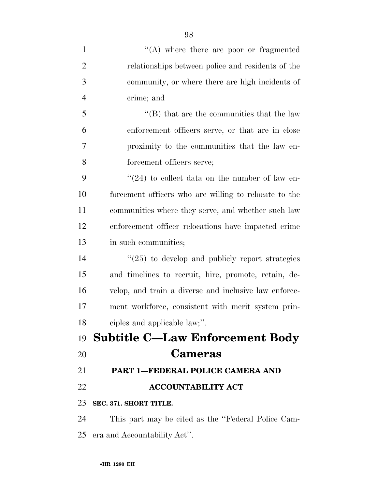| $\mathbf{1}$   | $\lq\lq$ where there are poor or fragmented           |
|----------------|-------------------------------------------------------|
| $\overline{2}$ | relationships between police and residents of the     |
| 3              | community, or where there are high incidents of       |
| $\overline{4}$ | crime; and                                            |
| 5              | $\lq\lq$ that are the communities that the law        |
| 6              | enforcement officers serve, or that are in close      |
| 7              | proximity to the communities that the law en-         |
| 8              | forcement officers serve;                             |
| 9              | $\cdot$ (24) to collect data on the number of law en- |
| 10             | forcement officers who are willing to relocate to the |
| 11             | communities where they serve, and whether such law    |
| 12             | enforcement officer relocations have impacted crime   |
| 13             | in such communities;                                  |
| 14             | $\lq(25)$ to develop and publicly report strategies   |
| 15             | and timelines to recruit, hire, promote, retain, de-  |
| 16             | velop, and train a diverse and inclusive law enforce- |
| 17             | ment workforce, consistent with merit system prin-    |
| 18             | ciples and applicable law;".                          |
|                | 19 Subtitle C—Law Enforcement Body                    |
| 20             | <b>Cameras</b>                                        |
| 21             | PART 1-FEDERAL POLICE CAMERA AND                      |
| 22             | <b>ACCOUNTABILITY ACT</b>                             |
| 23             | SEC. 371. SHORT TITLE.                                |
| 24             | This part may be cited as the "Federal Police Cam-    |
| 25             | era and Accountability Act".                          |
|                |                                                       |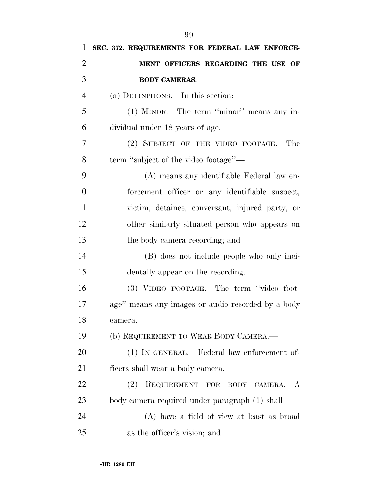| 1              | SEC. 372. REQUIREMENTS FOR FEDERAL LAW ENFORCE-   |
|----------------|---------------------------------------------------|
| $\overline{2}$ | MENT OFFICERS REGARDING THE USE OF                |
| 3              | <b>BODY CAMERAS.</b>                              |
| $\overline{4}$ | (a) DEFINITIONS.—In this section:                 |
| 5              | (1) MINOR.—The term "minor" means any in-         |
| 6              | dividual under 18 years of age.                   |
| 7              | (2) SUBJECT OF THE VIDEO FOOTAGE.—The             |
| 8              | term "subject of the video footage"—              |
| 9              | (A) means any identifiable Federal law en-        |
| 10             | forcement officer or any identifiable suspect,    |
| 11             | victim, detainee, conversant, injured party, or   |
| 12             | other similarly situated person who appears on    |
| 13             | the body camera recording; and                    |
| 14             | (B) does not include people who only inci-        |
| 15             | dentally appear on the recording.                 |
| 16             | (3) VIDEO FOOTAGE.—The term "video foot-          |
| 17             | age" means any images or audio recorded by a body |
| 18             | camera.                                           |
| 19             | (b) REQUIREMENT TO WEAR BODY CAMERA.—             |
| 20             | (1) IN GENERAL.—Federal law enforcement of-       |
| 21             | ficers shall wear a body camera.                  |
| 22             | (2)<br>REQUIREMENT FOR BODY CAMERA.-A             |
| 23             | body camera required under paragraph (1) shall—   |
| 24             | (A) have a field of view at least as broad        |
| 25             | as the officer's vision; and                      |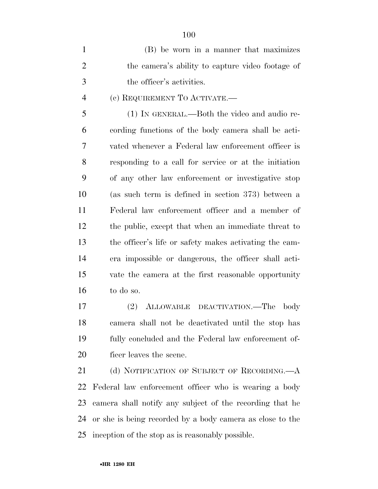| $\mathbf{1}$   | (B) be worn in a manner that maximizes                 |
|----------------|--------------------------------------------------------|
| $\overline{2}$ | the camera's ability to capture video footage of       |
| 3              | the officer's activities.                              |
| $\overline{4}$ | (c) REQUIREMENT TO ACTIVATE.—                          |
| 5              | (1) IN GENERAL.—Both the video and audio re-           |
| 6              | cording functions of the body camera shall be acti-    |
| 7              | vated whenever a Federal law enforcement officer is    |
| 8              | responding to a call for service or at the initiation  |
| 9              | of any other law enforcement or investigative stop     |
| 10             | (as such term is defined in section 373) between a     |
| 11             | Federal law enforcement officer and a member of        |
| 12             | the public, except that when an immediate threat to    |
| 13             | the officer's life or safety makes activating the cam- |
| 14             | era impossible or dangerous, the officer shall acti-   |
| 15             | vate the camera at the first reasonable opportunity    |
| 16             | to do so.                                              |

 (2) ALLOWABLE DEACTIVATION.—The body camera shall not be deactivated until the stop has fully concluded and the Federal law enforcement of-ficer leaves the scene.

21 (d) NOTIFICATION OF SUBJECT OF RECORDING.—A Federal law enforcement officer who is wearing a body camera shall notify any subject of the recording that he or she is being recorded by a body camera as close to the inception of the stop as is reasonably possible.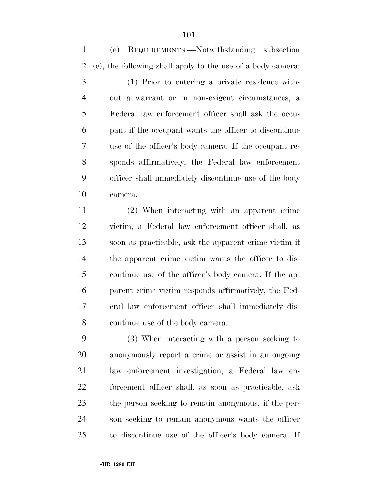(e) REQUIREMENTS.—Notwithstanding subsection (c), the following shall apply to the use of a body camera:

 (1) Prior to entering a private residence with- out a warrant or in non-exigent circumstances, a Federal law enforcement officer shall ask the occu- pant if the occupant wants the officer to discontinue use of the officer's body camera. If the occupant re- sponds affirmatively, the Federal law enforcement officer shall immediately discontinue use of the body camera.

 (2) When interacting with an apparent crime victim, a Federal law enforcement officer shall, as soon as practicable, ask the apparent crime victim if the apparent crime victim wants the officer to dis- continue use of the officer's body camera. If the ap- parent crime victim responds affirmatively, the Fed- eral law enforcement officer shall immediately dis-continue use of the body camera.

 (3) When interacting with a person seeking to anonymously report a crime or assist in an ongoing law enforcement investigation, a Federal law en- forcement officer shall, as soon as practicable, ask the person seeking to remain anonymous, if the per- son seeking to remain anonymous wants the officer to discontinue use of the officer's body camera. If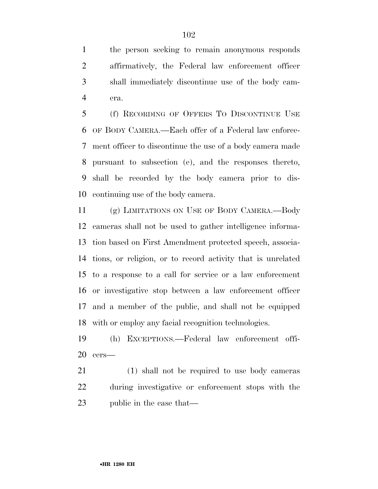the person seeking to remain anonymous responds affirmatively, the Federal law enforcement officer shall immediately discontinue use of the body cam-era.

 (f) RECORDING OF OFFERS TO DISCONTINUE USE OF BODY CAMERA.—Each offer of a Federal law enforce- ment officer to discontinue the use of a body camera made pursuant to subsection (e), and the responses thereto, shall be recorded by the body camera prior to dis-continuing use of the body camera.

 (g) LIMITATIONS ON USE OF BODY CAMERA.—Body cameras shall not be used to gather intelligence informa- tion based on First Amendment protected speech, associa- tions, or religion, or to record activity that is unrelated to a response to a call for service or a law enforcement or investigative stop between a law enforcement officer and a member of the public, and shall not be equipped with or employ any facial recognition technologies.

 (h) EXCEPTIONS.—Federal law enforcement offi-cers—

 (1) shall not be required to use body cameras during investigative or enforcement stops with the public in the case that—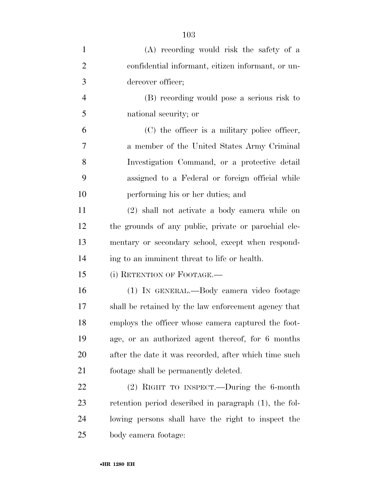| $\mathbf{1}$   | (A) recording would risk the safety of a              |
|----------------|-------------------------------------------------------|
| $\overline{2}$ | confidential informant, citizen informant, or un-     |
| 3              | dercover officer;                                     |
| $\overline{4}$ | (B) recording would pose a serious risk to            |
| 5              | national security; or                                 |
| 6              | (C) the officer is a military police officer,         |
| $\tau$         | a member of the United States Army Criminal           |
| 8              | Investigation Command, or a protective detail         |
| 9              | assigned to a Federal or foreign official while       |
| 10             | performing his or her duties; and                     |
| 11             | (2) shall not activate a body camera while on         |
| 12             | the grounds of any public, private or parochial ele-  |
| 13             | mentary or secondary school, except when respond-     |
| 14             | ing to an imminent threat to life or health.          |
| 15             | (i) RETENTION OF FOOTAGE.—                            |
| 16             | (1) IN GENERAL.—Body camera video footage             |
| 17             | shall be retained by the law enforcement agency that  |
| 18             | employs the officer whose camera captured the foot-   |
| 19             | age, or an authorized agent thereof, for 6 months     |
| 20             | after the date it was recorded, after which time such |
| 21             | footage shall be permanently deleted.                 |
| 22             | $(2)$ RIGHT TO INSPECT.—During the 6-month            |
| 23             | retention period described in paragraph (1), the fol- |
| 24             | lowing persons shall have the right to inspect the    |
| 25             | body camera footage:                                  |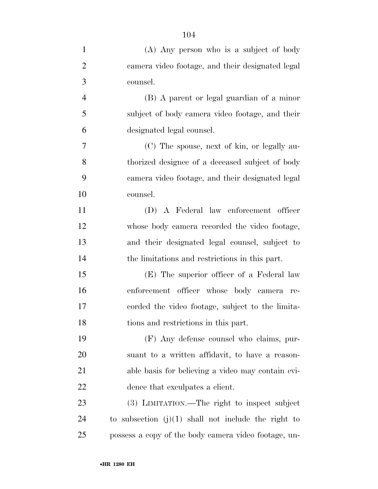| $\mathbf{1}$   | (A) Any person who is a subject of body               |
|----------------|-------------------------------------------------------|
| $\overline{2}$ | camera video footage, and their designated legal      |
| 3              | counsel.                                              |
| $\overline{4}$ | (B) A parent or legal guardian of a minor             |
| 5              | subject of body camera video footage, and their       |
| 6              | designated legal counsel.                             |
| 7              | (C) The spouse, next of kin, or legally au-           |
| 8              | thorized designee of a deceased subject of body       |
| 9              | camera video footage, and their designated legal      |
| 10             | counsel.                                              |
| 11             | (D) A Federal law enforcement officer                 |
| 12             | whose body camera recorded the video footage,         |
| 13             | and their designated legal counsel, subject to        |
| 14             | the limitations and restrictions in this part.        |
| 15             | (E) The superior officer of a Federal law             |
| 16             | enforcement officer whose body camera re-             |
| 17             | corded the video footage, subject to the limita-      |
| 18             | tions and restrictions in this part.                  |
| 19             | (F) Any defense counsel who claims, pur-              |
| 20             | suant to a written affidavit, to have a reason-       |
| 21             | able basis for believing a video may contain evi-     |
| 22             | dence that exculpates a client.                       |
| 23             | (3) LIMITATION.—The right to inspect subject          |
| 24             | to subsection $(j)(1)$ shall not include the right to |
| 25             | possess a copy of the body camera video footage, un-  |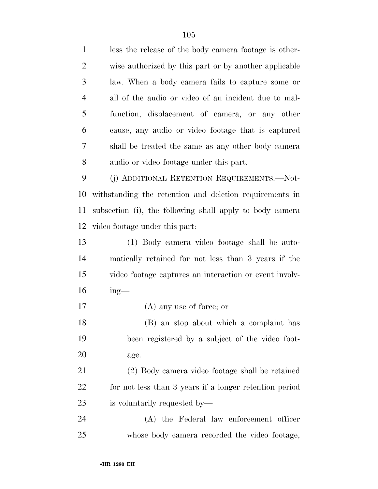| $\mathbf{1}$   | less the release of the body camera footage is other-    |
|----------------|----------------------------------------------------------|
| $\overline{2}$ | wise authorized by this part or by another applicable    |
| 3              | law. When a body camera fails to capture some or         |
| $\overline{4}$ | all of the audio or video of an incident due to mal-     |
| 5              | function, displacement of camera, or any other           |
| 6              | cause, any audio or video footage that is captured       |
| 7              | shall be treated the same as any other body camera       |
| 8              | audio or video footage under this part.                  |
| 9              | (j) ADDITIONAL RETENTION REQUIREMENTS.—Not-              |
| 10             | withstanding the retention and deletion requirements in  |
| 11             | subsection (i), the following shall apply to body camera |
| 12             | video footage under this part.                           |
| 13             | (1) Body camera video footage shall be auto-             |
| 14             | matically retained for not less than 3 years if the      |
| 15             | video footage captures an interaction or event involv-   |
| 16             | $ing$ —                                                  |
| 17             | $(A)$ any use of force; or                               |
| 18             | (B) an stop about which a complaint has                  |
| 19             | been registered by a subject of the video foot-          |
| <b>20</b>      | age.                                                     |
| 21             | (2) Body camera video footage shall be retained          |
| 22             | for not less than 3 years if a longer retention period   |
| 23             | is voluntarily requested by—                             |
| 24             | (A) the Federal law enforcement officer                  |
| 25             | whose body camera recorded the video footage,            |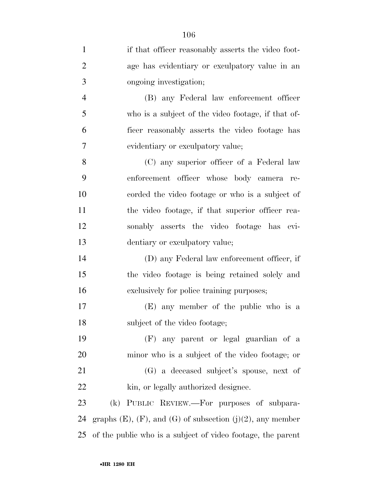| $\mathbf{1}$   | if that officer reasonably asserts the video foot-                   |
|----------------|----------------------------------------------------------------------|
| $\overline{2}$ | age has evidentiary or exculpatory value in an                       |
| 3              | ongoing investigation;                                               |
| $\overline{4}$ | (B) any Federal law enforcement officer                              |
| 5              | who is a subject of the video footage, if that of-                   |
| 6              | ficer reasonably asserts the video footage has                       |
| 7              | evidentiary or exculpatory value;                                    |
| 8              | (C) any superior officer of a Federal law                            |
| 9              | enforcement officer whose body camera re-                            |
| 10             | corded the video footage or who is a subject of                      |
| 11             | the video footage, if that superior officer rea-                     |
| 12             | sonably asserts the video footage has evi-                           |
| 13             | dentiary or exculpatory value;                                       |
| 14             | (D) any Federal law enforcement officer, if                          |
| 15             | the video footage is being retained solely and                       |
| 16             | exclusively for police training purposes;                            |
| 17             | (E) any member of the public who is a                                |
| 18             | subject of the video footage;                                        |
| 19             | (F) any parent or legal guardian of a                                |
| 20             | minor who is a subject of the video footage; or                      |
| 21             | (G) a deceased subject's spouse, next of                             |
| <u>22</u>      | kin, or legally authorized designee.                                 |
| 23             | (k) PUBLIC REVIEW.—For purposes of subpara-                          |
| 24             | graphs $(E)$ , $(F)$ , and $(G)$ of subsection $(j)(2)$ , any member |
| 25             | of the public who is a subject of video footage, the parent          |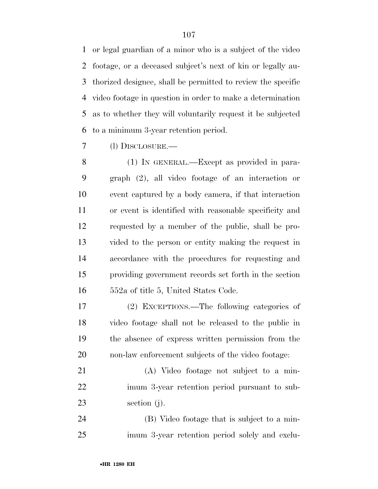or legal guardian of a minor who is a subject of the video footage, or a deceased subject's next of kin or legally au- thorized designee, shall be permitted to review the specific video footage in question in order to make a determination as to whether they will voluntarily request it be subjected to a minimum 3-year retention period.

(l) DISCLOSURE.—

 (1) IN GENERAL.—Except as provided in para- graph (2), all video footage of an interaction or event captured by a body camera, if that interaction or event is identified with reasonable specificity and requested by a member of the public, shall be pro- vided to the person or entity making the request in accordance with the procedures for requesting and providing government records set forth in the section 552a of title 5, United States Code.

 (2) EXCEPTIONS.—The following categories of video footage shall not be released to the public in the absence of express written permission from the non-law enforcement subjects of the video footage:

 (A) Video footage not subject to a min- imum 3-year retention period pursuant to sub-section (j).

 (B) Video footage that is subject to a min-imum 3-year retention period solely and exclu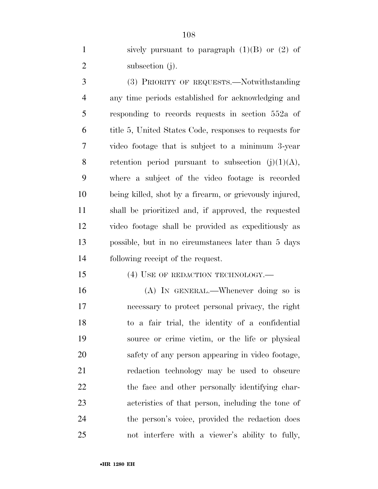1 sively pursuant to paragraph  $(1)(B)$  or  $(2)$  of 2 subsection (j).

 (3) PRIORITY OF REQUESTS.—Notwithstanding any time periods established for acknowledging and responding to records requests in section 552a of title 5, United States Code, responses to requests for video footage that is subject to a minimum 3-year 8 retention period pursuant to subsection  $(j)(1)(A)$ , where a subject of the video footage is recorded being killed, shot by a firearm, or grievously injured, shall be prioritized and, if approved, the requested video footage shall be provided as expeditiously as possible, but in no circumstances later than 5 days following receipt of the request.

15 (4) USE OF REDACTION TECHNOLOGY.—

 (A) IN GENERAL.—Whenever doing so is necessary to protect personal privacy, the right to a fair trial, the identity of a confidential source or crime victim, or the life or physical safety of any person appearing in video footage, redaction technology may be used to obscure 22 the face and other personally identifying char- acteristics of that person, including the tone of the person's voice, provided the redaction does not interfere with a viewer's ability to fully,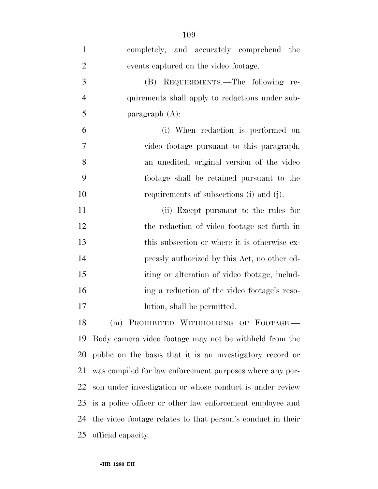| $\mathbf{1}$   | completely, and accurately comprehend the                   |
|----------------|-------------------------------------------------------------|
| $\overline{2}$ | events captured on the video footage.                       |
| 3              | (B) REQUIREMENTS.—The following re-                         |
| $\overline{4}$ | quirements shall apply to redactions under sub-             |
| 5              | paragraph $(A)$ :                                           |
| 6              | (i) When redaction is performed on                          |
| $\overline{7}$ | video footage pursuant to this paragraph,                   |
| 8              | an unedited, original version of the video                  |
| 9              | footage shall be retained pursuant to the                   |
| 10             | requirements of subsections (i) and (j).                    |
| 11             | (ii) Except pursuant to the rules for                       |
| 12             | the redaction of video footage set forth in                 |
| 13             | this subsection or where it is otherwise ex-                |
| 14             | pressly authorized by this Act, no other ed-                |
| 15             | iting or alteration of video footage, includ-               |
| 16             | ing a reduction of the video footage's reso-                |
| 17             | lution, shall be permitted.                                 |
| 18             | (m) PROHIBITED WITHHOLDING OF FOOTAGE.-                     |
| 19             | Body camera video footage may not be withheld from the      |
| <b>20</b>      | public on the basis that it is an investigatory record or   |
| 21             | was compiled for law enforcement purposes where any per-    |
| 22             | son under investigation or whose conduct is under review    |
| 23             | is a police officer or other law enforcement employee and   |
| 24             | the video footage relates to that person's conduct in their |
| 25             | official capacity.                                          |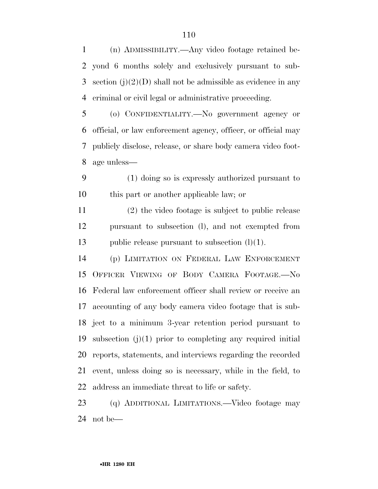(n) ADMISSIBILITY.—Any video footage retained be- yond 6 months solely and exclusively pursuant to sub-3 section  $(j)(2)(D)$  shall not be admissible as evidence in any criminal or civil legal or administrative proceeding.

 (o) CONFIDENTIALITY.—No government agency or official, or law enforcement agency, officer, or official may publicly disclose, release, or share body camera video foot-age unless—

 (1) doing so is expressly authorized pursuant to this part or another applicable law; or

 (2) the video footage is subject to public release pursuant to subsection (l), and not exempted from 13 public release pursuant to subsection  $(l)(1)$ .

 (p) LIMITATION ON FEDERAL LAW ENFORCEMENT OFFICER VIEWING OF BODY CAMERA FOOTAGE.—No Federal law enforcement officer shall review or receive an accounting of any body camera video footage that is sub- ject to a minimum 3-year retention period pursuant to subsection (j)(1) prior to completing any required initial reports, statements, and interviews regarding the recorded event, unless doing so is necessary, while in the field, to address an immediate threat to life or safety.

 (q) ADDITIONAL LIMITATIONS.—Video footage may not be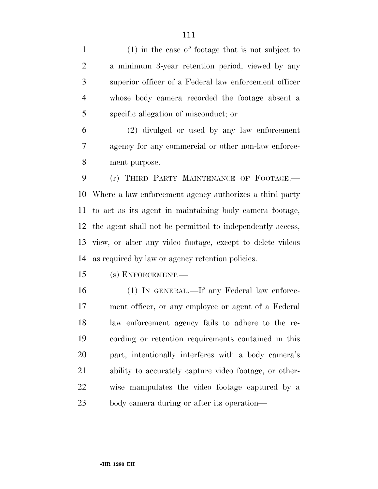(1) in the case of footage that is not subject to a minimum 3-year retention period, viewed by any superior officer of a Federal law enforcement officer whose body camera recorded the footage absent a specific allegation of misconduct; or

 (2) divulged or used by any law enforcement agency for any commercial or other non-law enforce-ment purpose.

 (r) THIRD PARTY MAINTENANCE OF FOOTAGE.— Where a law enforcement agency authorizes a third party to act as its agent in maintaining body camera footage, the agent shall not be permitted to independently access, view, or alter any video footage, except to delete videos as required by law or agency retention policies.

(s) ENFORCEMENT.—

 (1) IN GENERAL.—If any Federal law enforce- ment officer, or any employee or agent of a Federal law enforcement agency fails to adhere to the re- cording or retention requirements contained in this part, intentionally interferes with a body camera's ability to accurately capture video footage, or other- wise manipulates the video footage captured by a body camera during or after its operation—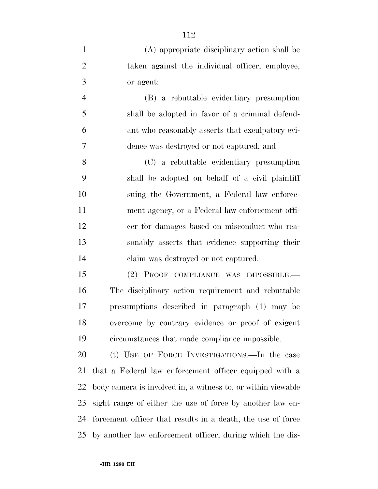| $\mathbf{1}$   | (A) appropriate disciplinary action shall be           |
|----------------|--------------------------------------------------------|
| $\overline{2}$ | taken against the individual officer, employee,        |
| 3              | or agent;                                              |
| $\overline{4}$ | (B) a rebuttable evidentiary presumption               |
| 5              | shall be adopted in favor of a criminal defend-        |
| 6              | ant who reasonably asserts that exculpatory evi-       |
| 7              | dence was destroyed or not captured; and               |
| 8              | (C) a rebuttable evidentiary presumption               |
| 9              | shall be adopted on behalf of a civil plaintiff        |
| 10             | suing the Government, a Federal law enforce-           |
| 11             | ment agency, or a Federal law enforcement offi-        |
| 12             | cer for damages based on misconduct who rea-           |
| 13             | sonably asserts that evidence supporting their         |
| 14             | claim was destroyed or not captured.                   |
| 15             | (2) PROOF COMPLIANCE WAS IMPOSSIBLE.                   |
| 16             | The disciplinary action requirement and rebuttable     |
| 17             | presumptions described in paragraph (1) may be         |
| 18             | overcome by contrary evidence or proof of exigent      |
| 19             | circumstances that made compliance impossible.         |
| 20             | (t) USE OF FORCE INVESTIGATIONS.—In the case           |
| 21             | that a Federal law enforcement officer equipped with a |

 body camera is involved in, a witness to, or within viewable sight range of either the use of force by another law en- forcement officer that results in a death, the use of force by another law enforcement officer, during which the dis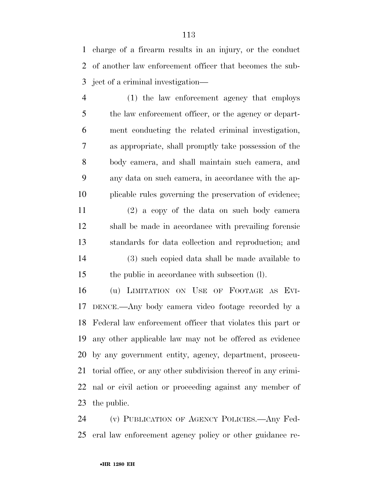charge of a firearm results in an injury, or the conduct of another law enforcement officer that becomes the sub-ject of a criminal investigation—

 (1) the law enforcement agency that employs 5 the law enforcement officer, or the agency or depart- ment conducting the related criminal investigation, as appropriate, shall promptly take possession of the body camera, and shall maintain such camera, and any data on such camera, in accordance with the ap-plicable rules governing the preservation of evidence;

 (2) a copy of the data on such body camera shall be made in accordance with prevailing forensic standards for data collection and reproduction; and (3) such copied data shall be made available to the public in accordance with subsection (l).

 (u) LIMITATION ON USE OF FOOTAGE AS EVI- DENCE.—Any body camera video footage recorded by a Federal law enforcement officer that violates this part or any other applicable law may not be offered as evidence by any government entity, agency, department, prosecu- torial office, or any other subdivision thereof in any crimi- nal or civil action or proceeding against any member of the public.

 (v) PUBLICATION OF AGENCY POLICIES.—Any Fed-eral law enforcement agency policy or other guidance re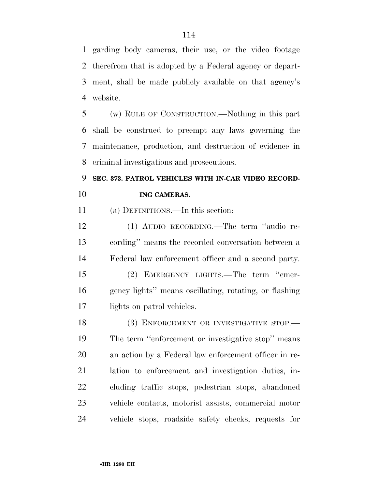garding body cameras, their use, or the video footage therefrom that is adopted by a Federal agency or depart- ment, shall be made publicly available on that agency's website.

 (w) RULE OF CONSTRUCTION.—Nothing in this part shall be construed to preempt any laws governing the maintenance, production, and destruction of evidence in criminal investigations and prosecutions.

### **SEC. 373. PATROL VEHICLES WITH IN-CAR VIDEO RECORD-ING CAMERAS.**

(a) DEFINITIONS.—In this section:

 (1) AUDIO RECORDING.—The term ''audio re- cording'' means the recorded conversation between a Federal law enforcement officer and a second party.

 (2) EMERGENCY LIGHTS.—The term ''emer- gency lights'' means oscillating, rotating, or flashing lights on patrol vehicles.

18 (3) ENFORCEMENT OR INVESTIGATIVE STOP. The term ''enforcement or investigative stop'' means an action by a Federal law enforcement officer in re- lation to enforcement and investigation duties, in- cluding traffic stops, pedestrian stops, abandoned vehicle contacts, motorist assists, commercial motor vehicle stops, roadside safety checks, requests for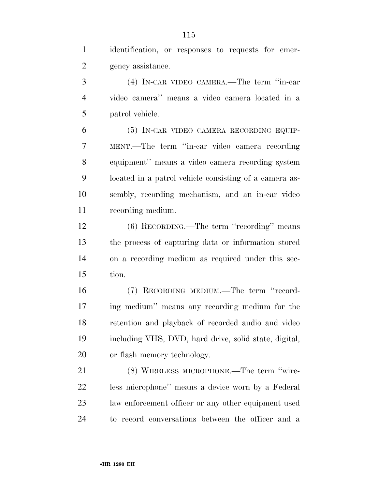identification, or responses to requests for emer-gency assistance.

 (4) IN-CAR VIDEO CAMERA.—The term ''in-car video camera'' means a video camera located in a patrol vehicle.

 (5) IN-CAR VIDEO CAMERA RECORDING EQUIP- MENT.—The term ''in-car video camera recording equipment'' means a video camera recording system located in a patrol vehicle consisting of a camera as- sembly, recording mechanism, and an in-car video recording medium.

 (6) RECORDING.—The term ''recording'' means the process of capturing data or information stored on a recording medium as required under this sec-tion.

 (7) RECORDING MEDIUM.—The term ''record- ing medium'' means any recording medium for the retention and playback of recorded audio and video including VHS, DVD, hard drive, solid state, digital, or flash memory technology.

 (8) WIRELESS MICROPHONE.—The term ''wire- less microphone'' means a device worn by a Federal law enforcement officer or any other equipment used to record conversations between the officer and a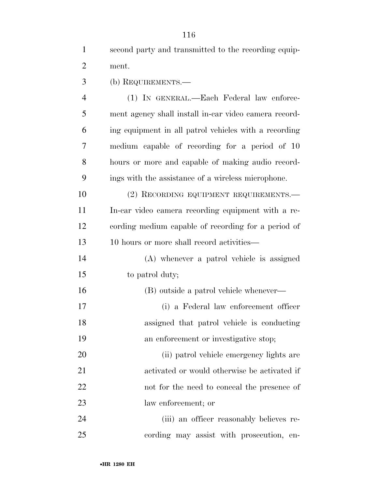| second party and transmitted to the recording equip- |
|------------------------------------------------------|
| ment.                                                |
| (b) REQUIREMENTS.—                                   |

 (1) IN GENERAL.—Each Federal law enforce- ment agency shall install in-car video camera record- ing equipment in all patrol vehicles with a recording medium capable of recording for a period of 10 hours or more and capable of making audio record-ings with the assistance of a wireless microphone.

10 (2) RECORDING EQUIPMENT REQUIREMENTS.— In-car video camera recording equipment with a re- cording medium capable of recording for a period of 10 hours or more shall record activities—

 (A) whenever a patrol vehicle is assigned to patrol duty;

 (B) outside a patrol vehicle whenever— (i) a Federal law enforcement officer assigned that patrol vehicle is conducting an enforcement or investigative stop; (ii) patrol vehicle emergency lights are activated or would otherwise be activated if

 not for the need to conceal the presence of law enforcement; or

 (iii) an officer reasonably believes re-cording may assist with prosecution, en-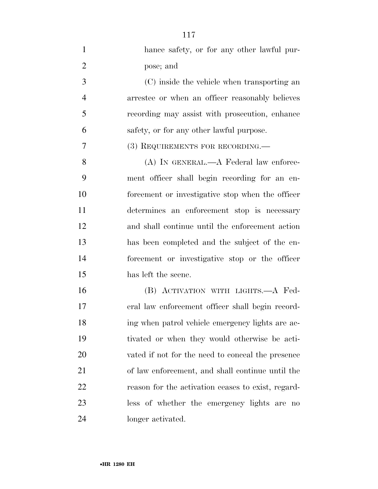| $\mathbf{1}$   | hance safety, or for any other lawful pur-         |
|----------------|----------------------------------------------------|
| $\overline{2}$ | pose; and                                          |
| 3              | (C) inside the vehicle when transporting an        |
| $\overline{4}$ | arrestee or when an officer reasonably believes    |
| 5              | recording may assist with prosecution, enhance     |
| 6              | safety, or for any other lawful purpose.           |
| 7              | (3) REQUIREMENTS FOR RECORDING.—                   |
| 8              | $(A)$ IN GENERAL.— $A$ Federal law enforce-        |
| 9              | ment officer shall begin recording for an en-      |
| 10             | forcement or investigative stop when the officer   |
| 11             | determines an enforcement stop is necessary        |
| 12             | and shall continue until the enforcement action    |
| 13             | has been completed and the subject of the en-      |
| 14             | forcement or investigative stop or the officer     |
| 15             | has left the scene.                                |
| 16             | (B) ACTIVATION WITH LIGHTS.—A Fed-                 |
| 17             | eral law enforcement officer shall begin record-   |
| 18             | ing when patrol vehicle emergency lights are ac-   |
| 19             | tivated or when they would otherwise be acti-      |
| 20             | vated if not for the need to conceal the presence  |
| 21             | of law enforcement, and shall continue until the   |
| 22             | reason for the activation ceases to exist, regard- |
| 23             | less of whether the emergency lights are no        |
| 24             | longer activated.                                  |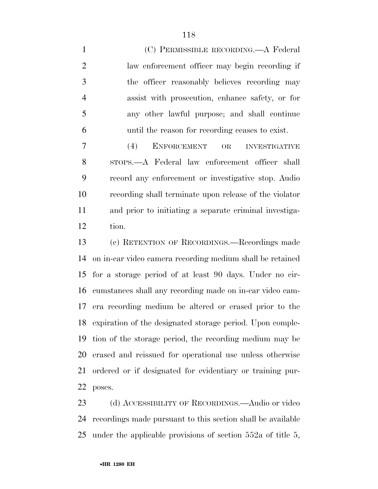(C) PERMISSIBLE RECORDING.—A Federal law enforcement officer may begin recording if the officer reasonably believes recording may assist with prosecution, enhance safety, or for any other lawful purpose; and shall continue until the reason for recording ceases to exist.

 (4) ENFORCEMENT OR INVESTIGATIVE STOPS.—A Federal law enforcement officer shall record any enforcement or investigative stop. Audio recording shall terminate upon release of the violator and prior to initiating a separate criminal investiga-tion.

 (c) RETENTION OF RECORDINGS.—Recordings made on in-car video camera recording medium shall be retained for a storage period of at least 90 days. Under no cir- cumstances shall any recording made on in-car video cam- era recording medium be altered or erased prior to the expiration of the designated storage period. Upon comple- tion of the storage period, the recording medium may be erased and reissued for operational use unless otherwise ordered or if designated for evidentiary or training pur-poses.

23 (d) ACCESSIBILITY OF RECORDINGS.—Audio or video recordings made pursuant to this section shall be available under the applicable provisions of section 552a of title 5,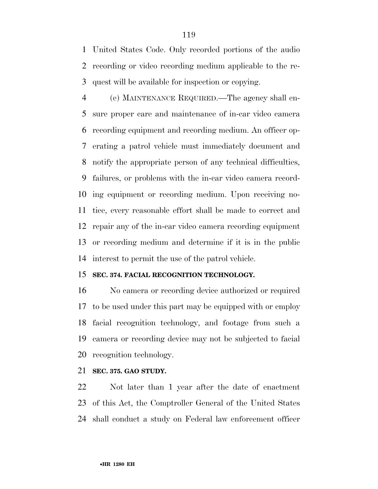United States Code. Only recorded portions of the audio recording or video recording medium applicable to the re-quest will be available for inspection or copying.

 (e) MAINTENANCE REQUIRED.—The agency shall en- sure proper care and maintenance of in-car video camera recording equipment and recording medium. An officer op- erating a patrol vehicle must immediately document and notify the appropriate person of any technical difficulties, failures, or problems with the in-car video camera record- ing equipment or recording medium. Upon receiving no- tice, every reasonable effort shall be made to correct and repair any of the in-car video camera recording equipment or recording medium and determine if it is in the public interest to permit the use of the patrol vehicle.

#### **SEC. 374. FACIAL RECOGNITION TECHNOLOGY.**

 No camera or recording device authorized or required to be used under this part may be equipped with or employ facial recognition technology, and footage from such a camera or recording device may not be subjected to facial recognition technology.

#### **SEC. 375. GAO STUDY.**

 Not later than 1 year after the date of enactment of this Act, the Comptroller General of the United States shall conduct a study on Federal law enforcement officer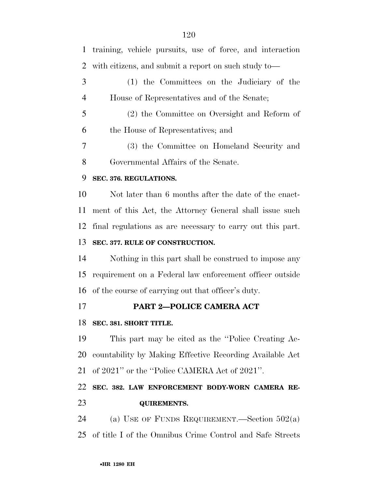training, vehicle pursuits, use of force, and interaction with citizens, and submit a report on such study to— (1) the Committees on the Judiciary of the House of Representatives and of the Senate; (2) the Committee on Oversight and Reform of the House of Representatives; and (3) the Committee on Homeland Security and Governmental Affairs of the Senate. **SEC. 376. REGULATIONS.**  Not later than 6 months after the date of the enact- ment of this Act, the Attorney General shall issue such final regulations as are necessary to carry out this part. **SEC. 377. RULE OF CONSTRUCTION.**  Nothing in this part shall be construed to impose any requirement on a Federal law enforcement officer outside of the course of carrying out that officer's duty. **PART 2—POLICE CAMERA ACT SEC. 381. SHORT TITLE.**  This part may be cited as the ''Police Creating Ac- countability by Making Effective Recording Available Act of 2021'' or the ''Police CAMERA Act of 2021''. **SEC. 382. LAW ENFORCEMENT BODY-WORN CAMERA RE-**

#### **QUIREMENTS.**

24 (a) USE OF FUNDS REQUIREMENT.—Section  $502(a)$ of title I of the Omnibus Crime Control and Safe Streets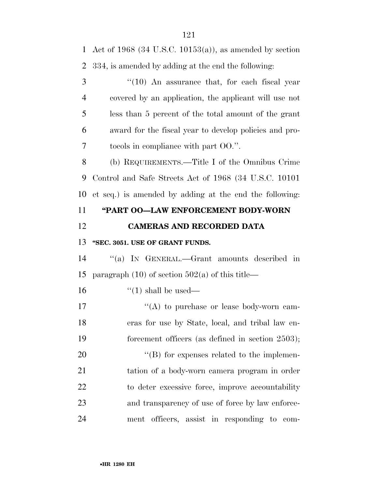Act of 1968 (34 U.S.C. 10153(a)), as amended by section 334, is amended by adding at the end the following: 3 "(10) An assurance that, for each fiscal year covered by an application, the applicant will use not less than 5 percent of the total amount of the grant award for the fiscal year to develop policies and pro- tocols in compliance with part OO.''. (b) REQUIREMENTS.—Title I of the Omnibus Crime Control and Safe Streets Act of 1968 (34 U.S.C. 10101 et seq.) is amended by adding at the end the following: **''PART OO—LAW ENFORCEMENT BODY-WORN CAMERAS AND RECORDED DATA ''SEC. 3051. USE OF GRANT FUNDS.**  ''(a) IN GENERAL.—Grant amounts described in 15 paragraph  $(10)$  of section  $502(a)$  of this title—  $\frac{16}{10}$   $\frac{16}{10}$  shall be used—  $\langle (A)$  to purchase or lease body-worn cam- eras for use by State, local, and tribal law en-19 forcement officers (as defined in section 2503);  $'(B)$  for expenses related to the implemen- tation of a body-worn camera program in order to deter excessive force, improve accountability and transparency of use of force by law enforce-ment officers, assist in responding to com-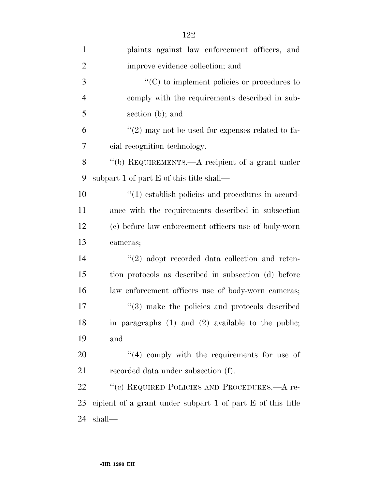| $\mathbf{1}$   | plaints against law enforcement officers, and              |
|----------------|------------------------------------------------------------|
| $\overline{2}$ | improve evidence collection; and                           |
| 3              | $\cdot$ (C) to implement policies or procedures to         |
| $\overline{4}$ | comply with the requirements described in sub-             |
| 5              | section (b); and                                           |
| 6              | "(2) may not be used for expenses related to fa-           |
| $\overline{7}$ | cial recognition technology.                               |
| 8              | "(b) REQUIREMENTS.—A recipient of a grant under            |
| 9              | subpart 1 of part E of this title shall—                   |
| 10             | $\cdot$ (1) establish policies and procedures in accord-   |
| 11             | ance with the requirements described in subsection         |
| 12             | (c) before law enforcement officers use of body-worn       |
| 13             | cameras;                                                   |
| 14             | $\lq(2)$ adopt recorded data collection and reten-         |
| 15             | tion protocols as described in subsection (d) before       |
| 16             | law enforcement officers use of body-worn cameras;         |
| 17             | $\cdot$ (3) make the policies and protocols described      |
| 18             | in paragraphs $(1)$ and $(2)$ available to the public;     |
| 19             | and                                                        |
| 20             | $(4)$ comply with the requirements for use of              |
| 21             | recorded data under subsection (f).                        |
| 22             | "(c) REQUIRED POLICIES AND PROCEDURES.—A re-               |
| 23             | eipient of a grant under subpart 1 of part E of this title |
| 24             | shall—                                                     |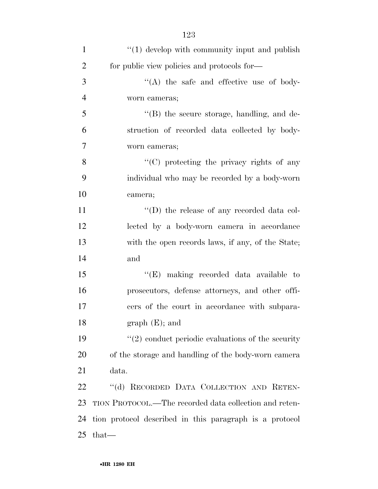| $\mathbf{1}$   | $\lq(1)$ develop with community input and publish       |
|----------------|---------------------------------------------------------|
| $\overline{2}$ | for public view policies and protocols for—             |
| 3              | "(A) the safe and effective use of body-                |
| $\overline{4}$ | worn cameras;                                           |
| 5              | $\lq\lq$ the secure storage, handling, and de-          |
| 6              | struction of recorded data collected by body-           |
| 7              | worn cameras;                                           |
| 8              | $\lq\lq$ (C) protecting the privacy rights of any       |
| 9              | individual who may be recorded by a body-worn           |
| 10             | camera;                                                 |
| 11             | $\lq\lq$ the release of any recorded data col-          |
| 12             | lected by a body-worn camera in accordance              |
| 13             | with the open records laws, if any, of the State;       |
| 14             | and                                                     |
| 15             | "(E) making recorded data available to                  |
| 16             | prosecutors, defense attorneys, and other offi-         |
| 17             | cers of the court in accordance with subpara-           |
| 18             | $graph(E);$ and                                         |
| 19             | $\lq(2)$ conduct periodic evaluations of the security   |
| 20             | of the storage and handling of the body-worn camera     |
| 21             | data.                                                   |
| 22             | "(d) RECORDED DATA COLLECTION AND RETEN-                |
| 23             | TION PROTOCOL.—The recorded data collection and reten-  |
| 24             | tion protocol described in this paragraph is a protocol |
| 25             | $that-$                                                 |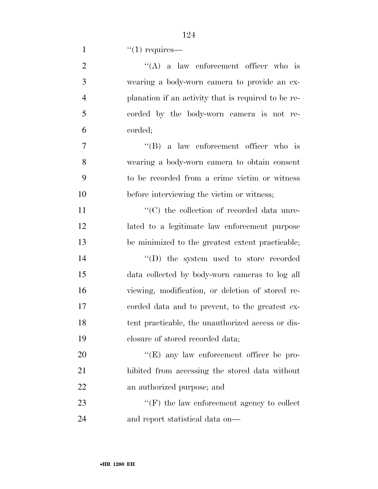| $\overline{2}$ | $\lq\lq$ a law enforcement officer who is           |
|----------------|-----------------------------------------------------|
| 3              | wearing a body-worn camera to provide an ex-        |
| $\overline{4}$ | planation if an activity that is required to be re- |
| 5              | corded by the body-worn camera is not re-           |
| 6              | corded;                                             |
| 7              | $\lq\lq (B)$ a law enforcement officer who is       |
| 8              | wearing a body-worn camera to obtain consent        |
| 9              | to be recorded from a crime victim or witness       |
| 10             | before interviewing the victim or witness;          |
| 11             | "(C) the collection of recorded data unre-          |
| 12             | lated to a legitimate law enforcement purpose       |
| 13             | be minimized to the greatest extent practicable;    |
| 14             | $\lq\lq$ (D) the system used to store recorded      |
| 15             | data collected by body-worn cameras to log all      |
| 16             | viewing, modification, or deletion of stored re-    |
| 17             | corded data and to prevent, to the greatest ex-     |
| 18             | tent practicable, the unauthorized access or dis-   |
| 19             | closure of stored recorded data;                    |
| 20             | "(E) any law enforcement officer be pro-            |
| 21             | hibited from accessing the stored data without      |
| 22             | an authorized purpose; and                          |
| 23             | $\lq\lq(F)$ the law enforcement agency to collect   |
| 24             | and report statistical data on—                     |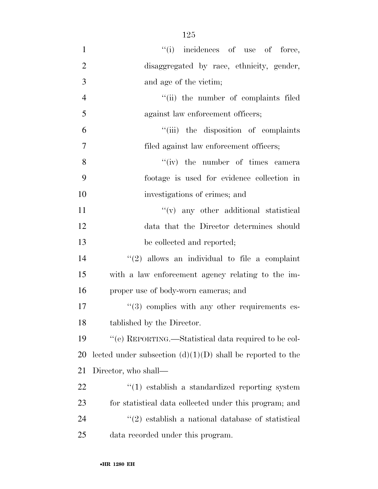| $\mathbf{1}$   | "(i) incidences of use of force,                                  |
|----------------|-------------------------------------------------------------------|
| $\overline{2}$ | disaggregated by race, ethnicity, gender,                         |
| 3              | and age of the victim;                                            |
| $\overline{4}$ | "(ii) the number of complaints filed                              |
| 5              | against law enforcement officers;                                 |
| 6              | "(iii) the disposition of complaints                              |
| $\tau$         | filed against law enforcement officers;                           |
| 8              | "(iv) the number of times camera                                  |
| 9              | footage is used for evidence collection in                        |
| 10             | investigations of crimes; and                                     |
| 11             | $f'(v)$ any other additional statistical                          |
| 12             | data that the Director determines should                          |
| 13             | be collected and reported;                                        |
| 14             | $\lq(2)$ allows an individual to file a complaint                 |
| 15             | with a law enforcement agency relating to the im-                 |
| 16             | proper use of body-worn cameras; and                              |
| $17\,$         | $\cdot\cdot$ (3) complies with any other requirements es-         |
| 18             | tablished by the Director.                                        |
| 19             | "(e) REPORTING.—Statistical data required to be col-              |
| 20             | lected under subsection $(d)(1)(D)$ shall be reported to the      |
| 21             | Director, who shall—                                              |
| 22             | $\cdot$ (1) establish a standardized reporting system             |
| 23             | for statistical data collected under this program; and            |
| 24             | $\cdot\cdot\cdot(2)$ establish a national database of statistical |
| 25             | data recorded under this program.                                 |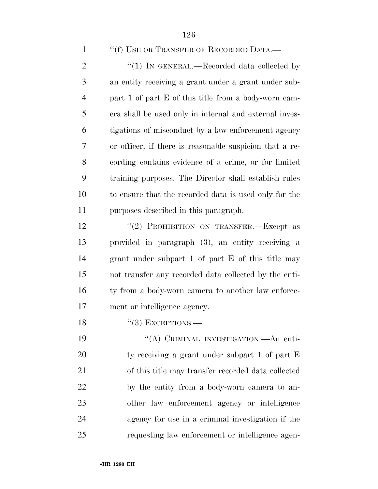''(f) USE OR TRANSFER OF RECORDED DATA.—

2 "(1) IN GENERAL.—Recorded data collected by an entity receiving a grant under a grant under sub- part 1 of part E of this title from a body-worn cam- era shall be used only in internal and external inves- tigations of misconduct by a law enforcement agency or officer, if there is reasonable suspicion that a re- cording contains evidence of a crime, or for limited training purposes. The Director shall establish rules to ensure that the recorded data is used only for the purposes described in this paragraph.

12 "(2) PROHIBITION ON TRANSFER.—Except as provided in paragraph (3), an entity receiving a grant under subpart 1 of part E of this title may not transfer any recorded data collected by the enti-16 ty from a body-worn camera to another law enforce-ment or intelligence agency.

18  $"$ (3) EXCEPTIONS.

19 "(A) CRIMINAL INVESTIGATION.—An enti- ty receiving a grant under subpart 1 of part E of this title may transfer recorded data collected by the entity from a body-worn camera to an- other law enforcement agency or intelligence agency for use in a criminal investigation if the requesting law enforcement or intelligence agen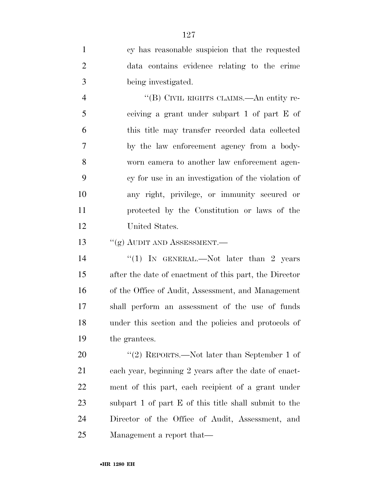cy has reasonable suspicion that the requested data contains evidence relating to the crime being investigated.

 ''(B) CIVIL RIGHTS CLAIMS.—An entity re- ceiving a grant under subpart 1 of part E of this title may transfer recorded data collected by the law enforcement agency from a body- worn camera to another law enforcement agen- cy for use in an investigation of the violation of any right, privilege, or immunity secured or protected by the Constitution or laws of the United States.

13 <sup>''</sup>(g) AUDIT AND ASSESSMENT.

14 "(1) IN GENERAL.—Not later than 2 years after the date of enactment of this part, the Director of the Office of Audit, Assessment, and Management shall perform an assessment of the use of funds under this section and the policies and protocols of the grantees.

20 "(2) REPORTS.—Not later than September 1 of each year, beginning 2 years after the date of enact- ment of this part, each recipient of a grant under subpart 1 of part E of this title shall submit to the Director of the Office of Audit, Assessment, and Management a report that—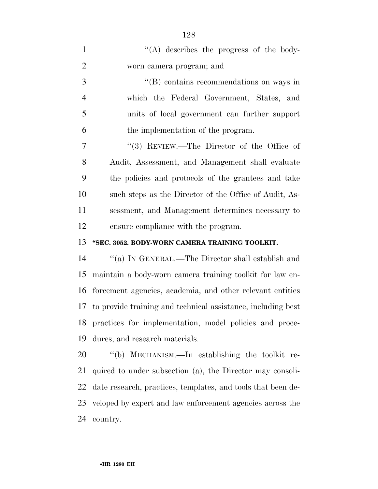| $\mathbf{1}$   | "(A) describes the progress of the body-                     |
|----------------|--------------------------------------------------------------|
| $\overline{2}$ | worn camera program; and                                     |
| 3              | $\lq\lq$ contains recommendations on ways in                 |
| $\overline{4}$ | which the Federal Government, States, and                    |
| 5              | units of local government can further support                |
| 6              | the implementation of the program.                           |
| 7              | "(3) REVIEW.—The Director of the Office of                   |
| 8              | Audit, Assessment, and Management shall evaluate             |
| 9              | the policies and protocols of the grantees and take          |
| 10             | such steps as the Director of the Office of Audit, As-       |
| 11             | sessment, and Management determines necessary to             |
| 12             | ensure compliance with the program.                          |
|                |                                                              |
| 13             | "SEC. 3052. BODY-WORN CAMERA TRAINING TOOLKIT.               |
| 14             | "(a) IN GENERAL.—The Director shall establish and            |
| 15             | maintain a body-worn camera training toolkit for law en-     |
| 16             | forcement agencies, academia, and other relevant entities    |
| 17             | to provide training and technical assistance, including best |
| 18             | practices for implementation, model policies and proce-      |
| 19             | dures, and research materials.                               |
| 20             | "(b) MECHANISM.—In establishing the toolkit re-              |
| 21             | quired to under subsection (a), the Director may consoli-    |
| 22             | date research, practices, templates, and tools that been de- |
| 23             | veloped by expert and law enforcement agencies across the    |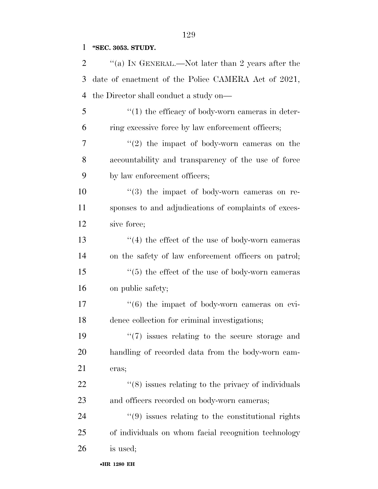**''SEC. 3053. STUDY.** 

| $\overline{2}$ | "(a) IN GENERAL.—Not later than 2 years after the                 |
|----------------|-------------------------------------------------------------------|
| 3              | date of enactment of the Police CAMERA Act of 2021,               |
| 4              | the Director shall conduct a study on—                            |
| 5              | $\lq(1)$ the efficacy of body-worn cameras in deter-              |
| 6              | ring excessive force by law enforcement officers;                 |
| 7              | $\lq(2)$ the impact of body-worn cameras on the                   |
| 8              | accountability and transparency of the use of force               |
| 9              | by law enforcement officers;                                      |
| 10             | $(3)$ the impact of body-worn cameras on re-                      |
| 11             | sponses to and adjudications of complaints of exces-              |
| 12             | sive force;                                                       |
| 13             | $\cdot$ (4) the effect of the use of body-worn cameras            |
| 14             | on the safety of law enforcement officers on patrol;              |
| 15             | $\cdot\cdot$ (5) the effect of the use of body-worn cameras       |
| 16             | on public safety;                                                 |
| 17             | $\cdot\cdot\cdot(6)$ the impact of body-worn cameras on evi-      |
| 18             | dence collection for criminal investigations;                     |
| 19             | $\lq(7)$ issues relating to the secure storage and                |
| 20             | handling of recorded data from the body-worn cam-                 |
| 21             | eras;                                                             |
| 22             | $\cdot$ (8) issues relating to the privacy of individuals         |
| 23             | and officers recorded on body-worn cameras;                       |
| 24             | $\cdot\cdot\cdot(9)$ issues relating to the constitutional rights |
| 25             | of individuals on whom facial recognition technology              |
| 26             | is used;                                                          |
|                |                                                                   |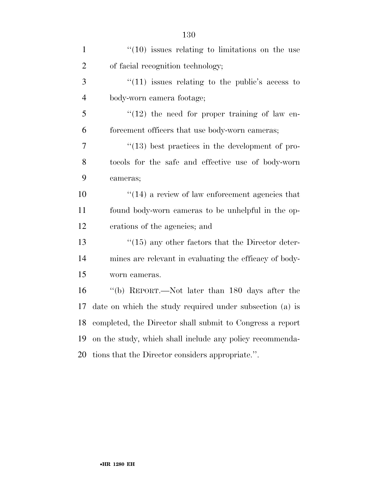| $\mathbf{1}$   | $\cdot$ (10) issues relating to limitations on the use    |
|----------------|-----------------------------------------------------------|
| $\overline{2}$ | of facial recognition technology;                         |
| 3              | $\degree$ (11) issues relating to the public's access to  |
| $\overline{4}$ | body-worn camera footage;                                 |
| 5              | $"(12)$ the need for proper training of law en-           |
| 6              | forcement officers that use body-worn cameras;            |
| $\overline{7}$ | $\lq(13)$ best practices in the development of pro-       |
| 8              | tocols for the safe and effective use of body-worn        |
| 9              | cameras;                                                  |
| 10             | $\cdot$ (14) a review of law enforcement agencies that    |
| 11             | found body-worn cameras to be unhelpful in the op-        |
| 12             | erations of the agencies; and                             |
| 13             | $\lq(15)$ any other factors that the Director deter-      |
| 14             | mines are relevant in evaluating the efficacy of body-    |
| 15             | worn cameras.                                             |
| 16             | "(b) REPORT.—Not later than 180 days after the            |
| 17             | date on which the study required under subsection (a) is  |
| 18             | completed, the Director shall submit to Congress a report |
| 19             | on the study, which shall include any policy recommenda-  |
| 20             | tions that the Director considers appropriate.".          |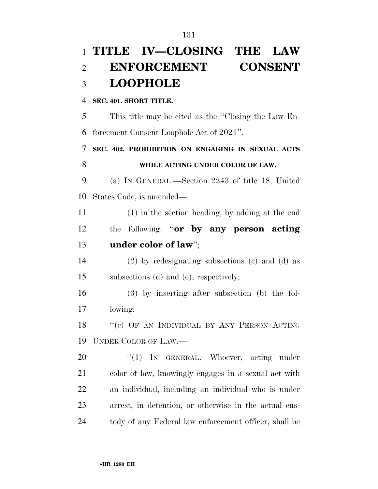|           | 1 TITLE IV—CLOSING THE LAW                            |
|-----------|-------------------------------------------------------|
| 2         | <b>ENFORCEMENT</b><br><b>CONSENT</b>                  |
| 3         | <b>LOOPHOLE</b>                                       |
| 4         | SEC. 401. SHORT TITLE.                                |
| 5         | This title may be cited as the "Closing the Law En-   |
| 6         | forcement Consent Loophole Act of 2021".              |
| 7         | SEC. 402. PROHIBITION ON ENGAGING IN SEXUAL ACTS      |
| 8         | WHILE ACTING UNDER COLOR OF LAW.                      |
| 9         | (a) IN GENERAL.—Section 2243 of title 18, United      |
| 10        | States Code, is amended—                              |
| 11        | (1) in the section heading, by adding at the end      |
| 12        | following: "or by any person acting<br>the            |
| 13        | under color of law";                                  |
| 14        | $(2)$ by redesignating subsections $(e)$ and $(d)$ as |
| 15        | subsections (d) and (e), respectively;                |
| 16        | $(3)$ by inserting after subsection (b) the fol-      |
| 17        | lowing:                                               |
| 18        | "(c) OF AN INDIVIDUAL BY ANY PERSON ACTING            |
| 19        | UNDER COLOR OF LAW.—                                  |
| <b>20</b> | "(1) IN GENERAL.—Whoever, acting under                |
| 21        | color of law, knowingly engages in a sexual act with  |
| 22        | an individual, including an individual who is under   |
| 23        | arrest, in detention, or otherwise in the actual cus- |
| 24        | tody of any Federal law enforcement officer, shall be |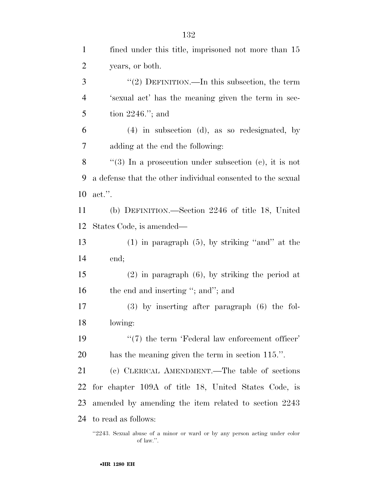| $\mathbf{1}$   | fined under this title, imprisoned not more than 15         |
|----------------|-------------------------------------------------------------|
| $\overline{2}$ | years, or both.                                             |
| 3              | "(2) DEFINITION.—In this subsection, the term               |
| $\overline{4}$ | 's exual act' has the meaning given the term in sec-        |
| 5              | tion $2246$ ."; and                                         |
| 6              | $(4)$ in subsection $(d)$ , as so redesignated, by          |
| 7              | adding at the end the following:                            |
| 8              | "(3) In a prosecution under subsection (c), it is not       |
| 9              | a defense that the other individual consented to the sexual |
| 10             | $\text{act.}$ ".                                            |
| 11             | (b) DEFINITION.—Section 2246 of title 18, United            |
| 12             | States Code, is amended—                                    |
| 13             | $(1)$ in paragraph $(5)$ , by striking "and" at the         |
| 14             | end;                                                        |
| 15             | $(2)$ in paragraph $(6)$ , by striking the period at        |
| 16             | the end and inserting "; and"; and                          |
| 17             | $(3)$ by inserting after paragraph $(6)$ the fol-           |
| 18             | lowing:                                                     |
| 19             | $\lq(7)$ the term 'Federal law enforcement officer'         |
| 20             | has the meaning given the term in section 115.".            |
| 21             | (c) CLERICAL AMENDMENT.—The table of sections               |
| 22             | for chapter 109A of title 18, United States Code, is        |
| 23             | amended by amending the item related to section 2243        |
| 24             | to read as follows:                                         |
|                |                                                             |

<sup>&#</sup>x27;2243. Sexual abuse of a minor or ward or by any person acting under color of law.''.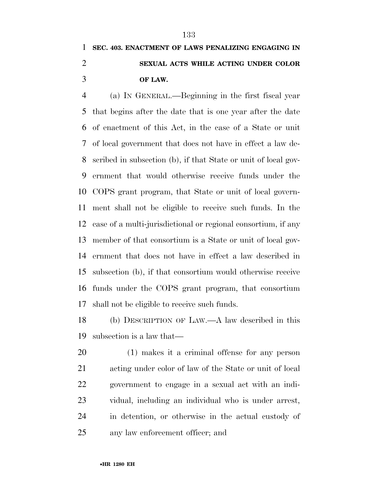## **SEC. 403. ENACTMENT OF LAWS PENALIZING ENGAGING IN SEXUAL ACTS WHILE ACTING UNDER COLOR OF LAW.**

 (a) IN GENERAL.—Beginning in the first fiscal year that begins after the date that is one year after the date of enactment of this Act, in the case of a State or unit of local government that does not have in effect a law de- scribed in subsection (b), if that State or unit of local gov- ernment that would otherwise receive funds under the COPS grant program, that State or unit of local govern- ment shall not be eligible to receive such funds. In the case of a multi-jurisdictional or regional consortium, if any member of that consortium is a State or unit of local gov- ernment that does not have in effect a law described in subsection (b), if that consortium would otherwise receive funds under the COPS grant program, that consortium shall not be eligible to receive such funds.

 (b) DESCRIPTION OF LAW.—A law described in this subsection is a law that—

 (1) makes it a criminal offense for any person acting under color of law of the State or unit of local government to engage in a sexual act with an indi- vidual, including an individual who is under arrest, in detention, or otherwise in the actual custody of any law enforcement officer; and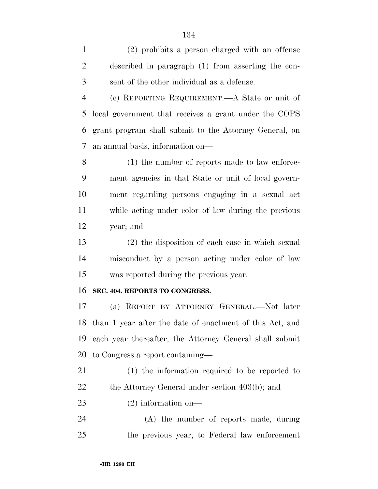(2) prohibits a person charged with an offense described in paragraph (1) from asserting the con-sent of the other individual as a defense.

 (c) REPORTING REQUIREMENT.—A State or unit of local government that receives a grant under the COPS grant program shall submit to the Attorney General, on an annual basis, information on—

 (1) the number of reports made to law enforce- ment agencies in that State or unit of local govern- ment regarding persons engaging in a sexual act while acting under color of law during the previous year; and

 (2) the disposition of each case in which sexual misconduct by a person acting under color of law was reported during the previous year.

#### **SEC. 404. REPORTS TO CONGRESS.**

 (a) REPORT BY ATTORNEY GENERAL.—Not later than 1 year after the date of enactment of this Act, and each year thereafter, the Attorney General shall submit to Congress a report containing—

 (1) the information required to be reported to 22 the Attorney General under section 403(b); and

(2) information on—

 (A) the number of reports made, during the previous year, to Federal law enforcement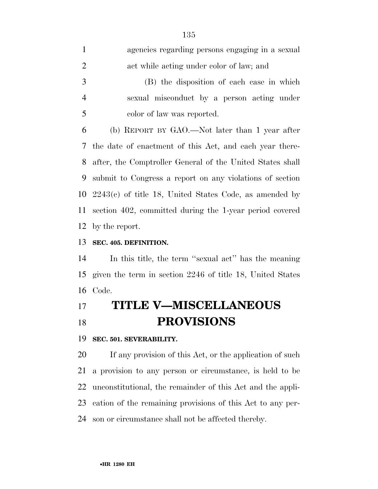| $\mathbf{1}$   | agencies regarding persons engaging in a sexual             |
|----------------|-------------------------------------------------------------|
| $\overline{2}$ | act while acting under color of law; and                    |
| 3              | (B) the disposition of each case in which                   |
| $\overline{4}$ | sexual misconduct by a person acting under                  |
| 5              | color of law was reported.                                  |
| 6              | (b) REPORT BY GAO.—Not later than 1 year after              |
|                | 7 the date of enactment of this Act, and each year there-   |
|                | 8 after, the Comptroller General of the United States shall |
| 9              | submit to Congress a report on any violations of section    |
|                | 10 $2243(c)$ of title 18, United States Code, as amended by |
|                | 11 section 402, committed during the 1-year period covered  |
|                | 12 by the report.                                           |

**SEC. 405. DEFINITION.** 

 In this title, the term ''sexual act'' has the meaning given the term in section 2246 of title 18, United States Code.

## **TITLE V—MISCELLANEOUS PROVISIONS**

**SEC. 501. SEVERABILITY.** 

 If any provision of this Act, or the application of such a provision to any person or circumstance, is held to be unconstitutional, the remainder of this Act and the appli- cation of the remaining provisions of this Act to any per-son or circumstance shall not be affected thereby.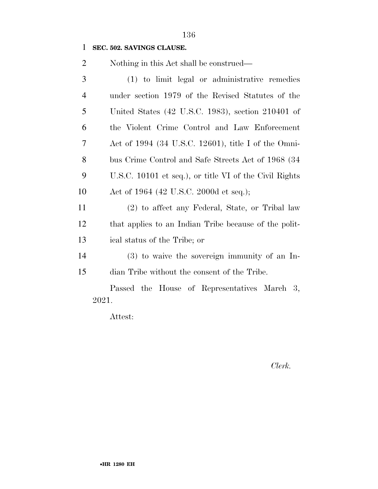#### **SEC. 502. SAVINGS CLAUSE.**

Nothing in this Act shall be construed—

| 3              | (1) to limit legal or administrative remedies                   |
|----------------|-----------------------------------------------------------------|
| $\overline{4}$ | under section 1979 of the Revised Statutes of the               |
| 5              | United States (42 U.S.C. 1983), section 210401 of               |
| 6              | the Violent Crime Control and Law Enforcement                   |
| 7              | Act of 1994 $(34 \text{ U.S.C. } 12601)$ , title I of the Omni- |
| 8              | bus Crime Control and Safe Streets Act of 1968 (34)             |
| 9              | U.S.C. 10101 et seq.), or title VI of the Civil Rights          |
| 10             | Act of 1964 (42 U.S.C. 2000d et seq.);                          |
| 11             | (2) to affect any Federal, State, or Tribal law                 |
| 12             | that applies to an Indian Tribe because of the polit-           |

(3) to waive the sovereign immunity of an In-

ical status of the Tribe; or

dian Tribe without the consent of the Tribe.

Passed the House of Representatives March 3, 2021.

Attest:

*Clerk.*